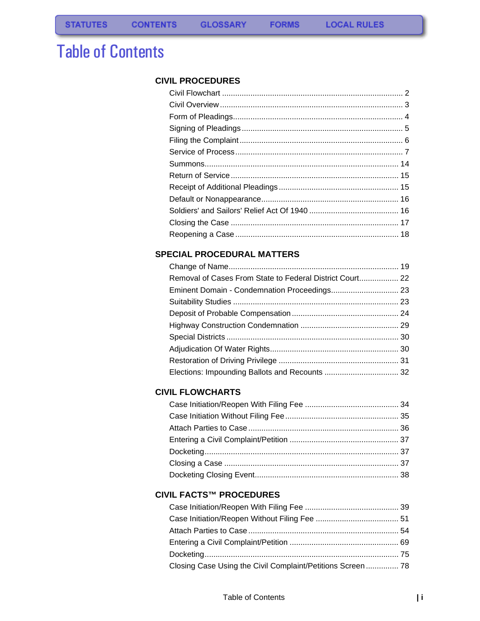# Table of Contents

### **[CIVIL PROCEDURES](#page-2-0)**

**FORMS** 

### **[SPECIAL PROCEDURAL MATTERS](#page-20-0)**

| Removal of Cases From State to Federal District Court 22 |  |
|----------------------------------------------------------|--|
|                                                          |  |
|                                                          |  |
|                                                          |  |
|                                                          |  |
|                                                          |  |
|                                                          |  |
|                                                          |  |
|                                                          |  |
|                                                          |  |

### **[CIVIL FLOWCHARTS](#page-35-0)**

### **[CIVIL FACTS™ PROCEDURES](#page-40-0)**

| Closing Case Using the Civil Complaint/Petitions Screen 78 |  |
|------------------------------------------------------------|--|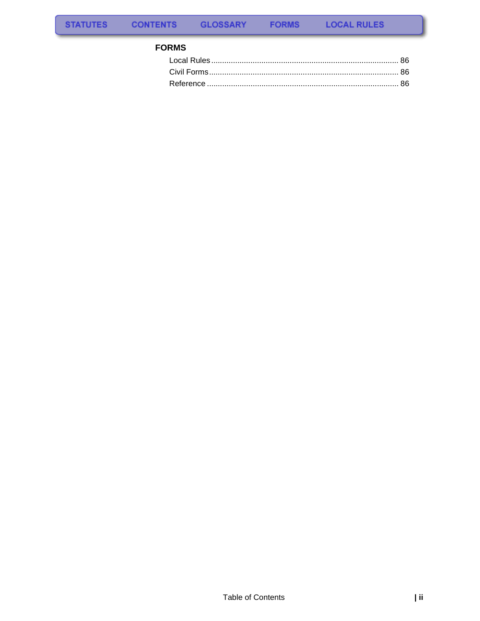### **FORMS**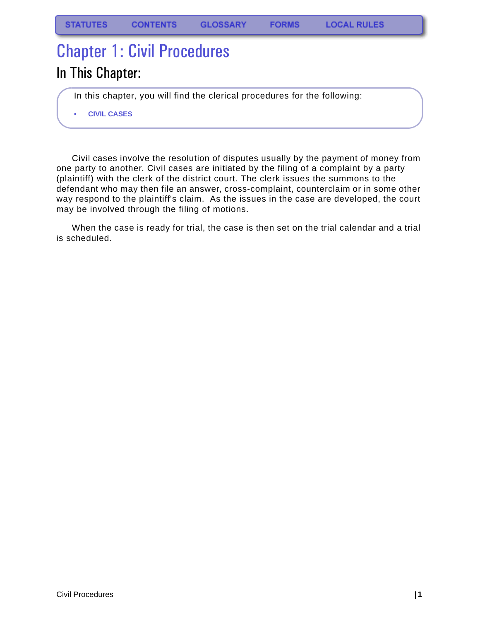# <span id="page-2-0"></span>Chapter 1: Civil Procedures

## In This Chapter:

In this chapter, you will find the clerical procedures for the following:

**• CIVIL CASES**

Civil cases involve the resolution of disputes usually by the payment of money from one party to another. Civil cases are initiated by the filing of a complaint by a party (plaintiff) with the clerk of the district court. The clerk issues the summons to the defendant who may then file an answer, cross-complaint, counterclaim or in some other way respond to the plaintiff's claim. As the issues in the case are developed, the court may be involved through the filing of motions.

When the case is ready for trial, the case is then set on the trial calendar and a trial is scheduled.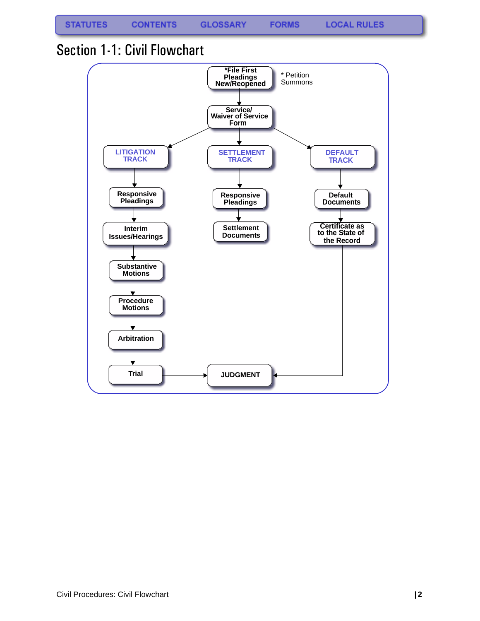**FORMS** 

## <span id="page-3-0"></span>Section 1-1: Civil Flowchart

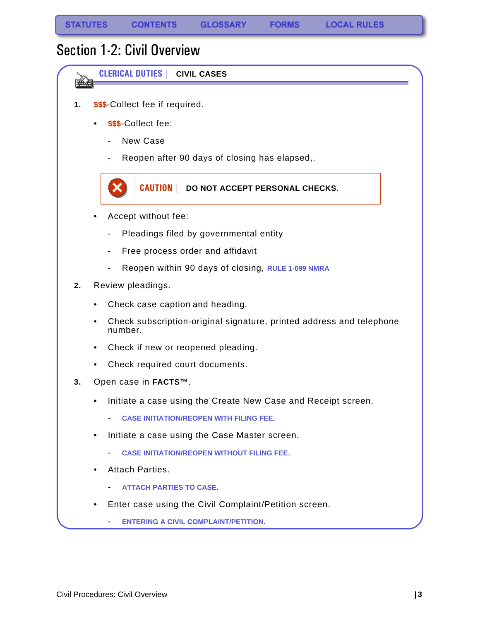与要

## <span id="page-4-0"></span>Section 1-2: Civil Overview

**CLERICAL DUTIES | CIVIL CASES**

- **1. \$\$\$**-Collect fee if required.
	- **\$\$\$**-Collect fee:
		- New Case
		- Reopen after 90 days of closing has elapsed,.



- Accept without fee:
	- Pleadings filed by governmental entity
	- Free process order and affidavit
	- Reopen within 90 days of closing, **RULE 1-099 NMRA**
- **2.** Review pleadings.
	- Check case caption and heading.
	- Check subscription-original signature, printed address and telephone number.
	- Check if new or reopened pleading.
	- Check required court documents.
- **3.** Open case in **FACTS™**.
	- Initiate a case using the Create New Case and Receipt screen.
		- **[CASE INITIATION/REOPEN WITH FILING FEE](#page-40-2)**.
	- Initiate a case using the Case Master screen.
		- **[CASE INITIATION/REOPEN WITHOUT FILING FEE](#page-52-1)**.
	- Attach Parties.
		- **[ATTACH PARTIES TO CASE](#page-55-1)**.
	- Enter case using the Civil Complaint/Petition screen.
		- **[ENTERING A CIVIL COMPLAINT/PETITION](#page-70-1)**.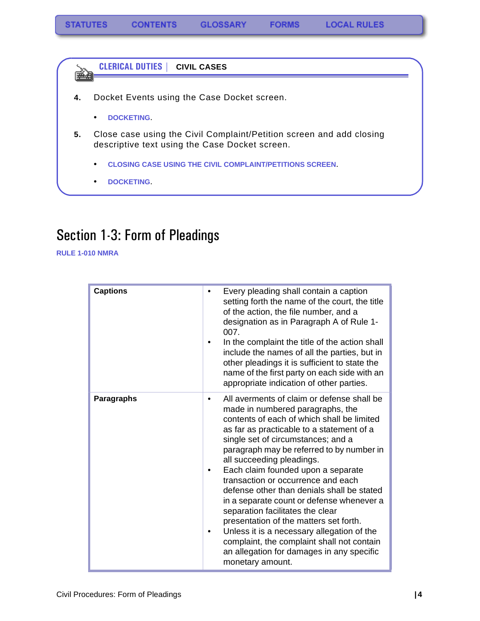**CLERICAL DUTIES | CIVIL CASES** ê (

- **4.** Docket Events using the Case Docket screen.
	- **[DOCKETING](#page-76-1)**.
- **5.** Close case using the Civil Complaint/Petition screen and add closing descriptive text using the Case Docket screen.
	- **[CLOSING CASE USING THE CIVIL COMPLAINT/PETITIONS SCREEN](#page-79-1)**.
	- **[DOCKETING](#page-76-1)**.

## <span id="page-5-0"></span>Section 1-3: Form of Pleadings

**RULE 1-010 NMRA**

| <b>Captions</b>   | Every pleading shall contain a caption<br>٠<br>setting forth the name of the court, the title<br>of the action, the file number, and a<br>designation as in Paragraph A of Rule 1-<br>007.<br>In the complaint the title of the action shall<br>include the names of all the parties, but in<br>other pleadings it is sufficient to state the<br>name of the first party on each side with an<br>appropriate indication of other parties.                                                                                                                                                                                                                                                                        |
|-------------------|------------------------------------------------------------------------------------------------------------------------------------------------------------------------------------------------------------------------------------------------------------------------------------------------------------------------------------------------------------------------------------------------------------------------------------------------------------------------------------------------------------------------------------------------------------------------------------------------------------------------------------------------------------------------------------------------------------------|
| <b>Paragraphs</b> | All averments of claim or defense shall be<br>٠<br>made in numbered paragraphs, the<br>contents of each of which shall be limited<br>as far as practicable to a statement of a<br>single set of circumstances; and a<br>paragraph may be referred to by number in<br>all succeeding pleadings.<br>Each claim founded upon a separate<br>transaction or occurrence and each<br>defense other than denials shall be stated<br>in a separate count or defense whenever a<br>separation facilitates the clear<br>presentation of the matters set forth.<br>Unless it is a necessary allegation of the<br>complaint, the complaint shall not contain<br>an allegation for damages in any specific<br>monetary amount. |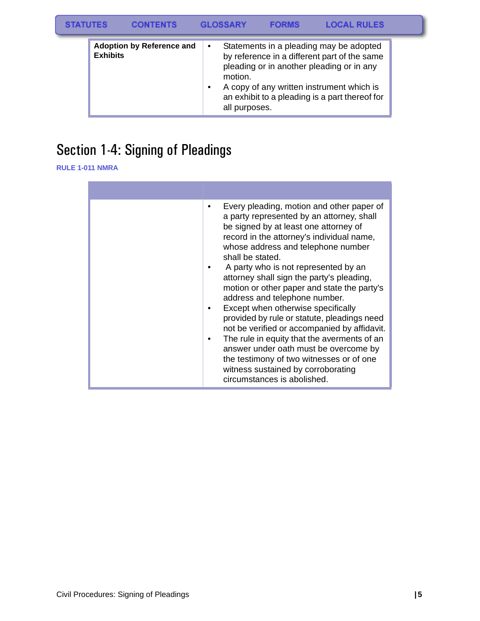| <b>STATUTES</b> |                 | <b>CONTENTS</b>                  |                        | <b>GLOSSARY</b>          | <b>FORMS</b> | <b>LOCAL RULES</b>                                                                                                                                                                                                                  |  |
|-----------------|-----------------|----------------------------------|------------------------|--------------------------|--------------|-------------------------------------------------------------------------------------------------------------------------------------------------------------------------------------------------------------------------------------|--|
|                 | <b>Exhibits</b> | <b>Adoption by Reference and</b> | $\bullet$<br>$\bullet$ | motion.<br>all purposes. |              | Statements in a pleading may be adopted<br>by reference in a different part of the same<br>pleading or in another pleading or in any<br>A copy of any written instrument which is<br>an exhibit to a pleading is a part thereof for |  |

# <span id="page-6-0"></span>Section 1-4: Signing of Pleadings

**RULE 1-011 NMRA** 

| Every pleading, motion and other paper of<br>a party represented by an attorney, shall<br>be signed by at least one attorney of<br>record in the attorney's individual name,<br>whose address and telephone number<br>shall be stated.<br>A party who is not represented by an<br>attorney shall sign the party's pleading,<br>motion or other paper and state the party's<br>address and telephone number.<br>Except when otherwise specifically<br>provided by rule or statute, pleadings need<br>not be verified or accompanied by affidavit.<br>The rule in equity that the averments of an<br>answer under oath must be overcome by<br>the testimony of two witnesses or of one<br>witness sustained by corroborating<br>circumstances is abolished. |
|-----------------------------------------------------------------------------------------------------------------------------------------------------------------------------------------------------------------------------------------------------------------------------------------------------------------------------------------------------------------------------------------------------------------------------------------------------------------------------------------------------------------------------------------------------------------------------------------------------------------------------------------------------------------------------------------------------------------------------------------------------------|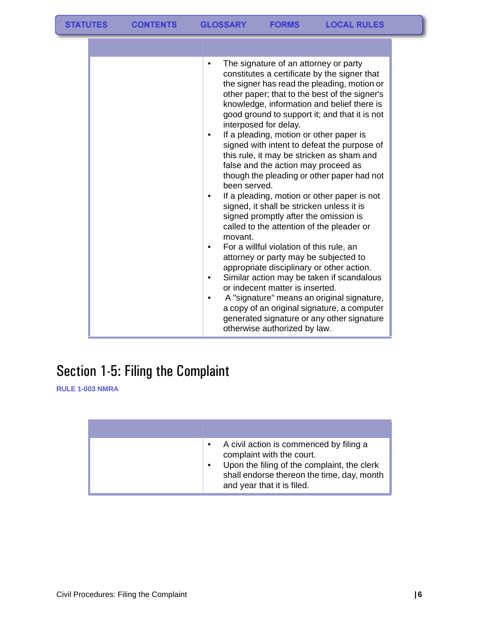| The signature of an attorney or party<br>constitutes a certificate by the signer that<br>the signer has read the pleading, motion or<br>other paper; that to the best of the signer's<br>knowledge, information and belief there is<br>good ground to support it; and that it is not<br>interposed for delay.<br>If a pleading, motion or other paper is<br>signed with intent to defeat the purpose of<br>this rule, it may be stricken as sham and<br>false and the action may proceed as<br>though the pleading or other paper had not<br>been served.<br>If a pleading, motion or other paper is not<br>signed, it shall be stricken unless it is<br>signed promptly after the omission is<br>called to the attention of the pleader or<br>movant.<br>For a willful violation of this rule, an<br>٠<br>attorney or party may be subjected to<br>appropriate disciplinary or other action.<br>Similar action may be taken if scandalous<br>or indecent matter is inserted. |
|-------------------------------------------------------------------------------------------------------------------------------------------------------------------------------------------------------------------------------------------------------------------------------------------------------------------------------------------------------------------------------------------------------------------------------------------------------------------------------------------------------------------------------------------------------------------------------------------------------------------------------------------------------------------------------------------------------------------------------------------------------------------------------------------------------------------------------------------------------------------------------------------------------------------------------------------------------------------------------|
| A "signature" means an original signature,<br>a copy of an original signature, a computer<br>generated signature or any other signature<br>otherwise authorized by law.                                                                                                                                                                                                                                                                                                                                                                                                                                                                                                                                                                                                                                                                                                                                                                                                       |

# <span id="page-7-0"></span>Section 1-5: Filing the Complaint

**RULE 1-003 NMRA**

| A civil action is commenced by filing a<br>complaint with the court.<br>Upon the filing of the complaint, the clerk<br>shall endorse thereon the time, day, month<br>and year that it is filed. |
|-------------------------------------------------------------------------------------------------------------------------------------------------------------------------------------------------|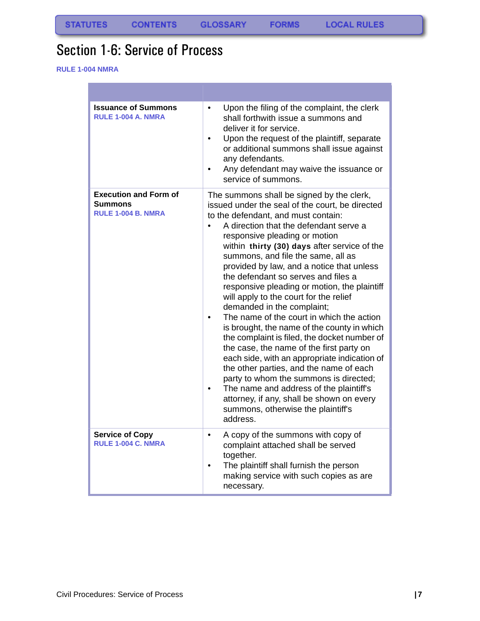**FORMS** 

## <span id="page-8-0"></span>Section 1-6: Service of Process

**RULE 1-004 NMRA**

п

| <b>Issuance of Summons</b><br><b>RULE 1-004 A. NMRA</b>                     | Upon the filing of the complaint, the clerk<br>$\bullet$<br>shall forthwith issue a summons and<br>deliver it for service.<br>Upon the request of the plaintiff, separate<br>$\bullet$<br>or additional summons shall issue against<br>any defendants.<br>Any defendant may waive the issuance or<br>service of summons.                                                                                                                                                                                                                                                                                                                                                                                                                                                                                                                                                                                                                                                                |
|-----------------------------------------------------------------------------|-----------------------------------------------------------------------------------------------------------------------------------------------------------------------------------------------------------------------------------------------------------------------------------------------------------------------------------------------------------------------------------------------------------------------------------------------------------------------------------------------------------------------------------------------------------------------------------------------------------------------------------------------------------------------------------------------------------------------------------------------------------------------------------------------------------------------------------------------------------------------------------------------------------------------------------------------------------------------------------------|
| <b>Execution and Form of</b><br><b>Summons</b><br><b>RULE 1-004 B. NMRA</b> | The summons shall be signed by the clerk,<br>issued under the seal of the court, be directed<br>to the defendant, and must contain:<br>A direction that the defendant serve a<br>responsive pleading or motion<br>within thirty (30) days after service of the<br>summons, and file the same, all as<br>provided by law, and a notice that unless<br>the defendant so serves and files a<br>responsive pleading or motion, the plaintiff<br>will apply to the court for the relief<br>demanded in the complaint;<br>The name of the court in which the action<br>is brought, the name of the county in which<br>the complaint is filed, the docket number of<br>the case, the name of the first party on<br>each side, with an appropriate indication of<br>the other parties, and the name of each<br>party to whom the summons is directed;<br>The name and address of the plaintiff's<br>attorney, if any, shall be shown on every<br>summons, otherwise the plaintiff's<br>address. |
| <b>Service of Copy</b><br>RULE 1-004 C. NMRA                                | A copy of the summons with copy of<br>۰<br>complaint attached shall be served<br>together.<br>The plaintiff shall furnish the person<br>making service with such copies as are<br>necessary.                                                                                                                                                                                                                                                                                                                                                                                                                                                                                                                                                                                                                                                                                                                                                                                            |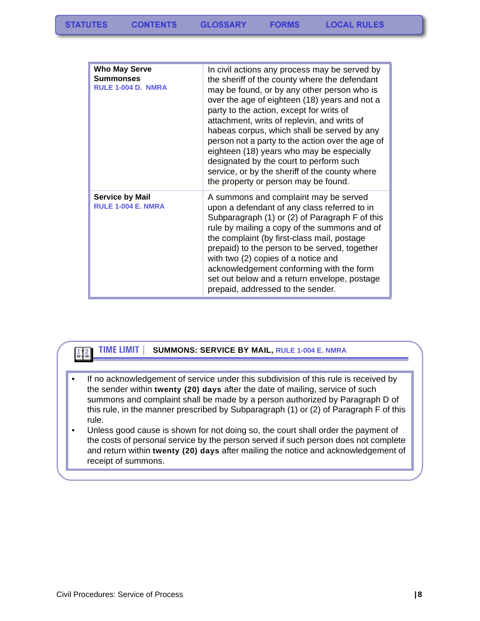| <b>Who May Serve</b><br><b>Summonses</b><br>RULE 1-004 D. NMRA | In civil actions any process may be served by<br>the sheriff of the county where the defendant<br>may be found, or by any other person who is<br>over the age of eighteen (18) years and not a<br>party to the action, except for writs of<br>attachment, writs of replevin, and writs of<br>habeas corpus, which shall be served by any<br>person not a party to the action over the age of<br>eighteen (18) years who may be especially<br>designated by the court to perform such<br>service, or by the sheriff of the county where<br>the property or person may be found. |
|----------------------------------------------------------------|--------------------------------------------------------------------------------------------------------------------------------------------------------------------------------------------------------------------------------------------------------------------------------------------------------------------------------------------------------------------------------------------------------------------------------------------------------------------------------------------------------------------------------------------------------------------------------|
| <b>Service by Mail</b><br><b>RULE 1-004 E. NMRA</b>            | A summons and complaint may be served<br>upon a defendant of any class referred to in<br>Subparagraph (1) or (2) of Paragraph F of this<br>rule by mailing a copy of the summons and of<br>the complaint (by first-class mail, postage<br>prepaid) to the person to be served, together<br>with two (2) copies of a notice and<br>acknowledgement conforming with the form<br>set out below and a return envelope, postage<br>prepaid, addressed to the sender.                                                                                                                |

### **TIME LIMIT | SUMMONS: SERVICE BY MAIL, RULE 1-004 E. NMRA**

- If no acknowledgement of service under this subdivision of this rule is received by the sender within **twenty (20) days** after the date of mailing, service of such summons and complaint shall be made by a person authorized by Paragraph D of this rule, in the manner prescribed by Subparagraph (1) or (2) of Paragraph F of this rule.
- Unless good cause is shown for not doing so, the court shall order the payment of the costs of personal service by the person served if such person does not complete and return within **twenty (20) days** after mailing the notice and acknowledgement of receipt of summons.

 $112$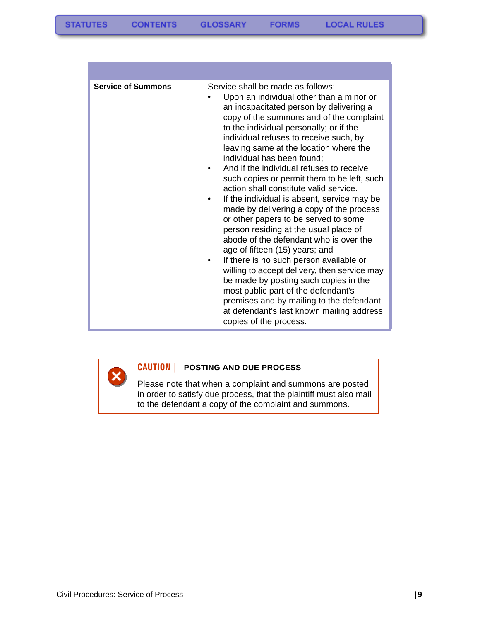| <b>Service of Summons</b> | Service shall be made as follows:<br>Upon an individual other than a minor or<br>an incapacitated person by delivering a<br>copy of the summons and of the complaint<br>to the individual personally; or if the<br>individual refuses to receive such, by<br>leaving same at the location where the<br>individual has been found;<br>And if the individual refuses to receive<br>such copies or permit them to be left, such<br>action shall constitute valid service.<br>If the individual is absent, service may be<br>made by delivering a copy of the process<br>or other papers to be served to some<br>person residing at the usual place of<br>abode of the defendant who is over the<br>age of fifteen (15) years; and<br>If there is no such person available or<br>willing to accept delivery, then service may<br>be made by posting such copies in the<br>most public part of the defendant's<br>premises and by mailing to the defendant<br>at defendant's last known mailing address<br>copies of the process. |
|---------------------------|------------------------------------------------------------------------------------------------------------------------------------------------------------------------------------------------------------------------------------------------------------------------------------------------------------------------------------------------------------------------------------------------------------------------------------------------------------------------------------------------------------------------------------------------------------------------------------------------------------------------------------------------------------------------------------------------------------------------------------------------------------------------------------------------------------------------------------------------------------------------------------------------------------------------------------------------------------------------------------------------------------------------------|

**CAUTION | POSTING AND DUE PROCESS**

Please note that when a complaint and summons are posted in order to satisfy due process, that the plaintiff must also mail to the defendant a copy of the complaint and summons.

Ø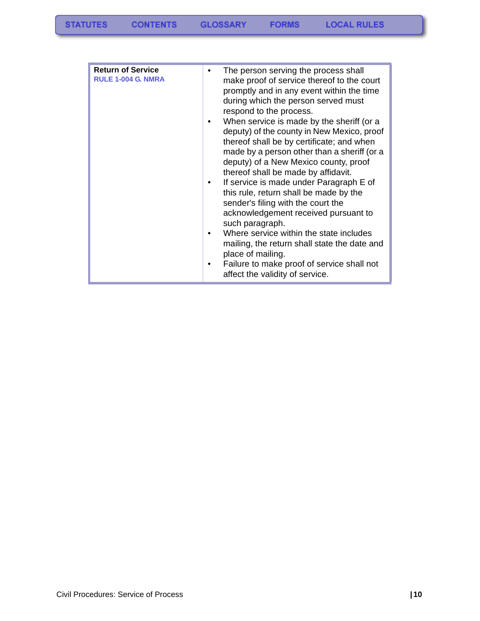| <b>Return of Service</b><br><b>RULE 1-004 G. NMRA</b> | The person serving the process shall<br>make proof of service thereof to the court<br>promptly and in any event within the time<br>during which the person served must<br>respond to the process.<br>When service is made by the sheriff (or a<br>deputy) of the county in New Mexico, proof<br>thereof shall be by certificate; and when<br>made by a person other than a sheriff (or a<br>deputy) of a New Mexico county, proof<br>thereof shall be made by affidavit.<br>If service is made under Paragraph E of<br>this rule, return shall be made by the<br>sender's filing with the court the<br>acknowledgement received pursuant to<br>such paragraph.<br>Where service within the state includes<br>mailing, the return shall state the date and<br>place of mailing.<br>Failure to make proof of service shall not |
|-------------------------------------------------------|------------------------------------------------------------------------------------------------------------------------------------------------------------------------------------------------------------------------------------------------------------------------------------------------------------------------------------------------------------------------------------------------------------------------------------------------------------------------------------------------------------------------------------------------------------------------------------------------------------------------------------------------------------------------------------------------------------------------------------------------------------------------------------------------------------------------------|
|                                                       | affect the validity of service.                                                                                                                                                                                                                                                                                                                                                                                                                                                                                                                                                                                                                                                                                                                                                                                              |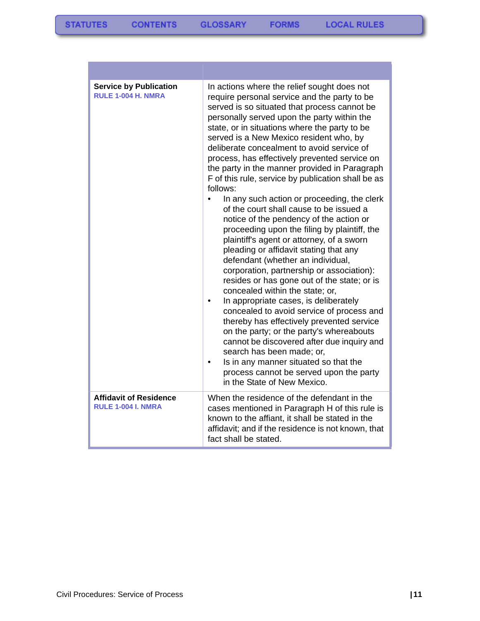| <b>Service by Publication</b><br><b>RULE 1-004 H. NMRA</b> | In actions where the relief sought does not<br>require personal service and the party to be<br>served is so situated that process cannot be<br>personally served upon the party within the<br>state, or in situations where the party to be<br>served is a New Mexico resident who, by<br>deliberate concealment to avoid service of<br>process, has effectively prevented service on<br>the party in the manner provided in Paragraph<br>F of this rule, service by publication shall be as<br>follows:<br>In any such action or proceeding, the clerk<br>of the court shall cause to be issued a<br>notice of the pendency of the action or<br>proceeding upon the filing by plaintiff, the<br>plaintiff's agent or attorney, of a sworn<br>pleading or affidavit stating that any<br>defendant (whether an individual,<br>corporation, partnership or association):<br>resides or has gone out of the state; or is<br>concealed within the state; or,<br>In appropriate cases, is deliberately<br>concealed to avoid service of process and<br>thereby has effectively prevented service<br>on the party; or the party's whereabouts<br>cannot be discovered after due inquiry and<br>search has been made; or,<br>Is in any manner situated so that the<br>process cannot be served upon the party<br>in the State of New Mexico. |
|------------------------------------------------------------|---------------------------------------------------------------------------------------------------------------------------------------------------------------------------------------------------------------------------------------------------------------------------------------------------------------------------------------------------------------------------------------------------------------------------------------------------------------------------------------------------------------------------------------------------------------------------------------------------------------------------------------------------------------------------------------------------------------------------------------------------------------------------------------------------------------------------------------------------------------------------------------------------------------------------------------------------------------------------------------------------------------------------------------------------------------------------------------------------------------------------------------------------------------------------------------------------------------------------------------------------------------------------------------------------------------------------------------|
| <b>Affidavit of Residence</b><br><b>RULE 1-004 I. NMRA</b> | When the residence of the defendant in the<br>cases mentioned in Paragraph H of this rule is<br>known to the affiant, it shall be stated in the<br>affidavit; and if the residence is not known, that<br>fact shall be stated.                                                                                                                                                                                                                                                                                                                                                                                                                                                                                                                                                                                                                                                                                                                                                                                                                                                                                                                                                                                                                                                                                                        |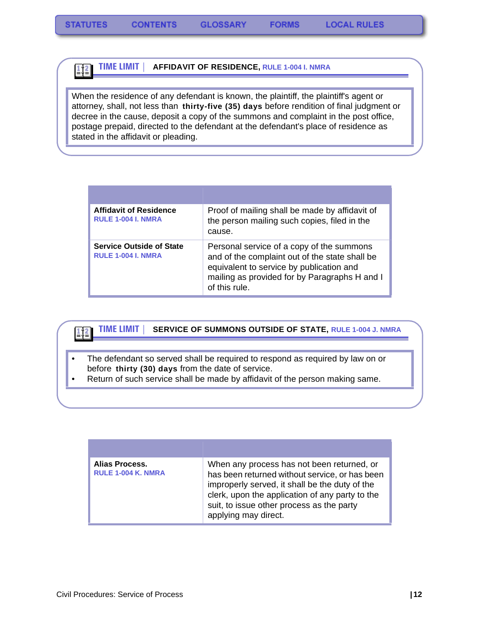#### **TIME LIMIT | AFFIDAVIT OF RESIDENCE, RULE 1-004 I. NMRA**  $\frac{1}{2}$

When the residence of any defendant is known, the plaintiff, the plaintiff's agent or attorney, shall, not less than **thirty-five (35) days** before rendition of final judgment or decree in the cause, deposit a copy of the summons and complaint in the post office, postage prepaid, directed to the defendant at the defendant's place of residence as stated in the affidavit or pleading.

| <b>Affidavit of Residence</b><br><b>RULE 1-004 I. NMRA</b>   | Proof of mailing shall be made by affidavit of<br>the person mailing such copies, filed in the<br>cause.                                                                                                  |
|--------------------------------------------------------------|-----------------------------------------------------------------------------------------------------------------------------------------------------------------------------------------------------------|
| <b>Service Outside of State</b><br><b>RULE 1-004 I. NMRA</b> | Personal service of a copy of the summons<br>and of the complaint out of the state shall be<br>equivalent to service by publication and<br>mailing as provided for by Paragraphs H and I<br>of this rule. |

#### **TIME LIMIT | SERVICE OF SUMMONS OUTSIDE OF STATE, RULE 1-004 J. NMRA**   $\left| \frac{1}{2} \right|$

- The defendant so served shall be required to respond as required by law on or before **thirty (30) days** from the date of service.
- Return of such service shall be made by affidavit of the person making same.

| Alias Process.<br><b>RULE 1-004 K. NMRA</b> | When any process has not been returned, or<br>has been returned without service, or has been<br>improperly served, it shall be the duty of the<br>clerk, upon the application of any party to the<br>suit, to issue other process as the party<br>applying may direct. |
|---------------------------------------------|------------------------------------------------------------------------------------------------------------------------------------------------------------------------------------------------------------------------------------------------------------------------|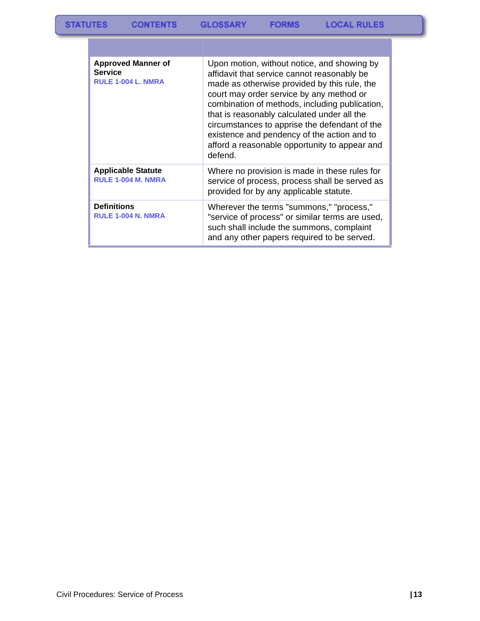| <b>Approved Manner of</b><br><b>Service</b><br>RULE 1-004 L. NMRA | Upon motion, without notice, and showing by<br>affidavit that service cannot reasonably be<br>made as otherwise provided by this rule, the<br>court may order service by any method or<br>combination of methods, including publication,<br>that is reasonably calculated under all the<br>circumstances to apprise the defendant of the<br>existence and pendency of the action and to<br>afford a reasonable opportunity to appear and<br>defend. |
|-------------------------------------------------------------------|-----------------------------------------------------------------------------------------------------------------------------------------------------------------------------------------------------------------------------------------------------------------------------------------------------------------------------------------------------------------------------------------------------------------------------------------------------|
| <b>Applicable Statute</b><br><b>RULE 1-004 M. NMRA</b>            | Where no provision is made in these rules for<br>service of process, process shall be served as<br>provided for by any applicable statute.                                                                                                                                                                                                                                                                                                          |
| <b>Definitions</b><br><b>RULE 1-004 N. NMRA</b>                   | Wherever the terms "summons," "process,"<br>"service of process" or similar terms are used,<br>such shall include the summons, complaint<br>and any other papers required to be served.                                                                                                                                                                                                                                                             |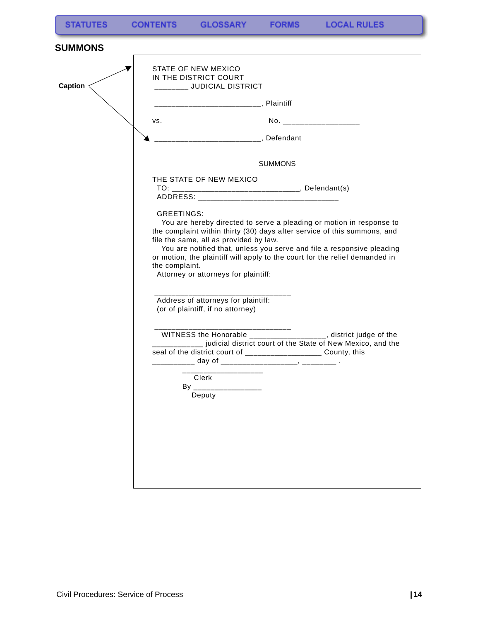**FORMS** 

<span id="page-15-0"></span>

| STATE OF NEW MEXICO<br>IN THE DISTRICT COURT<br>_______ JUDICIAL DISTRICT                                             |                                                                                                                                                                                                                                                                                                           |
|-----------------------------------------------------------------------------------------------------------------------|-----------------------------------------------------------------------------------------------------------------------------------------------------------------------------------------------------------------------------------------------------------------------------------------------------------|
|                                                                                                                       |                                                                                                                                                                                                                                                                                                           |
| VS.                                                                                                                   | No. _____________________                                                                                                                                                                                                                                                                                 |
| _____________________________, Defendant                                                                              |                                                                                                                                                                                                                                                                                                           |
|                                                                                                                       | <b>SUMMONS</b>                                                                                                                                                                                                                                                                                            |
| THE STATE OF NEW MEXICO                                                                                               |                                                                                                                                                                                                                                                                                                           |
| <b>GREETINGS:</b><br>file the same, all as provided by law.<br>the complaint.<br>Attorney or attorneys for plaintiff: | You are hereby directed to serve a pleading or motion in response to<br>the complaint within thirty (30) days after service of this summons, and<br>You are notified that, unless you serve and file a responsive pleading<br>or motion, the plaintiff will apply to the court for the relief demanded in |
| Address of attorneys for plaintiff:<br>(or of plaintiff, if no attorney)                                              |                                                                                                                                                                                                                                                                                                           |
| seal of the district court of ____________________ County, this<br>Clerk<br>Deputy                                    | ____________<br>___________ judicial district court of the State of New Mexico, and the                                                                                                                                                                                                                   |
|                                                                                                                       |                                                                                                                                                                                                                                                                                                           |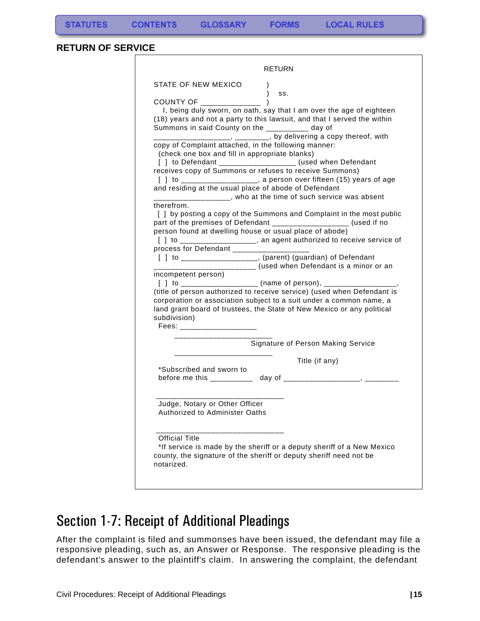**FORMS** 

#### <span id="page-16-0"></span>**RETURN OF SERVICE**

|                                                                                                                                                                 | RETURN                                                                                                                                                                                                                                                                                                                                                                                      |
|-----------------------------------------------------------------------------------------------------------------------------------------------------------------|---------------------------------------------------------------------------------------------------------------------------------------------------------------------------------------------------------------------------------------------------------------------------------------------------------------------------------------------------------------------------------------------|
| STATE OF NEW MEXICO<br>COUNTY OF ______________<br>Summons in said County on the __________ day of                                                              | $\lambda$<br>SS.<br>I, being duly sworn, on oath, say that I am over the age of eighteen<br>(18) years and not a party to this lawsuit, and that I served the within                                                                                                                                                                                                                        |
| copy of Complaint attached, in the following manner:<br>(check one box and fill in appropriate blanks)<br>and residing at the usual place of abode of Defendant | _________________, _______, by delivering a copy thereof, with<br>[ ] to Defendant ____________________ (used when Defendant<br>receives copy of Summons or refuses to receive Summons)<br>[] to ___________________, a person over fifteen (15) years of age<br>_______________, who at the time of such service was absent                                                                |
| therefrom.<br>process for Defendant _________________<br>______________<br>incompetent person)                                                                  | [ ] by posting a copy of the Summons and Complaint in the most public<br>part of the premises of Defendant ___________________ (used if no<br>person found at dwelling house or usual place of abode)<br>[] to __________________, an agent authorized to receive service of<br>[ ] to __________________, (parent) (guardian) of Defendant<br>______ (used when Defendant is a minor or an |
| subdivision)<br>Fees: The Research                                                                                                                              | (title of person authorized to receive service) (used when Defendant is<br>corporation or association subject to a suit under a common name, a<br>land grant board of trustees, the State of New Mexico or any political                                                                                                                                                                    |
|                                                                                                                                                                 | Signature of Person Making Service                                                                                                                                                                                                                                                                                                                                                          |
| *Subscribed and sworn to                                                                                                                                        | Title (if any)<br>before me this ___________ day of ___________________, _______                                                                                                                                                                                                                                                                                                            |
| Judge, Notary or Other Officer<br>Authorized to Administer Oaths                                                                                                |                                                                                                                                                                                                                                                                                                                                                                                             |
| <b>Official Title</b>                                                                                                                                           | *If service is made by the sheriff or a deputy sheriff of a New Mexico<br>county, the signature of the sheriff or deputy sheriff need not be                                                                                                                                                                                                                                                |

## <span id="page-16-1"></span>Section 1-7: Receipt of Additional Pleadings

After the complaint is filed and summonses have been issued, the defendant may file a responsive pleading, such as, an Answer or Response. The responsive pleading is the defendant's answer to the plaintiff's claim. In answering the complaint, the defendant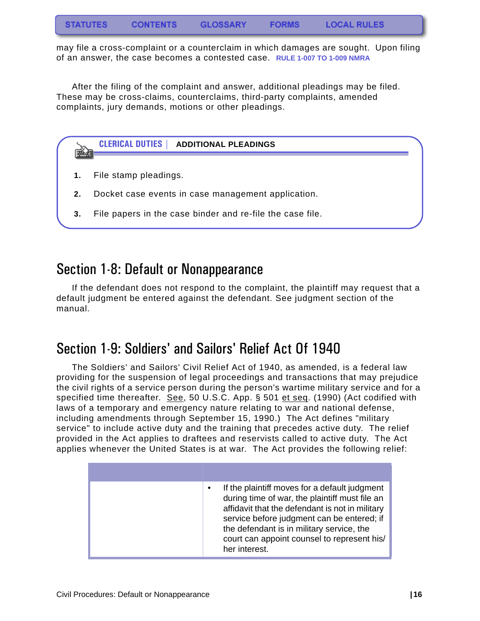may file a cross-complaint or a counterclaim in which damages are sought. Upon filing of an answer, the case becomes a contested case. **RULE 1-007 TO 1-009 NMRA** 

After the filing of the complaint and answer, additional pleadings may be filed. These may be cross-claims, counterclaims, third-party complaints, amended complaints, jury demands, motions or other pleadings.



## <span id="page-17-0"></span>Section 1-8: Default or Nonappearance

If the defendant does not respond to the complaint, the plaintiff may request that a default judgment be entered against the defendant. See judgment section of the manual.

## <span id="page-17-1"></span>Section 1-9: Soldiers' and Sailors' Relief Act Of 1940

The Soldiers' and Sailors' Civil Relief Act of 1940, as amended, is a federal law providing for the suspension of legal proceedings and transactions that may prejudice the civil rights of a service person during the person's wartime military service and for a specified time thereafter. See, 50 U.S.C. App. § 501 et seq. (1990) (Act codified with laws of a temporary and emergency nature relating to war and national defense, including amendments through September 15, 1990.) The Act defines "military service" to include active duty and the training that precedes active duty. The relief provided in the Act applies to draftees and reservists called to active duty. The Act applies whenever the United States is at war. The Act provides the following relief:

| If the plaintiff moves for a default judgment<br>$\bullet$<br>during time of war, the plaintiff must file an<br>affidavit that the defendant is not in military<br>service before judgment can be entered; if<br>the defendant is in military service, the<br>court can appoint counsel to represent his/<br>her interest. |
|----------------------------------------------------------------------------------------------------------------------------------------------------------------------------------------------------------------------------------------------------------------------------------------------------------------------------|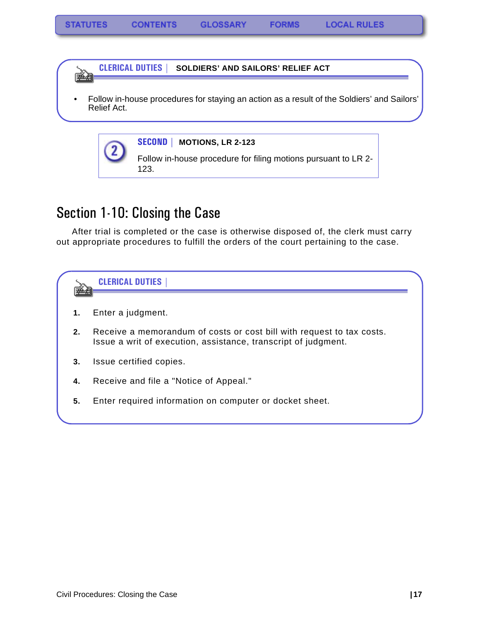**CLERICAL DUTIES | SOLDIERS' AND SAILORS' RELIEF ACT** しゃくら しょうしょう

• Follow in-house procedures for staying an action as a result of the Soldiers' and Sailors' Relief Act.

|  |         | <b>SECOND</b>   MOTIONS, LR 2-123                                      |
|--|---------|------------------------------------------------------------------------|
|  | $\odot$ | Follow in-house procedure for filing motions pursuant to LR 2-<br>123. |

## <span id="page-18-0"></span>Section 1-10: Closing the Case

After trial is completed or the case is otherwise disposed of, the clerk must carry out appropriate procedures to fulfill the orders of the court pertaining to the case.

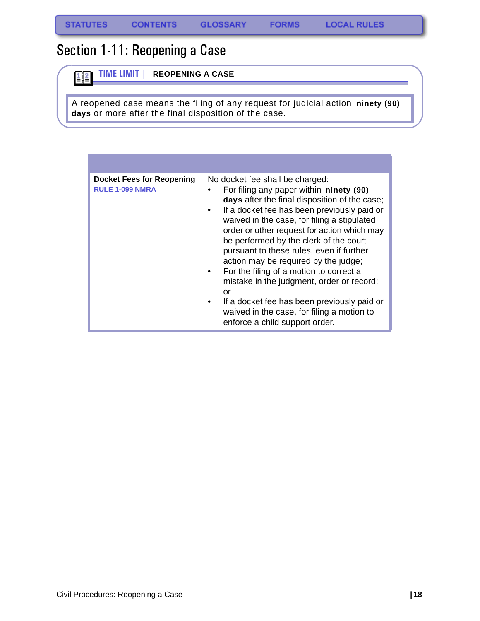$\frac{1}{2}$ 

## <span id="page-19-0"></span>Section 1-11: Reopening a Case

**TIME LIMIT | REOPENING A CASE**

A reopened case means the filing of any request for judicial action **ninety (90) days** or more after the final disposition of the case.

| <b>Docket Fees for Reopening</b><br><b>RULE 1-099 NMRA</b> | No docket fee shall be charged:<br>For filing any paper within ninety (90)<br>days after the final disposition of the case;<br>If a docket fee has been previously paid or<br>$\bullet$<br>waived in the case, for filing a stipulated<br>order or other request for action which may<br>be performed by the clerk of the court<br>pursuant to these rules, even if further<br>action may be required by the judge;<br>For the filing of a motion to correct a<br>٠<br>mistake in the judgment, order or record;<br>or<br>If a docket fee has been previously paid or<br>٠<br>waived in the case, for filing a motion to<br>enforce a child support order. |
|------------------------------------------------------------|------------------------------------------------------------------------------------------------------------------------------------------------------------------------------------------------------------------------------------------------------------------------------------------------------------------------------------------------------------------------------------------------------------------------------------------------------------------------------------------------------------------------------------------------------------------------------------------------------------------------------------------------------------|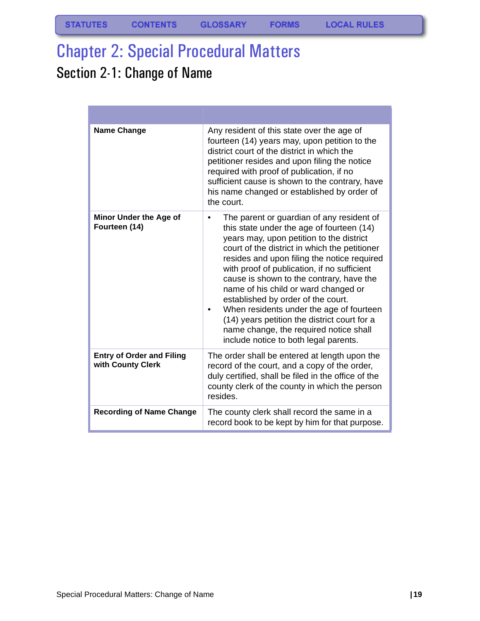# <span id="page-20-0"></span>Chapter 2: Special Procedural Matters

# <span id="page-20-1"></span>Section 2-1: Change of Name

| <b>Name Change</b>                                    | Any resident of this state over the age of<br>fourteen (14) years may, upon petition to the<br>district court of the district in which the<br>petitioner resides and upon filing the notice<br>required with proof of publication, if no<br>sufficient cause is shown to the contrary, have<br>his name changed or established by order of<br>the court.                                                                                                                                                                                                                                   |
|-------------------------------------------------------|--------------------------------------------------------------------------------------------------------------------------------------------------------------------------------------------------------------------------------------------------------------------------------------------------------------------------------------------------------------------------------------------------------------------------------------------------------------------------------------------------------------------------------------------------------------------------------------------|
| Minor Under the Age of<br>Fourteen (14)               | The parent or guardian of any resident of<br>this state under the age of fourteen (14)<br>years may, upon petition to the district<br>court of the district in which the petitioner<br>resides and upon filing the notice required<br>with proof of publication, if no sufficient<br>cause is shown to the contrary, have the<br>name of his child or ward changed or<br>established by order of the court.<br>When residents under the age of fourteen<br>(14) years petition the district court for a<br>name change, the required notice shall<br>include notice to both legal parents. |
| <b>Entry of Order and Filing</b><br>with County Clerk | The order shall be entered at length upon the<br>record of the court, and a copy of the order,<br>duly certified, shall be filed in the office of the<br>county clerk of the county in which the person<br>resides.                                                                                                                                                                                                                                                                                                                                                                        |
| <b>Recording of Name Change</b>                       | The county clerk shall record the same in a<br>record book to be kept by him for that purpose.                                                                                                                                                                                                                                                                                                                                                                                                                                                                                             |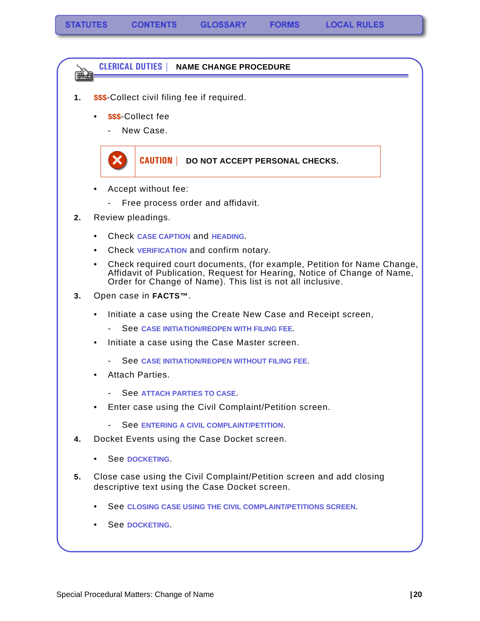**CLERICAL DUTIES | NAME CHANGE PROCEDURE**

- **1. \$\$\$**-Collect civil filing fee if required.
	- **\$\$\$**-Collect fee

医动物

New Case.

### **CAUTION | DO NOT ACCEPT PERSONAL CHECKS.**

- Accept without fee:
	- Free process order and affidavit.
- **2.** Review pleadings.
	- Check **CASE CAPTION** and **HEADING**.
	- Check **VERIFICATION** and confirm notary.
	- Check required court documents, (for example, Petition for Name Change, Affidavit of Publication, Request for Hearing, Notice of Change of Name, Order for Change of Name). This list is not all inclusive.
- **3.** Open case in **FACTS™**.
	- Initiate a case using the Create New Case and Receipt screen,
		- See **[CASE INITIATION/REOPEN WITH FILING FEE](#page-40-2)**.
	- Initiate a case using the Case Master screen.
		- See **[CASE INITIATION/REOPEN WITHOUT FILING FEE](#page-52-1)**.
	- Attach Parties.
		- See **[ATTACH PARTIES TO CASE](#page-55-1).**
	- Enter case using the Civil Complaint/Petition screen.
		- See **[ENTERING A CIVIL COMPLAINT/PETITION](#page-70-1)**.
- **4.** Docket Events using the Case Docket screen.
	- See **[DOCKETING](#page-76-1)**.
- **5.** Close case using the Civil Complaint/Petition screen and add closing descriptive text using the Case Docket screen.
	- See **[CLOSING CASE USING THE CIVIL COMPLAINT/PETITIONS SCREEN](#page-79-1)**.
	- See **[DOCKETING](#page-76-1)**.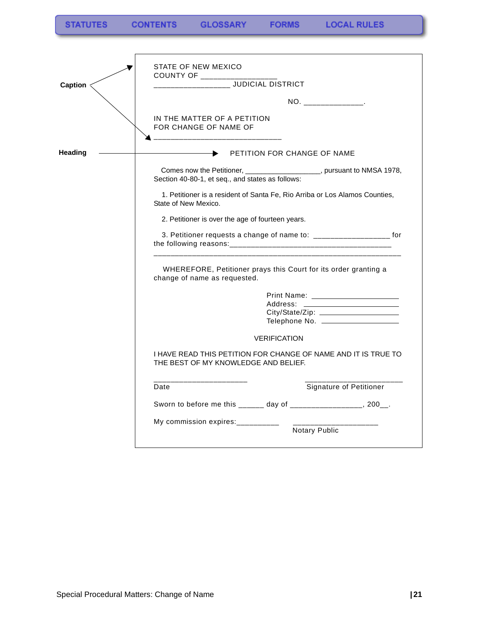**FORMS** 

| <b>Caption</b> | STATE OF NEW MEXICO<br>COUNTY OF ___________                                                                               |  |
|----------------|----------------------------------------------------------------------------------------------------------------------------|--|
|                | NO. ________________.                                                                                                      |  |
|                | IN THE MATTER OF A PETITION<br>FOR CHANGE OF NAME OF                                                                       |  |
| Heading        | PETITION FOR CHANGE OF NAME                                                                                                |  |
|                | Comes now the Petitioner, ____________________, pursuant to NMSA 1978,<br>Section 40-80-1, et seq., and states as follows: |  |
|                | 1. Petitioner is a resident of Santa Fe, Rio Arriba or Los Alamos Counties,<br>State of New Mexico.                        |  |
|                | 2. Petitioner is over the age of fourteen years.                                                                           |  |
|                | 3. Petitioner requests a change of name to: _______________________ for                                                    |  |
|                | WHEREFORE, Petitioner prays this Court for its order granting a<br>change of name as requested.                            |  |
|                |                                                                                                                            |  |
|                |                                                                                                                            |  |
|                |                                                                                                                            |  |
|                | <b>VERIFICATION</b>                                                                                                        |  |
|                | I HAVE READ THIS PETITION FOR CHANGE OF NAME AND IT IS TRUE TO<br>THE BEST OF MY KNOWLEDGE AND BELIEF.                     |  |
|                | Signature of Petitioner<br>Date                                                                                            |  |
|                | Sworn to before me this ______ day of __________________, 200__.                                                           |  |
|                | My commission expires:__________                                                                                           |  |
|                | Notary Public                                                                                                              |  |
|                |                                                                                                                            |  |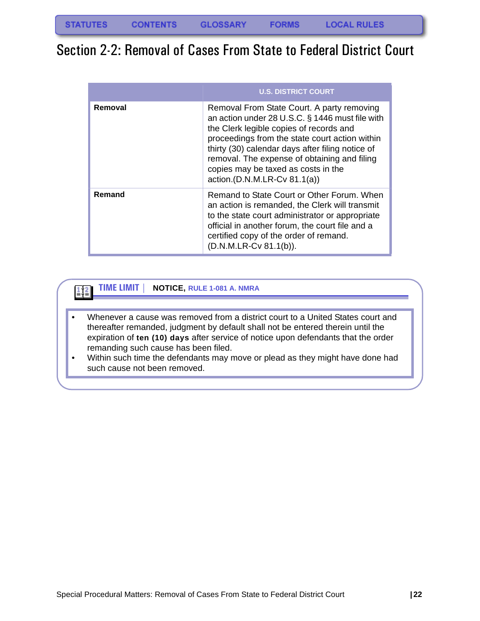## <span id="page-23-0"></span>Section 2-2: Removal of Cases From State to Federal District Court

|         | <b>U.S. DISTRICT COURT</b>                                                                                                                                                                                                                                                                                                                                            |
|---------|-----------------------------------------------------------------------------------------------------------------------------------------------------------------------------------------------------------------------------------------------------------------------------------------------------------------------------------------------------------------------|
| Removal | Removal From State Court. A party removing<br>an action under 28 U.S.C. § 1446 must file with<br>the Clerk legible copies of records and<br>proceedings from the state court action within<br>thirty (30) calendar days after filing notice of<br>removal. The expense of obtaining and filing<br>copies may be taxed as costs in the<br>action.(D.N.M.LR-Cv 81.1(a)) |
| Remand  | Remand to State Court or Other Forum. When<br>an action is remanded, the Clerk will transmit<br>to the state court administrator or appropriate<br>official in another forum, the court file and a<br>certified copy of the order of remand.<br>(D.N.M.LR-Cv 81.1(b)).                                                                                                |

#### **TIME LIMIT | NOTICE, RULE 1-081 A. NMRA** 国

- Whenever a cause was removed from a district court to a United States court and thereafter remanded, judgment by default shall not be entered therein until the expiration of **ten (10) days** after service of notice upon defendants that the order remanding such cause has been filed.
- Within such time the defendants may move or plead as they might have done had such cause not been removed.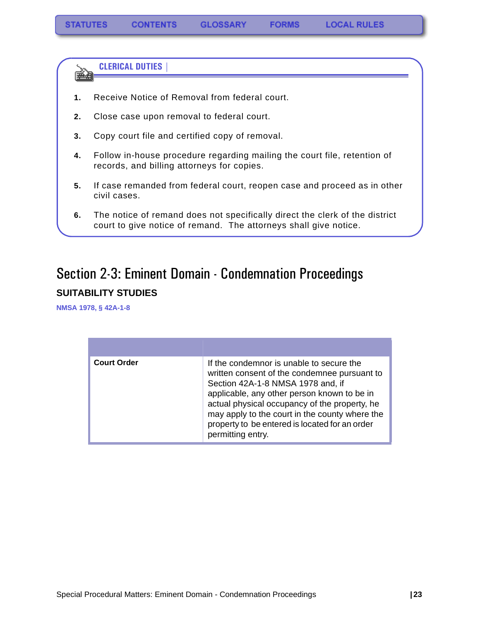**CLERICAL DUTIES |** 

eman partido por la provincia de la provincia de la provincia de la provincia de la provincia de la provincia <br>De la provincia de la provincia de la provincia de la provincia de la provincia de la provincia de la provinci<br>

- **1.** Receive Notice of Removal from federal court.
- **2.** Close case upon removal to federal court.
- **3.** Copy court file and certified copy of removal.
- **4.** Follow in-house procedure regarding mailing the court file, retention of records, and billing attorneys for copies.
- **5.** If case remanded from federal court, reopen case and proceed as in other civil cases.
- **6.** The notice of remand does not specifically direct the clerk of the district court to give notice of remand. The attorneys shall give notice.

## <span id="page-24-0"></span>Section 2-3: Eminent Domain - Condemnation Proceedings **SUITABILITY STUDIES**

<span id="page-24-1"></span>**NMSA 1978, § 42A-1-8**

| <b>Court Order</b> | If the condemnor is unable to secure the<br>written consent of the condemnee pursuant to<br>Section 42A-1-8 NMSA 1978 and, if<br>applicable, any other person known to be in<br>actual physical occupancy of the property, he<br>may apply to the court in the county where the<br>property to be entered is located for an order<br>permitting entry. |
|--------------------|--------------------------------------------------------------------------------------------------------------------------------------------------------------------------------------------------------------------------------------------------------------------------------------------------------------------------------------------------------|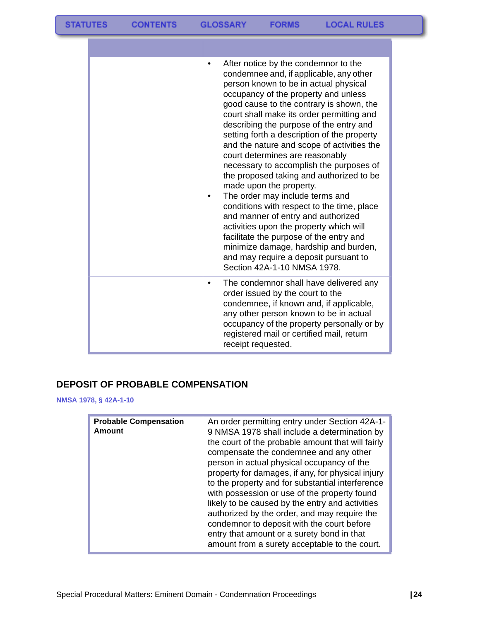| After notice by the condemnor to the<br>٠<br>condemnee and, if applicable, any other<br>person known to be in actual physical<br>occupancy of the property and unless<br>good cause to the contrary is shown, the<br>court shall make its order permitting and<br>describing the purpose of the entry and<br>setting forth a description of the property<br>and the nature and scope of activities the<br>court determines are reasonably<br>necessary to accomplish the purposes of<br>the proposed taking and authorized to be<br>made upon the property.<br>The order may include terms and<br>conditions with respect to the time, place<br>and manner of entry and authorized<br>activities upon the property which will<br>facilitate the purpose of the entry and<br>minimize damage, hardship and burden,<br>and may require a deposit pursuant to<br>Section 42A-1-10 NMSA 1978. |
|-------------------------------------------------------------------------------------------------------------------------------------------------------------------------------------------------------------------------------------------------------------------------------------------------------------------------------------------------------------------------------------------------------------------------------------------------------------------------------------------------------------------------------------------------------------------------------------------------------------------------------------------------------------------------------------------------------------------------------------------------------------------------------------------------------------------------------------------------------------------------------------------|
| The condemnor shall have delivered any<br>٠<br>order issued by the court to the<br>condemnee, if known and, if applicable,<br>any other person known to be in actual<br>occupancy of the property personally or by<br>registered mail or certified mail, return<br>receipt requested.                                                                                                                                                                                                                                                                                                                                                                                                                                                                                                                                                                                                     |

### <span id="page-25-0"></span>**DEPOSIT OF PROBABLE COMPENSATION**

**NMSA 1978, § 42A-1-10**

| <b>Probable Compensation</b><br>Amount | An order permitting entry under Section 42A-1-<br>9 NMSA 1978 shall include a determination by<br>the court of the probable amount that will fairly<br>compensate the condemnee and any other<br>person in actual physical occupancy of the<br>property for damages, if any, for physical injury<br>to the property and for substantial interference<br>with possession or use of the property found<br>likely to be caused by the entry and activities<br>authorized by the order, and may require the<br>condemnor to deposit with the court before<br>entry that amount or a surety bond in that<br>amount from a surety acceptable to the court. |
|----------------------------------------|------------------------------------------------------------------------------------------------------------------------------------------------------------------------------------------------------------------------------------------------------------------------------------------------------------------------------------------------------------------------------------------------------------------------------------------------------------------------------------------------------------------------------------------------------------------------------------------------------------------------------------------------------|
|----------------------------------------|------------------------------------------------------------------------------------------------------------------------------------------------------------------------------------------------------------------------------------------------------------------------------------------------------------------------------------------------------------------------------------------------------------------------------------------------------------------------------------------------------------------------------------------------------------------------------------------------------------------------------------------------------|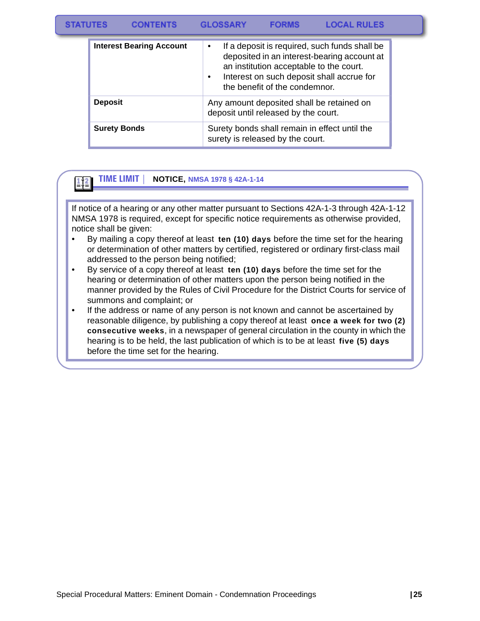#### **STATUTES CONTENTS GLOSSARY FORMS LOCAL RULES**

| <b>Interest Bearing Account</b> | If a deposit is required, such funds shall be<br>$\bullet$<br>deposited in an interest-bearing account at<br>an institution acceptable to the court.<br>Interest on such deposit shall accrue for<br>$\bullet$<br>the benefit of the condemnor. |
|---------------------------------|-------------------------------------------------------------------------------------------------------------------------------------------------------------------------------------------------------------------------------------------------|
| <b>Deposit</b>                  | Any amount deposited shall be retained on<br>deposit until released by the court.                                                                                                                                                               |
| <b>Surety Bonds</b>             | Surety bonds shall remain in effect until the<br>surety is released by the court.                                                                                                                                                               |

#### **TIME LIMIT | NOTICE, NMSA 1978 § 42A-1-14**  $\frac{1}{2}$

If notice of a hearing or any other matter pursuant to Sections 42A-1-3 through 42A-1-12 NMSA 1978 is required, except for specific notice requirements as otherwise provided, notice shall be given:

- By mailing a copy thereof at least **ten (10) days** before the time set for the hearing or determination of other matters by certified, registered or ordinary first-class mail addressed to the person being notified;
- By service of a copy thereof at least **ten (10) days** before the time set for the hearing or determination of other matters upon the person being notified in the manner provided by the Rules of Civil Procedure for the District Courts for service of summons and complaint; or
- If the address or name of any person is not known and cannot be ascertained by reasonable diligence, by publishing a copy thereof at least **once a week for two (2) consecutive weeks**, in a newspaper of general circulation in the county in which the hearing is to be held, the last publication of which is to be at least **five (5) days** before the time set for the hearing.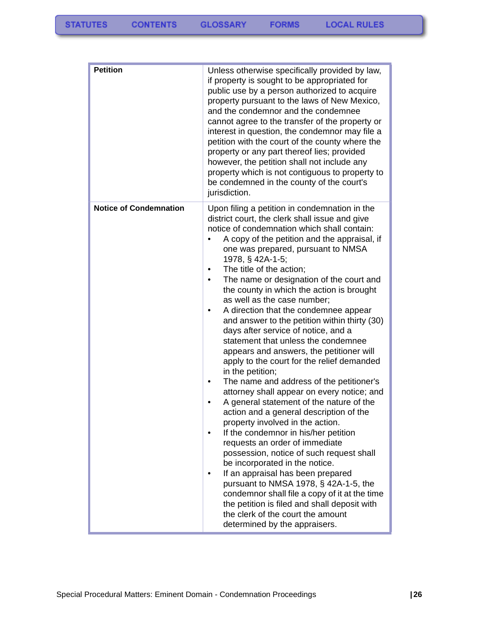| <b>Petition</b>               | Unless otherwise specifically provided by law,<br>if property is sought to be appropriated for<br>public use by a person authorized to acquire<br>property pursuant to the laws of New Mexico,<br>and the condemnor and the condemnee<br>cannot agree to the transfer of the property or<br>interest in question, the condemnor may file a<br>petition with the court of the county where the<br>property or any part thereof lies; provided<br>however, the petition shall not include any<br>property which is not contiguous to property to<br>be condemned in the county of the court's<br>jurisdiction.                                                                                                                                                                                                                                                                                                                                                                                                                                                                                                                                                                                                                                                                                                                                                |
|-------------------------------|-------------------------------------------------------------------------------------------------------------------------------------------------------------------------------------------------------------------------------------------------------------------------------------------------------------------------------------------------------------------------------------------------------------------------------------------------------------------------------------------------------------------------------------------------------------------------------------------------------------------------------------------------------------------------------------------------------------------------------------------------------------------------------------------------------------------------------------------------------------------------------------------------------------------------------------------------------------------------------------------------------------------------------------------------------------------------------------------------------------------------------------------------------------------------------------------------------------------------------------------------------------------------------------------------------------------------------------------------------------|
| <b>Notice of Condemnation</b> | Upon filing a petition in condemnation in the<br>district court, the clerk shall issue and give<br>notice of condemnation which shall contain:<br>A copy of the petition and the appraisal, if<br>one was prepared, pursuant to NMSA<br>1978, § 42A-1-5;<br>The title of the action;<br>The name or designation of the court and<br>$\bullet$<br>the county in which the action is brought<br>as well as the case number;<br>A direction that the condemnee appear<br>٠<br>and answer to the petition within thirty (30)<br>days after service of notice, and a<br>statement that unless the condemnee<br>appears and answers, the petitioner will<br>apply to the court for the relief demanded<br>in the petition;<br>The name and address of the petitioner's<br>٠<br>attorney shall appear on every notice; and<br>A general statement of the nature of the<br>action and a general description of the<br>property involved in the action.<br>If the condemnor in his/her petition<br>requests an order of immediate<br>possession, notice of such request shall<br>be incorporated in the notice.<br>If an appraisal has been prepared<br>pursuant to NMSA 1978, § 42A-1-5, the<br>condemnor shall file a copy of it at the time<br>the petition is filed and shall deposit with<br>the clerk of the court the amount<br>determined by the appraisers. |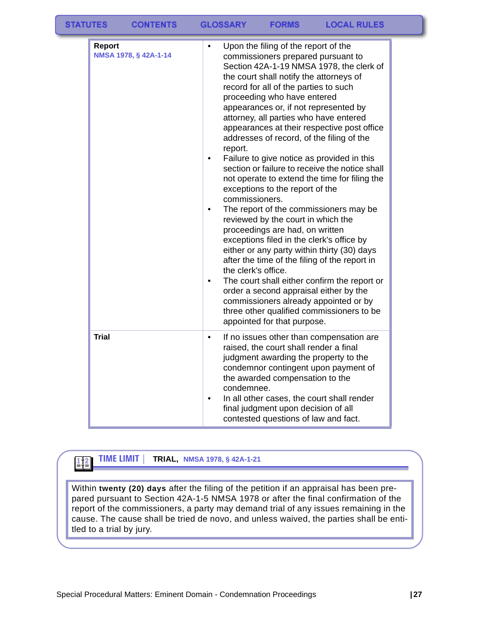| <b>TATUTES</b> | <b>CONTENTS</b>       | <b>GLOSSARY</b><br><b>LOCAL RULES</b><br><b>FORMS</b>                                                                                                                                                                                                                                                                                                                                                                                                                                                                                                                                                                                                                                                                                                                                                                                                                                                                                                                                                                                                                                                                                                                       |
|----------------|-----------------------|-----------------------------------------------------------------------------------------------------------------------------------------------------------------------------------------------------------------------------------------------------------------------------------------------------------------------------------------------------------------------------------------------------------------------------------------------------------------------------------------------------------------------------------------------------------------------------------------------------------------------------------------------------------------------------------------------------------------------------------------------------------------------------------------------------------------------------------------------------------------------------------------------------------------------------------------------------------------------------------------------------------------------------------------------------------------------------------------------------------------------------------------------------------------------------|
| <b>Report</b>  | NMSA 1978, § 42A-1-14 | Upon the filing of the report of the<br>٠<br>commissioners prepared pursuant to<br>Section 42A-1-19 NMSA 1978, the clerk of<br>the court shall notify the attorneys of<br>record for all of the parties to such<br>proceeding who have entered<br>appearances or, if not represented by<br>attorney, all parties who have entered<br>appearances at their respective post office<br>addresses of record, of the filing of the<br>report.<br>Failure to give notice as provided in this<br>٠<br>section or failure to receive the notice shall<br>not operate to extend the time for filing the<br>exceptions to the report of the<br>commissioners.<br>The report of the commissioners may be<br>$\bullet$<br>reviewed by the court in which the<br>proceedings are had, on written<br>exceptions filed in the clerk's office by<br>either or any party within thirty (30) days<br>after the time of the filing of the report in<br>the clerk's office.<br>The court shall either confirm the report or<br>٠<br>order a second appraisal either by the<br>commissioners already appointed or by<br>three other qualified commissioners to be<br>appointed for that purpose. |
| <b>Trial</b>   |                       | If no issues other than compensation are<br>$\bullet$<br>raised, the court shall render a final<br>judgment awarding the property to the<br>condemnor contingent upon payment of<br>the awarded compensation to the<br>condemnee.<br>In all other cases, the court shall render<br>٠<br>final judgment upon decision of all<br>contested questions of law and fact.                                                                                                                                                                                                                                                                                                                                                                                                                                                                                                                                                                                                                                                                                                                                                                                                         |

#### **TIME LIMIT | TRIAL, NMSA 1978, § 42A-1-21**  $\mathbf{E}$

Within **twenty (20) days** after the filing of the petition if an appraisal has been prepared pursuant to Section 42A-1-5 NMSA 1978 or after the final confirmation of the report of the commissioners, a party may demand trial of any issues remaining in the cause. The cause shall be tried de novo, and unless waived, the parties shall be entitled to a trial by jury.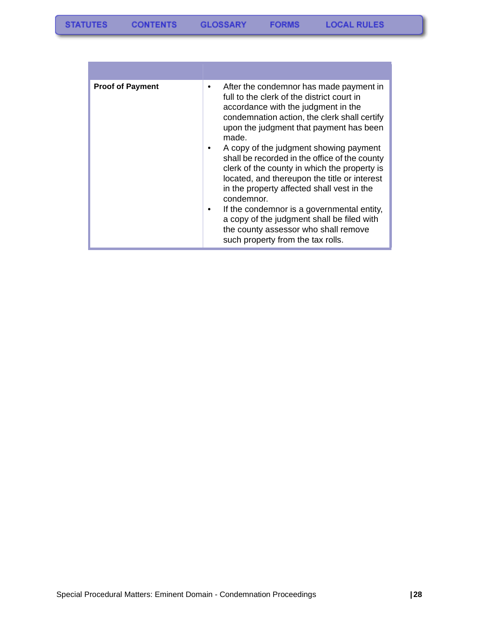| <b>Proof of Payment</b> | After the condemnor has made payment in<br>full to the clerk of the district court in<br>accordance with the judgment in the<br>condemnation action, the clerk shall certify<br>upon the judgment that payment has been<br>made.<br>A copy of the judgment showing payment<br>shall be recorded in the office of the county<br>clerk of the county in which the property is<br>located, and thereupon the title or interest<br>in the property affected shall vest in the<br>condemnor.<br>If the condemnor is a governmental entity,<br>a copy of the judgment shall be filed with<br>the county assessor who shall remove<br>such property from the tax rolls. |
|-------------------------|------------------------------------------------------------------------------------------------------------------------------------------------------------------------------------------------------------------------------------------------------------------------------------------------------------------------------------------------------------------------------------------------------------------------------------------------------------------------------------------------------------------------------------------------------------------------------------------------------------------------------------------------------------------|

and the state of the state of the state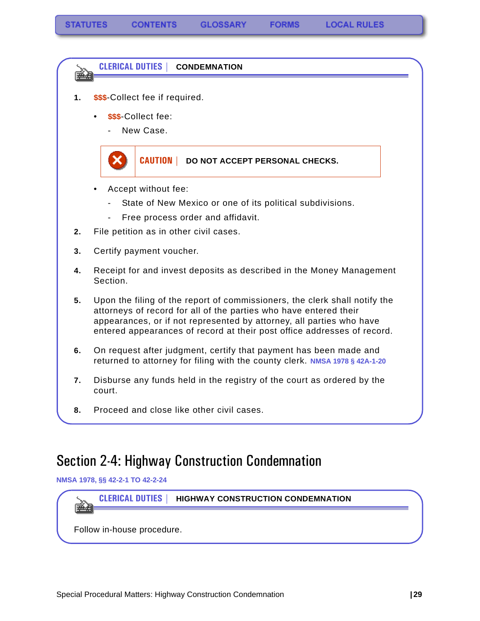# 医动物 **1. \$\$\$**-Collect fee if required. • **\$\$\$**-Collect fee: New Case. **CAUTION | DO NOT ACCEPT PERSONAL CHECKS.**

**CLERICAL DUTIES | CONDEMNATION**

- Accept without fee:
	- State of New Mexico or one of its political subdivisions.
	- Free process order and affidavit.
- **2.** File petition as in other civil cases.
- **3.** Certify payment voucher.
- **4.** Receipt for and invest deposits as described in the Money Management Section.
- **5.** Upon the filing of the report of commissioners, the clerk shall notify the attorneys of record for all of the parties who have entered their appearances, or if not represented by attorney, all parties who have entered appearances of record at their post office addresses of record.
- **6.** On request after judgment, certify that payment has been made and returned to attorney for filing with the county clerk. **NMSA 1978 § 42A-1-20**
- **7.** Disburse any funds held in the registry of the court as ordered by the court.
- **8.** Proceed and close like other civil cases.

## <span id="page-30-0"></span>Section 2-4: Highway Construction Condemnation

**NMSA 1978, §§ 42-2-1 TO 42-2-24**

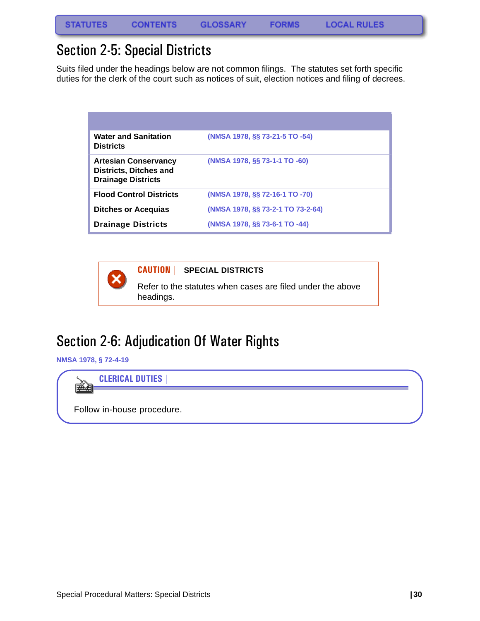## <span id="page-31-0"></span>Section 2-5: Special Districts

Suits filed under the headings below are not common filings. The statutes set forth specific duties for the clerk of the court such as notices of suit, election notices and filing of decrees.

| <b>Water and Sanitation</b><br><b>Districts</b>                                           | (NMSA 1978, §§ 73-21-5 TO -54)    |
|-------------------------------------------------------------------------------------------|-----------------------------------|
| <b>Artesian Conservancy</b><br><b>Districts, Ditches and</b><br><b>Drainage Districts</b> | (NMSA 1978, §§ 73-1-1 TO -60)     |
| <b>Flood Control Districts</b>                                                            | (NMSA 1978, §§ 72-16-1 TO -70)    |
| <b>Ditches or Acequias</b>                                                                | (NMSA 1978, §§ 73-2-1 TO 73-2-64) |
| <b>Drainage Districts</b>                                                                 | (NMSA 1978, §§ 73-6-1 TO -44)     |



**CAUTION | SPECIAL DISTRICTS**

Refer to the statutes when cases are filed under the above headings.

## <span id="page-31-1"></span>Section 2-6: Adjudication Of Water Rights

**NMSA 1978, § 72-4-19**



Follow in-house procedure.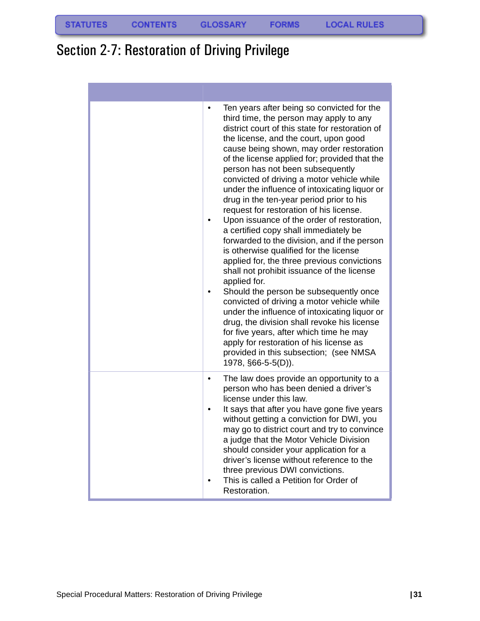## <span id="page-32-0"></span>Section 2-7: Restoration of Driving Privilege

| Ten years after being so convicted for the<br>$\bullet$<br>third time, the person may apply to any<br>district court of this state for restoration of<br>the license, and the court, upon good<br>cause being shown, may order restoration<br>of the license applied for; provided that the<br>person has not been subsequently<br>convicted of driving a motor vehicle while<br>under the influence of intoxicating liquor or<br>drug in the ten-year period prior to his<br>request for restoration of his license.<br>Upon issuance of the order of restoration,<br>$\bullet$<br>a certified copy shall immediately be<br>forwarded to the division, and if the person<br>is otherwise qualified for the license<br>applied for, the three previous convictions<br>shall not prohibit issuance of the license<br>applied for.<br>Should the person be subsequently once<br>$\bullet$<br>convicted of driving a motor vehicle while<br>under the influence of intoxicating liquor or<br>drug, the division shall revoke his license<br>for five years, after which time he may<br>apply for restoration of his license as<br>provided in this subsection; (see NMSA<br>1978, §66-5-5(D)). |
|---------------------------------------------------------------------------------------------------------------------------------------------------------------------------------------------------------------------------------------------------------------------------------------------------------------------------------------------------------------------------------------------------------------------------------------------------------------------------------------------------------------------------------------------------------------------------------------------------------------------------------------------------------------------------------------------------------------------------------------------------------------------------------------------------------------------------------------------------------------------------------------------------------------------------------------------------------------------------------------------------------------------------------------------------------------------------------------------------------------------------------------------------------------------------------------------|
| The law does provide an opportunity to a<br>$\bullet$<br>person who has been denied a driver's<br>license under this law.<br>It says that after you have gone five years<br>٠<br>without getting a conviction for DWI, you<br>may go to district court and try to convince<br>a judge that the Motor Vehicle Division<br>should consider your application for a<br>driver's license without reference to the<br>three previous DWI convictions.<br>This is called a Petition for Order of<br>Restoration.                                                                                                                                                                                                                                                                                                                                                                                                                                                                                                                                                                                                                                                                                   |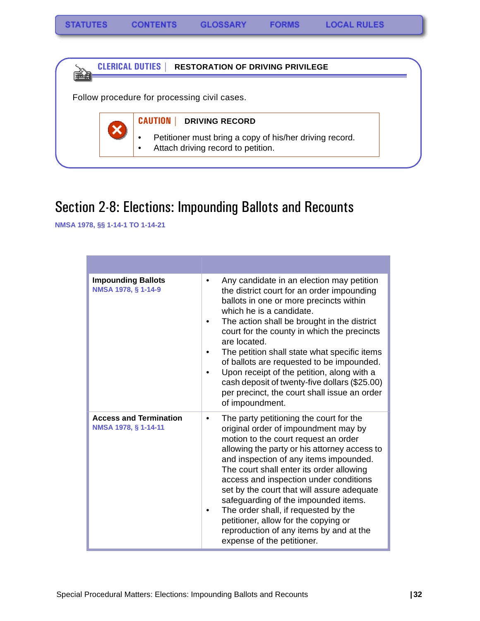



## <span id="page-33-0"></span>Section 2-8: Elections: Impounding Ballots and Recounts

**NMSA 1978, §§ 1-14-1 TO 1-14-21**

| <b>Impounding Ballots</b><br>NMSA 1978, § 1-14-9      | Any candidate in an election may petition<br>$\bullet$<br>the district court for an order impounding<br>ballots in one or more precincts within<br>which he is a candidate.<br>The action shall be brought in the district<br>court for the county in which the precincts<br>are located.<br>The petition shall state what specific items<br>of ballots are requested to be impounded.<br>Upon receipt of the petition, along with a<br>cash deposit of twenty-five dollars (\$25.00)<br>per precinct, the court shall issue an order<br>of impoundment.    |
|-------------------------------------------------------|-------------------------------------------------------------------------------------------------------------------------------------------------------------------------------------------------------------------------------------------------------------------------------------------------------------------------------------------------------------------------------------------------------------------------------------------------------------------------------------------------------------------------------------------------------------|
| <b>Access and Termination</b><br>NMSA 1978, § 1-14-11 | The party petitioning the court for the<br>٠<br>original order of impoundment may by<br>motion to the court request an order<br>allowing the party or his attorney access to<br>and inspection of any items impounded.<br>The court shall enter its order allowing<br>access and inspection under conditions<br>set by the court that will assure adequate<br>safeguarding of the impounded items.<br>The order shall, if requested by the<br>petitioner, allow for the copying or<br>reproduction of any items by and at the<br>expense of the petitioner. |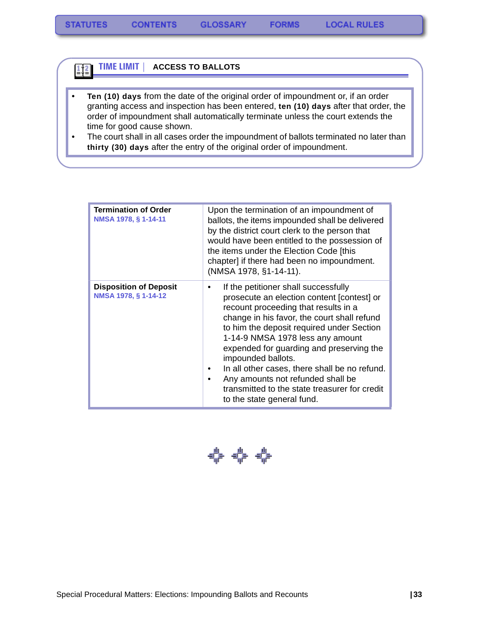#### **TIME LIMIT | ACCESS TO BALLOTS**   $\frac{1}{2}$

- **Ten (10) days** from the date of the original order of impoundment or, if an order granting access and inspection has been entered, **ten (10) days** after that order, the order of impoundment shall automatically terminate unless the court extends the time for good cause shown.
- The court shall in all cases order the impoundment of ballots terminated no later than **thirty (30) days** after the entry of the original order of impoundment.

| <b>Termination of Order</b><br>NMSA 1978, § 1-14-11   | Upon the termination of an impoundment of<br>ballots, the items impounded shall be delivered<br>by the district court clerk to the person that<br>would have been entitled to the possession of<br>the items under the Election Code [this<br>chapter] if there had been no impoundment.<br>(NMSA 1978, §1-14-11).                                                                                                                                                                                |
|-------------------------------------------------------|---------------------------------------------------------------------------------------------------------------------------------------------------------------------------------------------------------------------------------------------------------------------------------------------------------------------------------------------------------------------------------------------------------------------------------------------------------------------------------------------------|
| <b>Disposition of Deposit</b><br>NMSA 1978, § 1-14-12 | If the petitioner shall successfully<br>prosecute an election content [contest] or<br>recount proceeding that results in a<br>change in his favor, the court shall refund<br>to him the deposit required under Section<br>1-14-9 NMSA 1978 less any amount<br>expended for guarding and preserving the<br>impounded ballots.<br>In all other cases, there shall be no refund.<br>Any amounts not refunded shall be<br>transmitted to the state treasurer for credit<br>to the state general fund. |

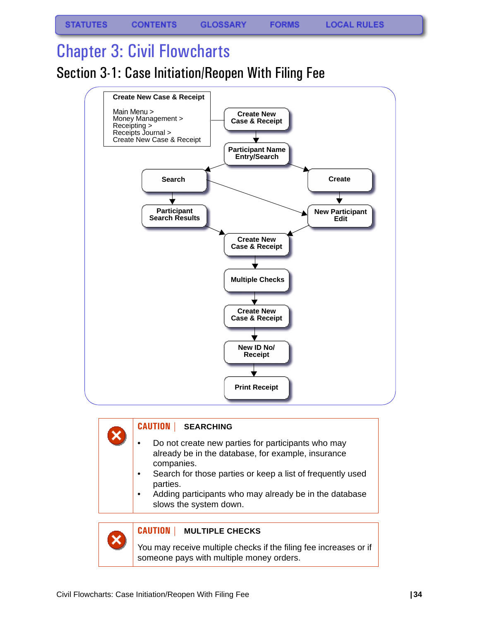# <span id="page-35-0"></span>Chapter 3: Civil Flowcharts

<span id="page-35-1"></span>Section 3-1: Case Initiation/Reopen With Filing Fee



### **CAUTION | SEARCHING**

- Do not create new parties for participants who may already be in the database, for example, insurance companies.
- Search for those parties or keep a list of frequently used parties.
- Adding participants who may already be in the database slows the system down.



×

### **CAUTION | MULTIPLE CHECKS**

You may receive multiple checks if the filing fee increases or if someone pays with multiple money orders.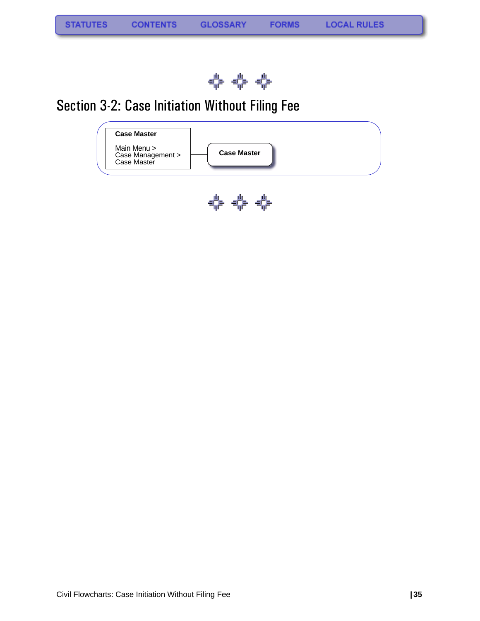

# Section 3-2: Case Initiation Without Filing Fee

| <b>Case Master</b>                              |                    |  |
|-------------------------------------------------|--------------------|--|
| Main Menu ><br>Case Management ><br>Case Master | <b>Case Master</b> |  |
|                                                 |                    |  |

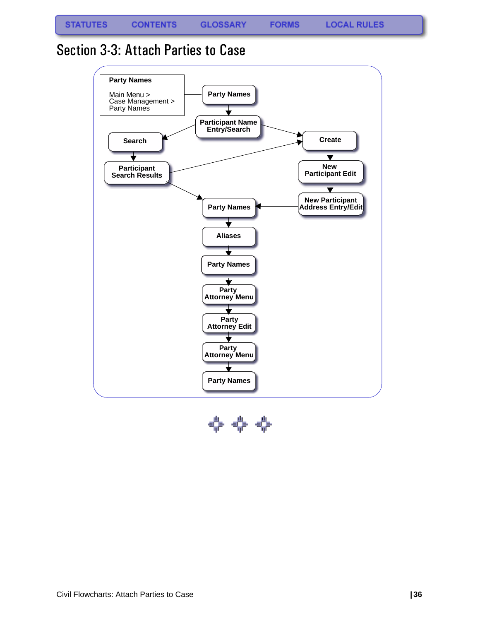**FORMS** 

### Section 3-3: Attach Parties to Case



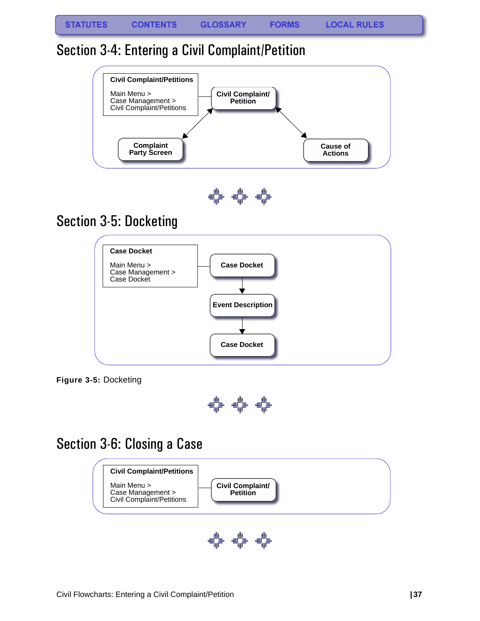## Section 3-4: Entering a Civil Complaint/Petition



0-0-0-

# Section 3-5: Docketing



**Figure 3-5:** Docketing



## Section 3-6: Closing a Case



特 特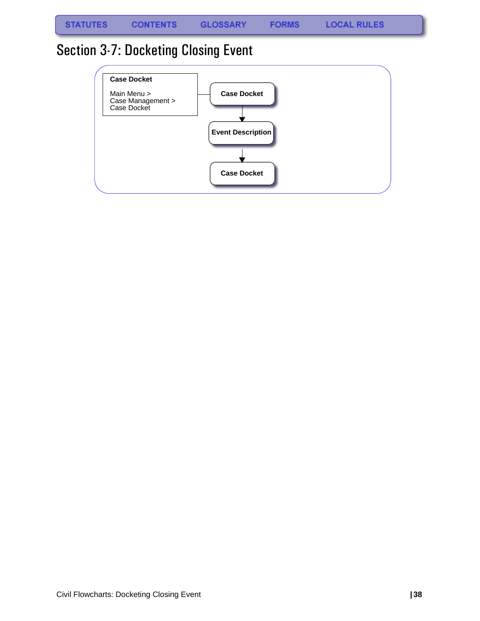**FORMS** 

# Section 3-7: Docketing Closing Event

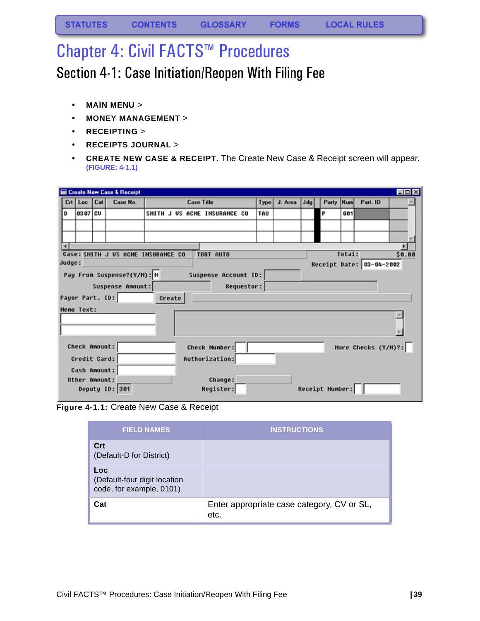# Chapter 4: Civil FACTS™ Procedures

## Section 4-1: Case Initiation/Reopen With Filing Fee

- **MAIN MENU** >
- **MONEY MANAGEMENT** >
- **RECEIPTING** >
- **RECEIPTS JOURNAL** >
- **CREATE NEW CASE & RECEIPT**. The Create New Case & Receipt screen will appear. **(FIGURE: 4-1.1)**

| Part. ID                                                                   |  |  |  |  |  |  |  |
|----------------------------------------------------------------------------|--|--|--|--|--|--|--|
|                                                                            |  |  |  |  |  |  |  |
|                                                                            |  |  |  |  |  |  |  |
|                                                                            |  |  |  |  |  |  |  |
|                                                                            |  |  |  |  |  |  |  |
|                                                                            |  |  |  |  |  |  |  |
| Total:<br>Case: SMITH J US ACME INSURANCE CO<br><b>TORT AUTO</b><br>\$0.00 |  |  |  |  |  |  |  |
| Judge:<br>Receipt Date: 03-04-2002                                         |  |  |  |  |  |  |  |
| Pay From Suspense?(Y/N): N<br>Suspense Account ID:                         |  |  |  |  |  |  |  |
|                                                                            |  |  |  |  |  |  |  |
| Requestor:<br>Suspense Amount:<br>Payor Part. ID:<br>Create                |  |  |  |  |  |  |  |
| Memo Text:                                                                 |  |  |  |  |  |  |  |
|                                                                            |  |  |  |  |  |  |  |
|                                                                            |  |  |  |  |  |  |  |
|                                                                            |  |  |  |  |  |  |  |
| More Checks (Y/N)?:                                                        |  |  |  |  |  |  |  |
|                                                                            |  |  |  |  |  |  |  |
|                                                                            |  |  |  |  |  |  |  |
|                                                                            |  |  |  |  |  |  |  |
|                                                                            |  |  |  |  |  |  |  |
|                                                                            |  |  |  |  |  |  |  |

**Figure 4-1.1:** Create New Case & Receipt

| <b>FIELD NAMES</b>                                              | <b>INSTRUCTIONS</b>                                |
|-----------------------------------------------------------------|----------------------------------------------------|
| Crt<br>(Default-D for District)                                 |                                                    |
| Loc<br>(Default-four digit location<br>code, for example, 0101) |                                                    |
| Cat                                                             | Enter appropriate case category, CV or SL,<br>etc. |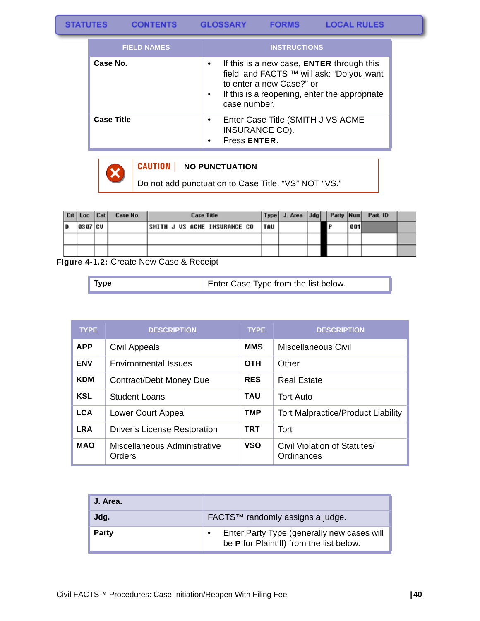| <b>FIELD NAMES</b> | <b>INSTRUCTIONS</b>                                                                                                                                                                                         |
|--------------------|-------------------------------------------------------------------------------------------------------------------------------------------------------------------------------------------------------------|
| Case No.           | If this is a new case, <b>ENTER</b> through this<br>٠<br>field and FACTS ™ will ask: "Do you want<br>to enter a new Case?" or<br>If this is a reopening, enter the appropriate<br>$\bullet$<br>case number. |
| <b>Case Title</b>  | Enter Case Title (SMITH J VS ACME<br>٠<br>INSURANCE CO).<br>Press ENTER.                                                                                                                                    |



#### **CAUTION | NO PUNCTUATION**

Do not add punctuation to Case Title, "VS" NOT "VS."

|   | Crt Loc Cat | Case No. | <b>Case Title</b>                   |            |  |     |     | Type J. Area JJdg Party Num Part. ID |  |
|---|-------------|----------|-------------------------------------|------------|--|-----|-----|--------------------------------------|--|
| D | 8387 CU     |          | <b>SMITH J US ACME INSURANCE CO</b> | <b>TAU</b> |  | ם ו | 881 |                                      |  |
|   |             |          |                                     |            |  |     |     |                                      |  |
|   |             |          |                                     |            |  |     |     |                                      |  |

**Figure 4-1.2:** Create New Case & Receipt

| Enter Case Type from the list below.<br>$\blacksquare$ Type |  |
|-------------------------------------------------------------|--|
|-------------------------------------------------------------|--|

| <b>TYPE</b> | <b>DESCRIPTION</b>                            | <b>TYPE</b> | <b>DESCRIPTION</b>                         |
|-------------|-----------------------------------------------|-------------|--------------------------------------------|
| <b>APP</b>  | Civil Appeals                                 | <b>MMS</b>  | <b>Miscellaneous Civil</b>                 |
| <b>ENV</b>  | <b>Environmental Issues</b>                   | <b>OTH</b>  | Other                                      |
| <b>KDM</b>  | Contract/Debt Money Due                       | <b>RES</b>  | <b>Real Estate</b>                         |
| <b>KSL</b>  | <b>Student Loans</b>                          | TAU         | <b>Tort Auto</b>                           |
| <b>LCA</b>  | Lower Court Appeal                            | <b>TMP</b>  | <b>Tort Malpractice/Product Liability</b>  |
| <b>LRA</b>  | <b>Driver's License Restoration</b>           | TRT         | Tort                                       |
| <b>MAO</b>  | Miscellaneous Administrative<br><b>Orders</b> | <b>VSO</b>  | Civil Violation of Statutes/<br>Ordinances |

| J. Area. |                                                                                        |
|----------|----------------------------------------------------------------------------------------|
| Jdg.     | FACTS™ randomly assigns a judge.                                                       |
| Party    | Enter Party Type (generally new cases will<br>be P for Plaintiff) from the list below. |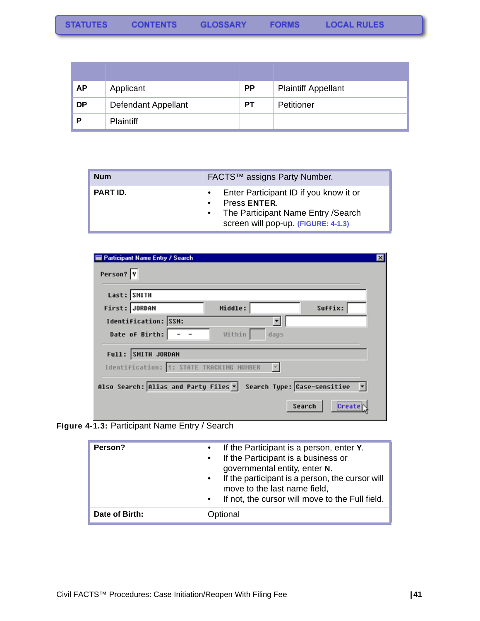| <b>AP</b> | Applicant           | <b>PP</b> | <b>Plaintiff Appellant</b> |
|-----------|---------------------|-----------|----------------------------|
| <b>DP</b> | Defendant Appellant | <b>PT</b> | Petitioner                 |
|           | <b>Plaintiff</b>    |           |                            |

| <b>Num</b>      | FACTS™ assigns Party Number.                                                                                                                      |
|-----------------|---------------------------------------------------------------------------------------------------------------------------------------------------|
| <b>PART ID.</b> | Enter Participant ID if you know it or<br>Press ENTER.<br>The Participant Name Entry / Search<br>$\bullet$<br>screen will pop-up. (FIGURE: 4-1.3) |

| Last: SMITH          |                                          |      |         |  |
|----------------------|------------------------------------------|------|---------|--|
| First: JORDAN        | Middle:                                  |      | Suffix: |  |
| Identification: SSN: |                                          |      |         |  |
| Date of Birth:       | Within                                   | days |         |  |
| Full: SMITH JORDAN   |                                          |      |         |  |
|                      | Identification: 1: STATE TRACKING NUMBER |      |         |  |

**Figure 4-1.3:** Participant Name Entry / Search

| Person?        | If the Participant is a person, enter Y.<br>If the Participant is a business or<br>governmental entity, enter N.<br>If the participant is a person, the cursor will<br>move to the last name field,<br>If not, the cursor will move to the Full field.<br>$\bullet$ |
|----------------|---------------------------------------------------------------------------------------------------------------------------------------------------------------------------------------------------------------------------------------------------------------------|
| Date of Birth: | Optional                                                                                                                                                                                                                                                            |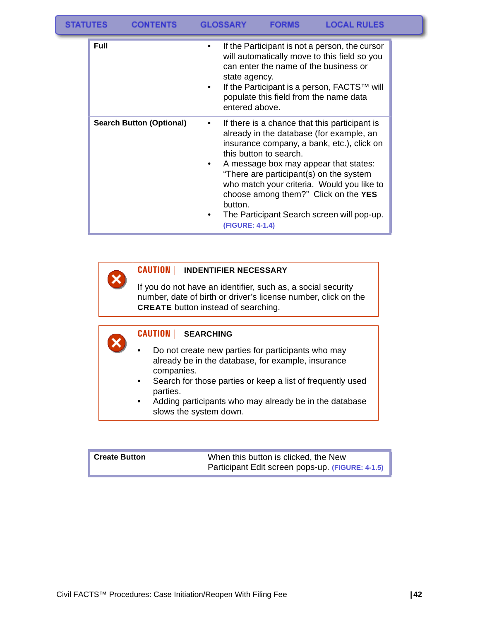| <b>STATUTES</b> |      | <b>CONTENTS</b>                 | <b>GLOSSARY</b> |                                 | <b>FORMS</b>           | <b>LOCAL RULES</b>                                                                                                                                                                                                               |  |  |
|-----------------|------|---------------------------------|-----------------|---------------------------------|------------------------|----------------------------------------------------------------------------------------------------------------------------------------------------------------------------------------------------------------------------------|--|--|
|                 | Full |                                 | ٠<br>٠          | state agency.<br>entered above. |                        | If the Participant is not a person, the cursor<br>will automatically move to this field so you<br>can enter the name of the business or<br>If the Participant is a person, FACTS™ will<br>populate this field from the name data |  |  |
|                 |      | <b>Search Button (Optional)</b> | ٠               |                                 | this button to search. | If there is a chance that this participant is<br>already in the database (for example, an<br>insurance company, a bank, etc.), click on                                                                                          |  |  |

|  | A message box may appear that states:      |
|--|--------------------------------------------|
|  | "There are participant(s) on the system    |
|  | who match your criteria. Would you like to |
|  | choose among them?" Click on the YES       |
|  | button.                                    |
|  | The Derticipent Coareb sergen will non up  |

• The Participant Search screen will pop-up. **[\(FIGURE: 4-1.4\)](#page-44-0)**

### **CAUTION | INDENTIFIER NECESSARY**

X

If you do not have an identifier, such as, a social security number, date of birth or driver's license number, click on the **CREATE** button instead of searching.

| <b>CAUTION</b><br><b>SEARCHING</b>                                                                                                                                                                                                                                                        |
|-------------------------------------------------------------------------------------------------------------------------------------------------------------------------------------------------------------------------------------------------------------------------------------------|
| Do not create new parties for participants who may<br>already be in the database, for example, insurance<br>companies.<br>Search for those parties or keep a list of frequently used<br>parties.<br>Adding participants who may already be in the database<br>٠<br>slows the system down. |

| <b>Create Button</b> | When this button is clicked, the New             |  |  |
|----------------------|--------------------------------------------------|--|--|
|                      | Participant Edit screen pops-up. (FIGURE: 4-1.5) |  |  |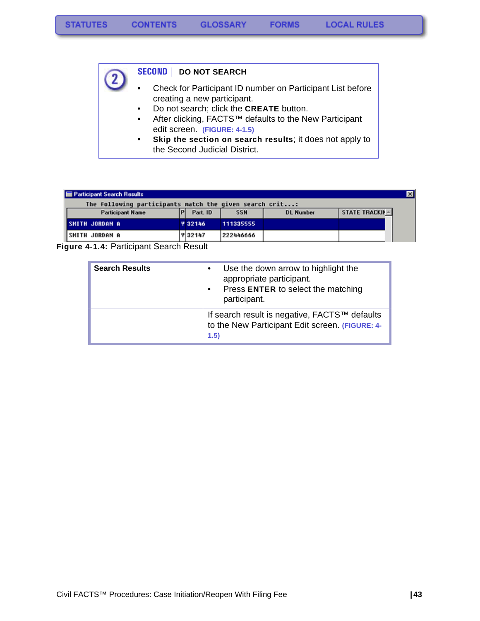#### **SECOND | DO NOT SEARCH**

- Check for Participant ID number on Participant List before creating a new participant.
	- Do not search; click the **CREATE** button.
	- After clicking, FACTS™ defaults to the New Participant edit screen. **(FIGURE: 4-1.5)**
	- **Skip the section on search results**; it does not apply to the Second Judicial District.

| <b>E</b> Participant Search Results                     |  |                |            |                  |                       |  |
|---------------------------------------------------------|--|----------------|------------|------------------|-----------------------|--|
| The following participants match the given search crit: |  |                |            |                  |                       |  |
| <b>Participant Name</b>                                 |  | Part. ID       | <b>SSN</b> | <b>DL Number</b> | <b>STATE TRACKIN-</b> |  |
| <b>SMITH JORDAN A</b>                                   |  | <b>Y 32146</b> | 111335555  |                  |                       |  |
| ISMITH JORDAN A                                         |  | <b>Y 32147</b> | 222446666  |                  |                       |  |

<span id="page-44-0"></span>**Figure 4-1.4:** Participant Search Result

| <b>Search Results</b> | Use the down arrow to highlight the<br>$\bullet$<br>appropriate participant.<br>Press ENTER to select the matching<br>$\bullet$<br>participant. |
|-----------------------|-------------------------------------------------------------------------------------------------------------------------------------------------|
|                       | If search result is negative, FACTS™ defaults<br>to the New Participant Edit screen. (FIGURE: 4-<br>1.5)                                        |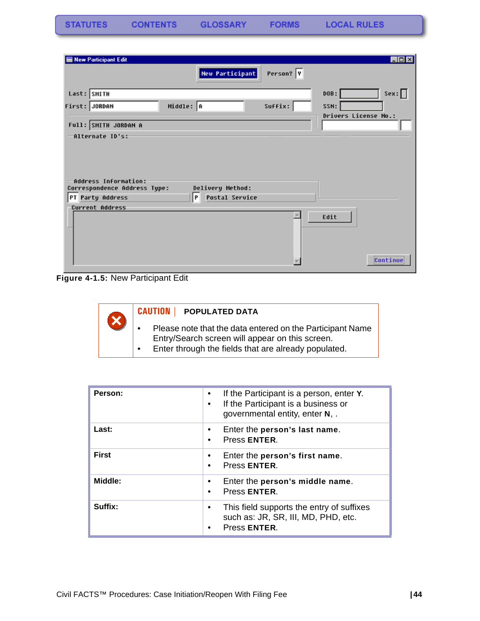**STATUTES** 

| New Participant Edit                                 |                            |           | EDX                         |
|------------------------------------------------------|----------------------------|-----------|-----------------------------|
|                                                      | New Participant            | Person? Y |                             |
| Last: SMITH                                          |                            |           | Sex:<br>DOB:                |
| First: JORDAN                                        | Middle: A                  | Suffix:   | SSN:                        |
| Full: SMITH JORDAN A                                 |                            |           | <b>Drivers License No.:</b> |
| -Alternate ID's:                                     |                            |           |                             |
| Address Information:<br>Correspondence Address Type: | Delivery Method:           |           |                             |
| PT Party Address                                     | P<br><b>Postal Service</b> |           |                             |
| Current Address                                      |                            |           | Edit                        |

**Figure 4-1.5:** New Participant Edit

| $\mathbf 2$ | <b>CAUTION   POPULATED DATA</b>                                                                                                                                      |
|-------------|----------------------------------------------------------------------------------------------------------------------------------------------------------------------|
|             | Please note that the data entered on the Participant Name<br>Entry/Search screen will appear on this screen.<br>Enter through the fields that are already populated. |

| Person:      | If the Participant is a person, enter Y.<br>٠<br>If the Participant is a business or<br>٠<br>governmental entity, enter N, . |
|--------------|------------------------------------------------------------------------------------------------------------------------------|
| Last:        | Enter the person's last name.<br>٠<br>Press ENTER.<br>٠                                                                      |
| <b>First</b> | Enter the person's first name.<br>٠<br>Press ENTER.<br>$\bullet$                                                             |
| Middle:      | Enter the person's middle name.<br>٠<br>Press ENTER.<br>٠                                                                    |
| Suffix:      | This field supports the entry of suffixes<br>٠<br>such as: JR, SR, III, MD, PHD, etc.<br>Press ENTER.<br>٠                   |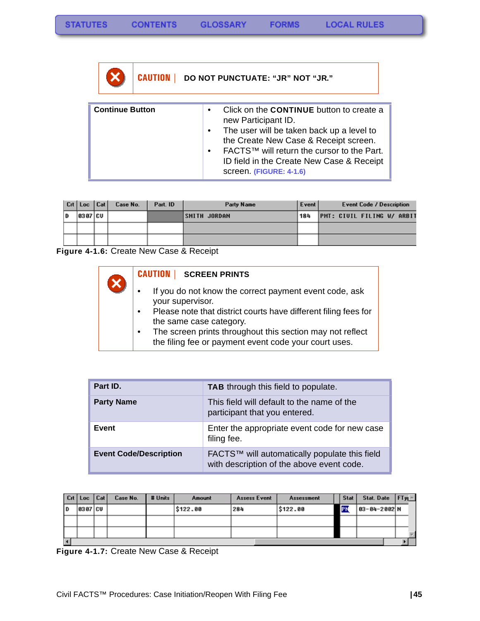**FORMS** 

**CAUTION | DO NOT PUNCTUATE: "JR" NOT "JR."**

| <b>Continue Button</b><br>$\bullet$ | Click on the <b>CONTINUE</b> button to create a<br>new Participant ID.<br>The user will be taken back up a level to<br>the Create New Case & Receipt screen.<br>FACTS™ will return the cursor to the Part.<br>ID field in the Create New Case & Receipt<br>screen. (FIGURE: 4-1.6) |
|-------------------------------------|------------------------------------------------------------------------------------------------------------------------------------------------------------------------------------------------------------------------------------------------------------------------------------|
|-------------------------------------|------------------------------------------------------------------------------------------------------------------------------------------------------------------------------------------------------------------------------------------------------------------------------------|

|   | Crt Loc Cat | Case No. | Part. ID | Party Name          | Event | <b>Event Code / Description</b> |
|---|-------------|----------|----------|---------------------|-------|---------------------------------|
| D | 8387 CU     |          |          | <b>SMITH JORDAN</b> | 184   | PMT: CIVIL FILING W/ ARBIT      |
|   |             |          |          |                     |       |                                 |
|   |             |          |          |                     |       |                                 |

**Figure 4-1.6:** Create New Case & Receipt

### **CAUTION | SCREEN PRINTS**

- If you do not know the correct payment event code, ask your supervisor.
- Please note that district courts have different filing fees for the same case category.
- The screen prints throughout this section may not reflect the filing fee or payment event code your court uses.

| Part ID.                      | <b>TAB</b> through this field to populate.                                                 |
|-------------------------------|--------------------------------------------------------------------------------------------|
| <b>Party Name</b>             | This field will default to the name of the<br>participant that you entered.                |
| Event                         | Enter the appropriate event code for new case<br>filing fee.                               |
| <b>Event Code/Description</b> | FACTS™ will automatically populate this field<br>with description of the above event code. |

|    | $ $ Crt $ $ Loc $ $ Cat $ $ | Case No. | # Units | Amount   | Assess Event | <b>Assessment</b> |           | <b>Stat</b> | Stat. Date $ FTy $ |  |
|----|-----------------------------|----------|---------|----------|--------------|-------------------|-----------|-------------|--------------------|--|
| ID | 10307   CU                  |          |         | \$122.00 | 284          | \$122.00          | <b>IP</b> |             | 03-04-2002 N       |  |
|    |                             |          |         |          |              |                   |           |             |                    |  |
|    |                             |          |         |          |              |                   |           |             |                    |  |
|    |                             |          |         |          |              |                   |           |             |                    |  |

**Figure 4-1.7:** Create New Case & Receipt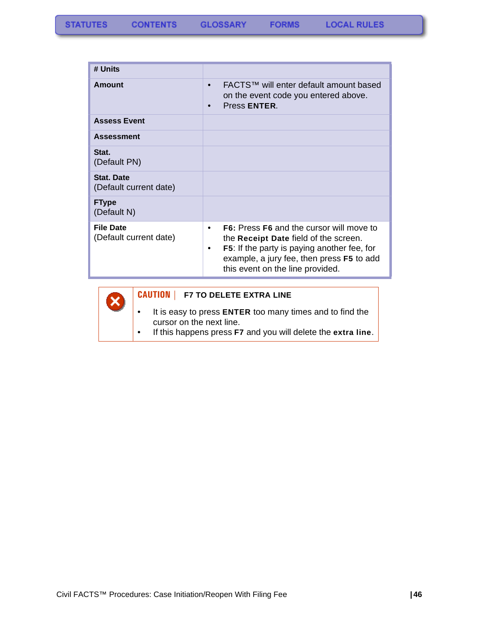| # Units                                    |                                                                                                                                                                                                                                                   |
|--------------------------------------------|---------------------------------------------------------------------------------------------------------------------------------------------------------------------------------------------------------------------------------------------------|
| Amount                                     | FACTS™ will enter default amount based<br>$\bullet$<br>on the event code you entered above.<br>Press ENTER.                                                                                                                                       |
| <b>Assess Event</b>                        |                                                                                                                                                                                                                                                   |
| <b>Assessment</b>                          |                                                                                                                                                                                                                                                   |
| Stat.<br>(Default PN)                      |                                                                                                                                                                                                                                                   |
| Stat. Date<br>(Default current date)       |                                                                                                                                                                                                                                                   |
| <b>FType</b><br>(Default N)                |                                                                                                                                                                                                                                                   |
| <b>File Date</b><br>(Default current date) | <b>F6:</b> Press F6 and the cursor will move to<br>$\bullet$<br>the Receipt Date field of the screen.<br><b>F5:</b> If the party is paying another fee, for<br>٠<br>example, a jury fee, then press F5 to add<br>this event on the line provided. |



### **CAUTION | F7 TO DELETE EXTRA LINE**

- It is easy to press **ENTER** too many times and to find the cursor on the next line.
- If this happens press **F7** and you will delete the **extra line**.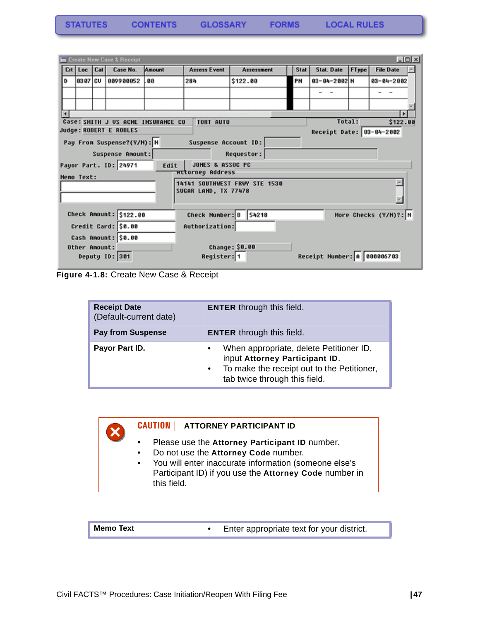| <b>TATUTES</b> | <b>CONTENTS</b> | <b>GLOSSARY</b> | <b>FORMS</b> |
|----------------|-----------------|-----------------|--------------|
|----------------|-----------------|-----------------|--------------|

|   |                                                                              |  | Create New Case & Receipt  |        |                         |                               |  |      |                             |       |                       | L回× |
|---|------------------------------------------------------------------------------|--|----------------------------|--------|-------------------------|-------------------------------|--|------|-----------------------------|-------|-----------------------|-----|
|   | Crt   Loc   Cat                                                              |  | Case No.                   | Amount | <b>Assess Event</b>     | Assessment                    |  | Stat | Stat. Date                  | FType | <b>File Date</b>      |     |
| D | 0307   CU                                                                    |  | 009900052                  | .00    | 284                     | \$122.00                      |  | PN   | $03 - 04 - 2002$ N          |       | $03 - 04 - 2002$      |     |
|   |                                                                              |  |                            |        |                         |                               |  |      |                             |       |                       |     |
|   |                                                                              |  |                            |        |                         |                               |  |      |                             |       |                       |     |
|   |                                                                              |  |                            |        |                         |                               |  |      |                             |       |                       |     |
|   | Total:<br>\$122.00<br>Case: SMITH J US ACME INSURANCE CO<br><b>TORT AUTO</b> |  |                            |        |                         |                               |  |      |                             |       |                       |     |
|   |                                                                              |  | Judge: ROBERT E ROBLES     |        |                         |                               |  |      | Receipt Date: 03-04-2002    |       |                       |     |
|   |                                                                              |  | Pay From Suspense?(Y/H): N |        | Suspense Account ID:    |                               |  |      |                             |       |                       |     |
|   |                                                                              |  | Suspense Amount:           |        |                         | Requestor:                    |  |      |                             |       |                       |     |
|   |                                                                              |  | Payor Part. ID: 24971      | Edit   | JONES & ASSOC PC        |                               |  |      |                             |       |                       |     |
|   |                                                                              |  |                            |        | <b>Httorney Address</b> |                               |  |      |                             |       |                       |     |
|   | Memo Text:                                                                   |  |                            |        |                         | 14141 SOUTHWEST FRWY STE 1530 |  |      |                             |       |                       |     |
|   |                                                                              |  |                            |        | SUGAR LAND, TX 77478    |                               |  |      |                             |       |                       |     |
|   |                                                                              |  |                            |        |                         |                               |  |      |                             |       |                       |     |
|   |                                                                              |  |                            |        |                         |                               |  |      |                             |       |                       |     |
|   |                                                                              |  | Check Amount: \$122.00     |        | Check Number: B 54218   |                               |  |      |                             |       | More Checks (Y/N)?: N |     |
|   |                                                                              |  | Credit Card: \$0.00        |        | Authorization:          |                               |  |      |                             |       |                       |     |
|   |                                                                              |  | Cash Amount: \$0.00        |        |                         |                               |  |      |                             |       |                       |     |
|   | Other Amount:                                                                |  |                            |        |                         | <b>Change: \$0.00</b>         |  |      |                             |       |                       |     |
|   |                                                                              |  | Deputy ID: 301             |        | Register: 1             |                               |  |      | Receipt Number: A 888886783 |       |                       |     |

**Figure 4-1.8:** Create New Case & Receipt

 $\overline{\textbf{x}}$ 

| <b>Receipt Date</b><br>(Default-current date) | <b>ENTER</b> through this field.                                                                                                                         |
|-----------------------------------------------|----------------------------------------------------------------------------------------------------------------------------------------------------------|
| <b>Pay from Suspense</b>                      | <b>ENTER</b> through this field.                                                                                                                         |
| Payor Part ID.                                | When appropriate, delete Petitioner ID,<br>input Attorney Participant ID.<br>To make the receipt out to the Petitioner,<br>tab twice through this field. |

#### **CAUTION | ATTORNEY PARTICIPANT ID**

- Please use the **Attorney Participant ID** number.
- Do not use the **Attorney Code** number.
- You will enter inaccurate information (someone else's Participant ID) if you use the **Attorney Code** number in this field.

| <b>Memo Text</b> | Enter appropriate text for your district. |
|------------------|-------------------------------------------|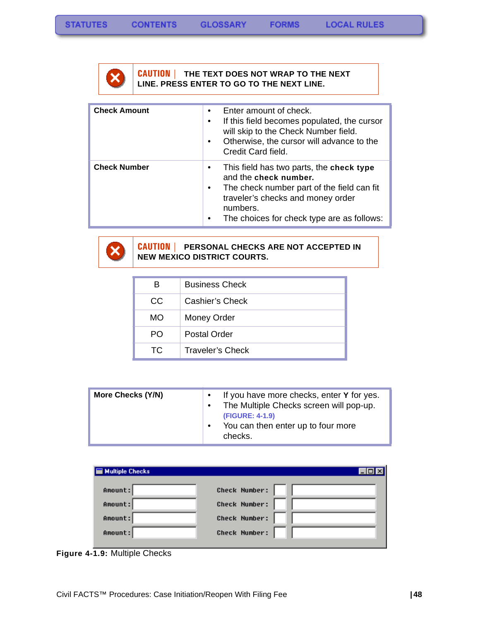

#### **CAUTION | THE TEXT DOES NOT WRAP TO THE NEXT LINE. PRESS ENTER TO GO TO THE NEXT LINE.**

| <b>Check Amount</b> | ٠<br>$\bullet$<br>$\bullet$ | Enter amount of check.<br>If this field becomes populated, the cursor<br>will skip to the Check Number field.<br>Otherwise, the cursor will advance to the<br>Credit Card field.                               |
|---------------------|-----------------------------|----------------------------------------------------------------------------------------------------------------------------------------------------------------------------------------------------------------|
| <b>Check Number</b> | ٠<br>$\bullet$<br>٠         | This field has two parts, the check type<br>and the check number.<br>The check number part of the field can fit<br>traveler's checks and money order<br>numbers.<br>The choices for check type are as follows: |



#### **CAUTION | PERSONAL CHECKS ARE NOT ACCEPTED IN NEW MEXICO DISTRICT COURTS.**

| в   | <b>Business Check</b>   |
|-----|-------------------------|
| CC  | Cashier's Check         |
| MO  | Money Order             |
| PO. | <b>Postal Order</b>     |
| TC. | <b>Traveler's Check</b> |

| <b>E</b> Multiple Checks | I - IOI              |
|--------------------------|----------------------|
| Amount:                  | <b>Check Number:</b> |
| Amount:                  | <b>Check Number:</b> |
| Amount:                  | <b>Check Number:</b> |
| Amount:                  | <b>Check Number:</b> |

**Figure 4-1.9:** Multiple Checks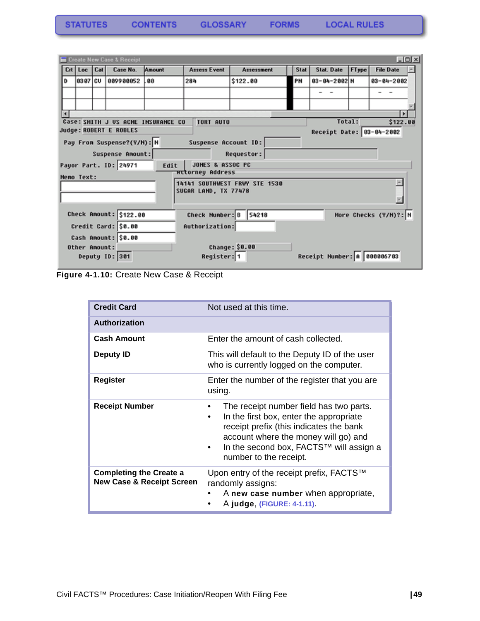|  | <b>TATUTES</b> | <b>CONTENTS</b> | <b>GLOSSARY</b> | <b>FORMS</b> |
|--|----------------|-----------------|-----------------|--------------|
|--|----------------|-----------------|-----------------|--------------|

|                                                                              | $\Box$ o $\Box$<br>Create New Case & Receipt          |     |                            |        |                             |                       |      |                             |       |                       |  |
|------------------------------------------------------------------------------|-------------------------------------------------------|-----|----------------------------|--------|-----------------------------|-----------------------|------|-----------------------------|-------|-----------------------|--|
|                                                                              | $Crt$ Loc                                             | Cat | Case No.                   | Amount | <b>Assess Event</b>         | Assessment            | Stat | <b>Stat. Date</b>           | FType | <b>File Date</b>      |  |
| D                                                                            | 0307   CU                                             |     | 009900052                  | 88     | 284                         | \$122.00              | PN   | $03 - 04 - 2002$ N          |       | $03 - 04 - 2002$      |  |
|                                                                              |                                                       |     |                            |        |                             |                       |      |                             |       |                       |  |
|                                                                              |                                                       |     |                            |        |                             |                       |      |                             |       |                       |  |
|                                                                              |                                                       |     |                            |        |                             |                       |      |                             |       |                       |  |
| Total:<br>Case: SMITH J US ACME INSURANCE CO<br><b>TORT AUTO</b><br>\$122.00 |                                                       |     |                            |        |                             |                       |      |                             |       |                       |  |
|                                                                              | Judge: ROBERT E ROBLES<br>Receipt Date: 03-04-2002    |     |                            |        |                             |                       |      |                             |       |                       |  |
|                                                                              |                                                       |     | Pay From Suspense?(Y/H): N |        | Suspense Account ID:        |                       |      |                             |       |                       |  |
|                                                                              |                                                       |     | Suspense Amount:           |        |                             | <b>Requestor:</b>     |      |                             |       |                       |  |
|                                                                              |                                                       |     | Payor Part. ID: 24971      | Edit   | <b>JONES &amp; ASSOC PC</b> |                       |      |                             |       |                       |  |
|                                                                              | Memo Text:                                            |     |                            |        | <b>Httorney Address</b>     |                       |      |                             |       |                       |  |
|                                                                              | 14141 SOUTHWEST FRWY STE 1530<br>SUGAR LAND, TX 77478 |     |                            |        |                             |                       |      |                             |       |                       |  |
|                                                                              |                                                       |     |                            |        |                             |                       |      |                             |       |                       |  |
|                                                                              |                                                       |     | Check Amount: \$122.00     |        | Check Number: B 54218       |                       |      |                             |       | More Checks (Y/N)?: N |  |
|                                                                              |                                                       |     | Credit Card: \$0.00        |        | Authorization:              |                       |      |                             |       |                       |  |
|                                                                              |                                                       |     | Cash Amount: \$0.00        |        |                             |                       |      |                             |       |                       |  |
|                                                                              | Other Amount:                                         |     |                            |        |                             | <b>Change: \$0.00</b> |      |                             |       |                       |  |
|                                                                              |                                                       |     | Deputy ID: 301             |        | Register: 1                 |                       |      | Receipt Number: A 888886783 |       |                       |  |

**Figure 4-1.10:** Create New Case & Receipt

| <b>Credit Card</b>                                                     | Not used at this time.                                                                                                                                                                                                                                                    |  |
|------------------------------------------------------------------------|---------------------------------------------------------------------------------------------------------------------------------------------------------------------------------------------------------------------------------------------------------------------------|--|
| <b>Authorization</b>                                                   |                                                                                                                                                                                                                                                                           |  |
| <b>Cash Amount</b>                                                     | Enter the amount of cash collected.                                                                                                                                                                                                                                       |  |
| <b>Deputy ID</b>                                                       | This will default to the Deputy ID of the user<br>who is currently logged on the computer.                                                                                                                                                                                |  |
| Register                                                               | Enter the number of the register that you are<br>using.                                                                                                                                                                                                                   |  |
| <b>Receipt Number</b>                                                  | The receipt number field has two parts.<br>٠<br>In the first box, enter the appropriate<br>$\bullet$<br>receipt prefix (this indicates the bank<br>account where the money will go) and<br>In the second box, FACTS™ will assign a<br>$\bullet$<br>number to the receipt. |  |
| <b>Completing the Create a</b><br><b>New Case &amp; Receipt Screen</b> | Upon entry of the receipt prefix, FACTS™<br>randomly assigns:<br>A new case number when appropriate,<br>٠<br>A judge, (FIGURE: 4-1.11).                                                                                                                                   |  |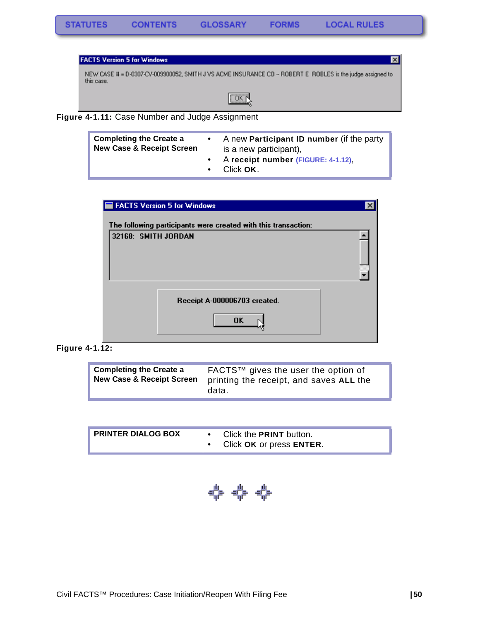



| <b>Completing the Create a</b><br><b>New Case &amp; Receipt Screen</b> | $\bullet$ | A new <b>Participant ID number</b> (if the party<br>is a new participant), |
|------------------------------------------------------------------------|-----------|----------------------------------------------------------------------------|
|                                                                        |           | A receipt number (FIGURE: 4-1.12),<br>Click OK.                            |

| FACTS Version 5 for Windows                                    |  |
|----------------------------------------------------------------|--|
| The following participants were created with this transaction: |  |
| 32168: SMITH JORDAN                                            |  |
| Receipt A-000006703 created.                                   |  |
| <b>OK</b>                                                      |  |

**Figure 4-1.12:** 

| <b>Completing the Create a</b><br><b>New Case &amp; Receipt Screen</b> | FACTS™ gives the user the option of<br>printing the receipt, and saves ALL the<br>data. |
|------------------------------------------------------------------------|-----------------------------------------------------------------------------------------|
|------------------------------------------------------------------------|-----------------------------------------------------------------------------------------|

| <b>PRINTER DIALOG BOX</b> |  | Click the <b>PRINT</b> button. |
|---------------------------|--|--------------------------------|
|                           |  | Click OK or press ENTER.       |

\*\*\*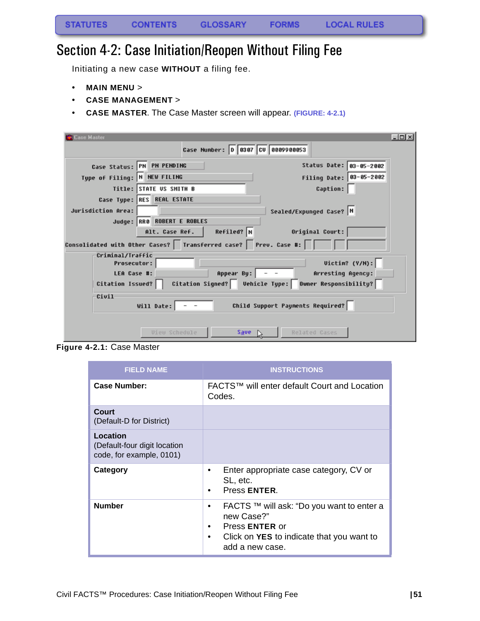## Section 4-2: Case Initiation/Reopen Without Filing Fee

Initiating a new case **WITHOUT** a filing fee.

- **MAIN MENU** >
- **CASE MANAGEMENT** >
- **CASE MASTER**. The Case Master screen will appear. **(FIGURE: 4-2.1)**

| Case Master                  |                                                                    |                                                          | $\Box$ olx |
|------------------------------|--------------------------------------------------------------------|----------------------------------------------------------|------------|
|                              | Case Number: 0 0307 CV 0009900053                                  |                                                          |            |
|                              | Case Status: PN PN PENDING                                         | Status Date: 03-05-2002                                  |            |
| Type of Filing: N NEW FILING |                                                                    | Filing Date: 03-05-2002                                  |            |
|                              | Title: STATE US SMITH B                                            | <b>Caption:</b>                                          |            |
|                              | Case Type: RES REAL ESTATE                                         |                                                          |            |
| Jurisdiction Area:           |                                                                    | Sealed/Expunged Case? N                                  |            |
|                              | Judge: RR0 ROBERT E ROBLES                                         |                                                          |            |
|                              | $Refiled?$ N<br>Alt. Case Ref.                                     | Original Court:                                          |            |
|                              | Consolidated with Other Cases?   Transferred case?   Prev. Case #: |                                                          |            |
| Criminal/Traffic             |                                                                    |                                                          |            |
| <b>Prosecutor:</b>           |                                                                    | Uictim? (Y/N):                                           |            |
| LEA Case #:                  |                                                                    | Appear By: $\vert$ - -<br>Arresting Agency:              |            |
| Citation Issued?             |                                                                    | Citation Signed?   Vehicle Type:   Owner Responsibility? |            |
| Civil                        |                                                                    |                                                          |            |
|                              | Will Date: $\vert - - \vert$                                       | Child Support Payments Required?                         |            |
|                              |                                                                    |                                                          |            |
|                              | <b><i><u>Uieu Schedule</u></i></b>                                 | $Save \ \ \triangleright$<br>Related Cases               |            |
|                              |                                                                    |                                                          |            |

**Figure 4-2.1:** Case Master

| <b>FIELD NAME</b>                                                    | <b>INSTRUCTIONS</b>                                                                                                                                                    |
|----------------------------------------------------------------------|------------------------------------------------------------------------------------------------------------------------------------------------------------------------|
| <b>Case Number:</b>                                                  | FACTS™ will enter default Court and Location<br>Codes.                                                                                                                 |
| Court<br>(Default-D for District)                                    |                                                                                                                                                                        |
| Location<br>(Default-four digit location<br>code, for example, 0101) |                                                                                                                                                                        |
| Category                                                             | Enter appropriate case category, CV or<br>٠<br>SL, etc.<br>Press ENTER.<br>٠                                                                                           |
| <b>Number</b>                                                        | FACTS ™ will ask: "Do you want to enter a<br>٠<br>new Case?"<br>Press <b>ENTER</b> or<br>٠<br>Click on <b>YES</b> to indicate that you want to<br>٠<br>add a new case. |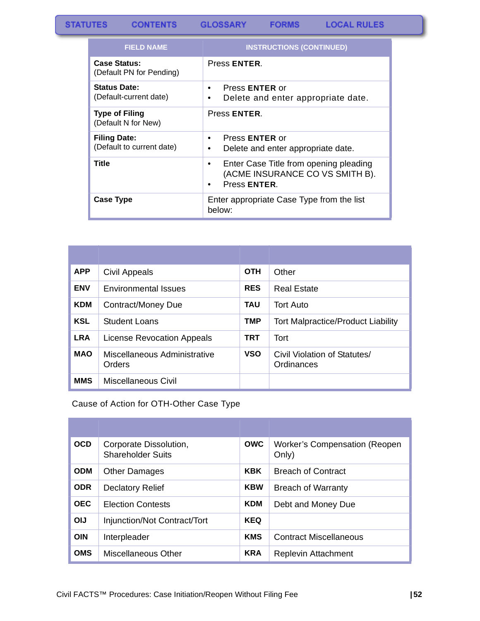#### **STATUTES GLOSSARY LOCAL RULES CONTENTS FORMS**

| <b>FIELD NAME</b>                                | <b>INSTRUCTIONS (CONTINUED)</b>                                                                     |
|--------------------------------------------------|-----------------------------------------------------------------------------------------------------|
| <b>Case Status:</b><br>(Default PN for Pending)  | Press ENTER.                                                                                        |
| <b>Status Date:</b><br>(Default-current date)    | Press <b>ENTER</b> or<br>٠<br>Delete and enter appropriate date.<br>٠                               |
| <b>Type of Filing</b><br>(Default N for New)     | Press ENTER.                                                                                        |
| <b>Filing Date:</b><br>(Default to current date) | Press <b>ENTER</b> or<br>٠<br>Delete and enter appropriate date.                                    |
| <b>Title</b>                                     | Enter Case Title from opening pleading<br>٠<br>(ACME INSURANCE CO VS SMITH B).<br>Press ENTER.<br>٠ |
| <b>Case Type</b>                                 | Enter appropriate Case Type from the list<br>below:                                                 |

| <b>APP</b> | Civil Appeals                          | <b>OTH</b> | Other                                      |
|------------|----------------------------------------|------------|--------------------------------------------|
| <b>ENV</b> | <b>Environmental Issues</b>            | <b>RES</b> | <b>Real Estate</b>                         |
| <b>KDM</b> | Contract/Money Due                     | TAU        | <b>Tort Auto</b>                           |
| <b>KSL</b> | <b>Student Loans</b>                   | TMP        | <b>Tort Malpractice/Product Liability</b>  |
| <b>LRA</b> | License Revocation Appeals             | TRT        | Tort                                       |
| <b>MAO</b> | Miscellaneous Administrative<br>Orders | <b>VSO</b> | Civil Violation of Statutes/<br>Ordinances |
| <b>MMS</b> | Miscellaneous Civil                    |            |                                            |

Cause of Action for OTH-Other Case Type

| <b>OCD</b> | Corporate Dissolution,<br><b>Shareholder Suits</b> | <b>OWC</b> | <b>Worker's Compensation (Reopen)</b><br>Only) |
|------------|----------------------------------------------------|------------|------------------------------------------------|
| <b>ODM</b> | <b>Other Damages</b>                               | <b>KBK</b> | <b>Breach of Contract</b>                      |
| <b>ODR</b> | <b>Declatory Relief</b>                            | <b>KBW</b> | <b>Breach of Warranty</b>                      |
| <b>OEC</b> | <b>Election Contests</b>                           | <b>KDM</b> | Debt and Money Due                             |
| <b>OIJ</b> | Injunction/Not Contract/Tort                       | <b>KEQ</b> |                                                |
| <b>OIN</b> | Interpleader                                       | <b>KMS</b> | <b>Contract Miscellaneous</b>                  |
| <b>OMS</b> | Miscellaneous Other                                | <b>KRA</b> | Replevin Attachment                            |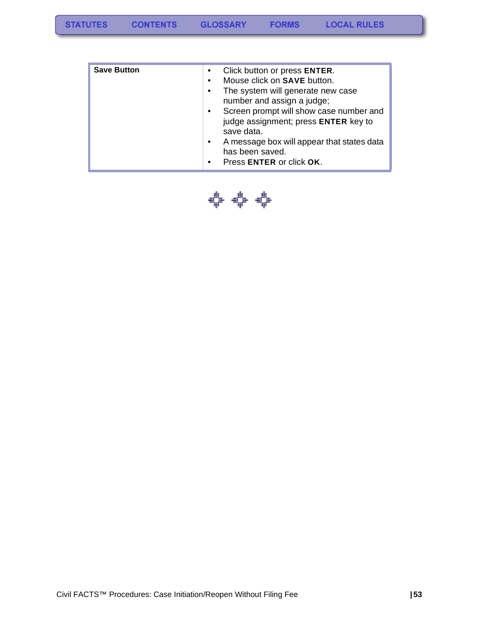| <b>Save Button</b> | Click button or press ENTER.<br>$\bullet$<br>Mouse click on SAVE button.<br>$\bullet$<br>The system will generate new case<br>$\bullet$<br>number and assign a judge;<br>Screen prompt will show case number and<br>$\bullet$<br>judge assignment; press ENTER key to<br>save data.<br>A message box will appear that states data<br>$\bullet$<br>has been saved.<br>Press ENTER or click OK.<br>$\bullet$ |
|--------------------|------------------------------------------------------------------------------------------------------------------------------------------------------------------------------------------------------------------------------------------------------------------------------------------------------------------------------------------------------------------------------------------------------------|
|                    |                                                                                                                                                                                                                                                                                                                                                                                                            |

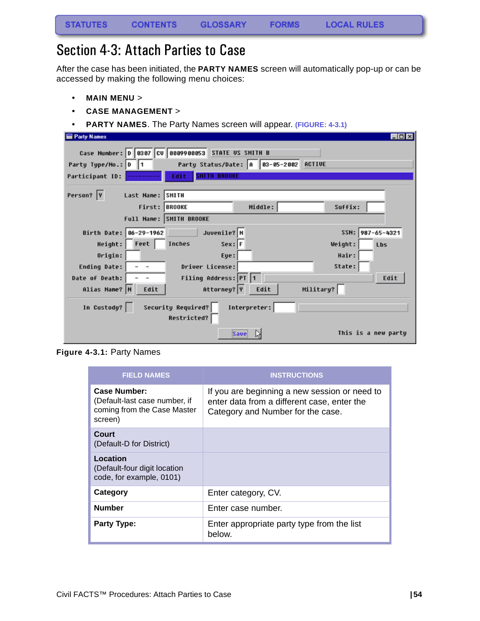### Section 4-3: Attach Parties to Case

After the case has been initiated, the **PARTY NAMES** screen will automatically pop-up or can be accessed by making the following menu choices:

- **MAIN MENU** >
- **CASE MANAGEMENT** >
- **PARTY NAMES**. The Party Names screen will appear. **(FIGURE: 4-3.1)**

| <b>Party Names</b>     |                  |                                                                                   |                                        |           | $\Box$ olx          |
|------------------------|------------------|-----------------------------------------------------------------------------------|----------------------------------------|-----------|---------------------|
| Party Type/No.: D      | 11               | Case Number: 0 0307 CV 0009900053 STATE US SMITH B<br><b>SHITH BROOKE</b><br>Edit | Party Status/Date: A 83-85-2002 ACTIVE |           |                     |
| Participant ID:        |                  |                                                                                   |                                        |           |                     |
| Person?  Y             | Last Name: SMITH |                                                                                   |                                        |           |                     |
|                        | First: BROOKE    |                                                                                   | Middle:                                | Suffix:   |                     |
|                        |                  | Full Name: SMITH BROOKE                                                           |                                        |           |                     |
| Birth Date: 06-29-1962 |                  | Juvenile? N                                                                       |                                        |           | SSN: 987-65-4321    |
| Height:                | Feet             | Inches<br>$Sex:$ F                                                                |                                        | Weight:   | Lbs                 |
| Origin:                |                  | Eye:                                                                              |                                        | Hair:     |                     |
| Ending Date:           |                  | Driver License:                                                                   |                                        | State:    |                     |
| Date of Death:         |                  | Filing Address: PT 1                                                              |                                        |           | Edit                |
| Alias Name? N          | Edit             | Attorney? Y                                                                       | Edit                                   | Military? |                     |
| In Custody?            |                  | Security Required?<br><b>Restricted?</b>                                          | Interpreter:                           |           |                     |
|                        |                  |                                                                                   | <b>Save</b>                            |           | This is a new partu |

**Figure 4-3.1:** Party Names

| <b>FIELD NAMES</b>                                                                      | <b>INSTRUCTIONS</b>                                                                                                               |
|-----------------------------------------------------------------------------------------|-----------------------------------------------------------------------------------------------------------------------------------|
| Case Number:<br>(Default-last case number, if<br>coming from the Case Master<br>screen) | If you are beginning a new session or need to<br>enter data from a different case, enter the<br>Category and Number for the case. |
| Court<br>(Default-D for District)                                                       |                                                                                                                                   |
| Location<br>(Default-four digit location<br>code, for example, 0101)                    |                                                                                                                                   |
| Category                                                                                | Enter category, CV.                                                                                                               |
| <b>Number</b>                                                                           | Enter case number.                                                                                                                |
| <b>Party Type:</b>                                                                      | Enter appropriate party type from the list<br>below.                                                                              |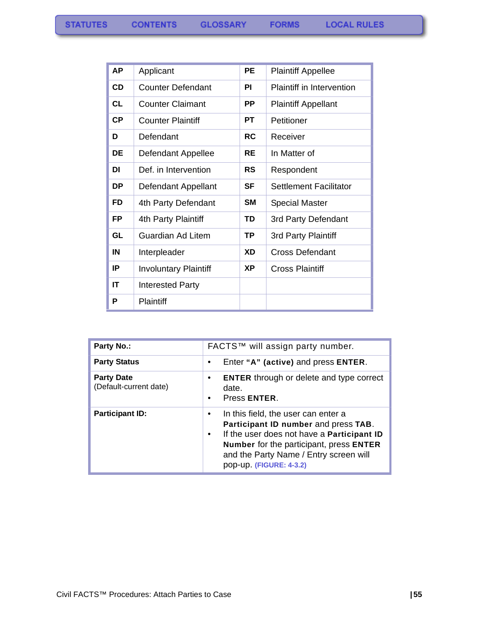| АP        | Applicant                    | PE        | <b>Plaintiff Appellee</b>        |
|-----------|------------------------------|-----------|----------------------------------|
| <b>CD</b> | <b>Counter Defendant</b>     | ΡI        | <b>Plaintiff in Intervention</b> |
| CL        | <b>Counter Claimant</b>      | PP        | <b>Plaintiff Appellant</b>       |
| <b>CP</b> | <b>Counter Plaintiff</b>     | РT        | Petitioner                       |
| D         | Defendant                    | <b>RC</b> | Receiver                         |
| DE        | Defendant Appellee           | RE        | In Matter of                     |
| DI        | Def. in Intervention         | RS        | Respondent                       |
| DP        | Defendant Appellant          | SF        | <b>Settlement Facilitator</b>    |
| FD        | 4th Party Defendant          | SM        | <b>Special Master</b>            |
| <b>FP</b> | 4th Party Plaintiff          | TD        | 3rd Party Defendant              |
| GL        | <b>Guardian Ad Litem</b>     | ΤP        | 3rd Party Plaintiff              |
| IN        | Interpleader                 | XD        | <b>Cross Defendant</b>           |
| IP        | <b>Involuntary Plaintiff</b> | <b>XP</b> | Cross Plaintiff                  |
| IT        | <b>Interested Party</b>      |           |                                  |
| P         | <b>Plaintiff</b>             |           |                                  |

| Party No.:                                  | FACTS™ will assign party number.                                                                                                                                                                                                                       |  |  |
|---------------------------------------------|--------------------------------------------------------------------------------------------------------------------------------------------------------------------------------------------------------------------------------------------------------|--|--|
| <b>Party Status</b>                         | Enter "A" (active) and press ENTER.<br>٠                                                                                                                                                                                                               |  |  |
| <b>Party Date</b><br>(Default-current date) | <b>ENTER</b> through or delete and type correct<br>date.<br>Press ENTER.<br>٠                                                                                                                                                                          |  |  |
| <b>Participant ID:</b>                      | In this field, the user can enter a<br>$\bullet$<br>Participant ID number and press TAB.<br>If the user does not have a Participant ID<br>Number for the participant, press ENTER<br>and the Party Name / Entry screen will<br>pop-up. (FIGURE: 4-3.2) |  |  |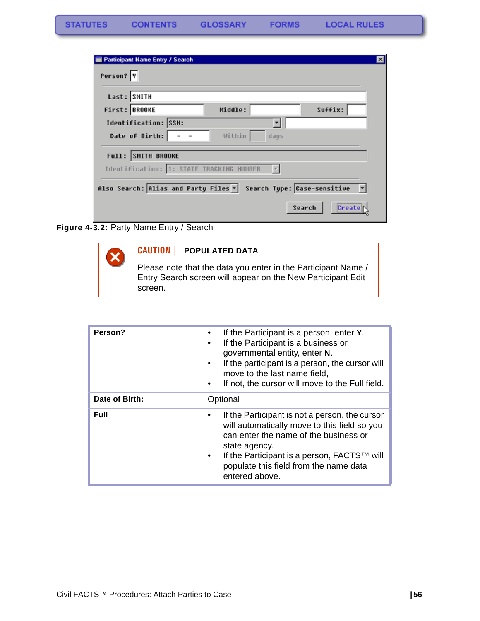| <b>Participant Name Entry / Search</b><br>Person? Y              |         |                 |
|------------------------------------------------------------------|---------|-----------------|
|                                                                  |         |                 |
| Last: SMITH<br>First: BROOKE                                     | Middle: | Suffix:         |
| Identification: SSN:                                             |         |                 |
| Date of Birth:                                                   | Within  | days            |
| Full: SMITH BROOKE<br>Identification: 1: STATE TRACKING NUMBER   |         |                 |
|                                                                  |         |                 |
| Also Search: Alias and Party Files v Search Type: Case-sensitive |         |                 |
|                                                                  |         | Search<br>Creat |

**Figure 4-3.2:** Party Name Entry / Search



| Person?        | If the Participant is a person, enter Y.<br>If the Participant is a business or<br>governmental entity, enter N.<br>If the participant is a person, the cursor will<br>move to the last name field,<br>If not, the cursor will move to the Full field.<br>٠              |
|----------------|--------------------------------------------------------------------------------------------------------------------------------------------------------------------------------------------------------------------------------------------------------------------------|
| Date of Birth: | Optional                                                                                                                                                                                                                                                                 |
| <b>Full</b>    | If the Participant is not a person, the cursor<br>will automatically move to this field so you<br>can enter the name of the business or<br>state agency.<br>If the Participant is a person, FACTS™ will<br>٠<br>populate this field from the name data<br>entered above. |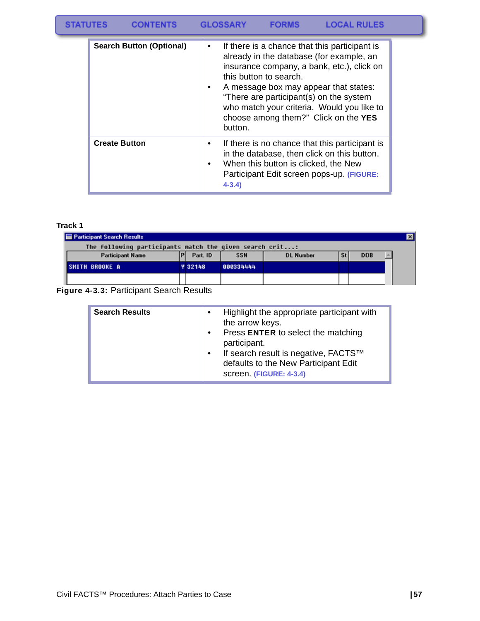#### **STATUTES CONTENTS GLOSSARY FORMS LOCAL RULES**

| <b>Search Button (Optional)</b> | If there is a chance that this participant is<br>٠<br>already in the database (for example, an<br>insurance company, a bank, etc.), click on<br>this button to search.<br>A message box may appear that states:<br>"There are participant(s) on the system<br>who match your criteria. Would you like to<br>choose among them?" Click on the YES<br>button. |
|---------------------------------|-------------------------------------------------------------------------------------------------------------------------------------------------------------------------------------------------------------------------------------------------------------------------------------------------------------------------------------------------------------|
| <b>Create Button</b>            | If there is no chance that this participant is<br>$\bullet$<br>in the database, then click on this button.<br>When this button is clicked, the New<br>٠<br>Participant Edit screen pops-up. (FIGURE:<br>$4 - 3.4$                                                                                                                                           |

#### **Track 1**

| <b>Participant Search Results</b>                       |  |                |            |                  |            |  |
|---------------------------------------------------------|--|----------------|------------|------------------|------------|--|
| The following participants match the given search crit: |  |                |            |                  |            |  |
| <b>Participant Name</b>                                 |  | Part. ID       | <b>SSN</b> | <b>DL Number</b> | <b>DOB</b> |  |
| <b>SMITH BROOKE A</b>                                   |  | <b>Y 32148</b> | 000334444  |                  |            |  |
|                                                         |  |                |            |                  |            |  |

#### **Figure 4-3.3:** Participant Search Results

| <b>Search Results</b> | Highlight the appropriate participant with<br>the arrow keys.<br>Press ENTER to select the matching<br>$\bullet$<br>participant.<br>If search result is negative, FACTS™<br>$\bullet$<br>defaults to the New Participant Edit |
|-----------------------|-------------------------------------------------------------------------------------------------------------------------------------------------------------------------------------------------------------------------------|
|                       | screen. (FIGURE: 4-3.4)                                                                                                                                                                                                       |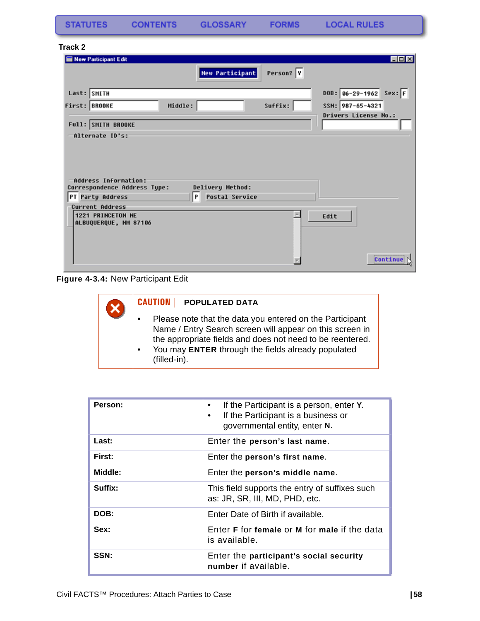**FORMS** 

#### **Track 2**

| New Participant Edit                                                 |                            |           |                      | H <sub>H</sub> |
|----------------------------------------------------------------------|----------------------------|-----------|----------------------|----------------|
|                                                                      | <b>New Participant</b>     | Person? Y |                      |                |
| Last: SMITH                                                          |                            |           | $DB: 86-29-1962$     | $Sex:$ F       |
| First: BROOKE                                                        | Middle:                    | Suffix:   | SSN: 987-65-4321     |                |
| Full: SMITH BROOKE                                                   |                            |           | Drivers License No.: |                |
| -Alternate ID's:                                                     |                            |           |                      |                |
| Address Information:<br>Correspondence Address Type:                 | Delivery Method:           |           |                      |                |
| PT Party Address                                                     | <b>Postal Service</b><br>P |           |                      |                |
| <b>Current Address</b><br>1221 PRINCETON NE<br>ALBUQUERQUE, NM 87106 |                            |           | Edit                 | Continue       |
|                                                                      |                            |           |                      |                |

**Figure 4-3.4:** New Participant Edit

### **CAUTION | POPULATED DATA** x • Please note that the data you entered on the Participant Name / Entry Search screen will appear on this screen in the appropriate fields and does not need to be reentered. • You may **ENTER** through the fields already populated (filled-in).

| Person: | If the Participant is a person, enter Y.<br>If the Participant is a business or<br>governmental entity, enter N. |
|---------|------------------------------------------------------------------------------------------------------------------|
| Last:   | Enter the person's last name.                                                                                    |
| First:  | Enter the person's first name.                                                                                   |
| Middle: | Enter the person's middle name.                                                                                  |
| Suffix: | This field supports the entry of suffixes such<br>as: JR, SR, III, MD, PHD, etc.                                 |
| DOB:    | Enter Date of Birth if available.                                                                                |
| Sex:    | Enter <b>F</b> for female or <b>M</b> for male if the data<br>is available.                                      |
| SSN:    | Enter the participant's social security<br>number if available.                                                  |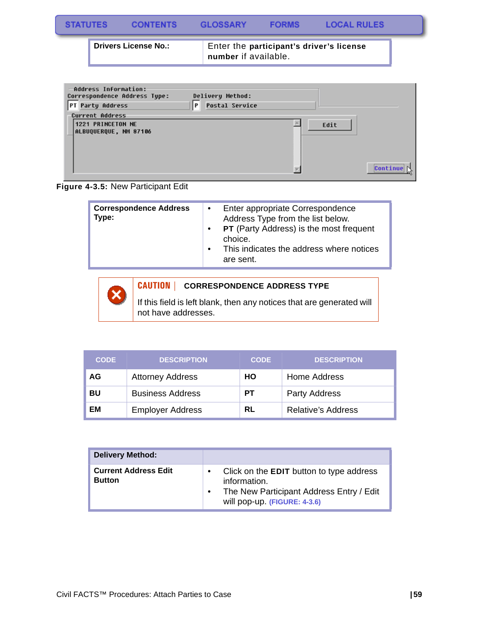| <b>STATUTES</b> | CONTENTS                    | GLOSSARY             | <b>FORMS</b> | <b>LOCAL RULES</b>                       |  |
|-----------------|-----------------------------|----------------------|--------------|------------------------------------------|--|
|                 | <b>Drivers License No.:</b> | number if available. |              | Enter the participant's driver's license |  |

| Address Information:<br>Correspondence Address Type:<br>$\mathsf P$<br>PT Party Address | Delivery Method:<br><b>Postal Service</b> |          |
|-----------------------------------------------------------------------------------------|-------------------------------------------|----------|
| <b>Current Address</b><br>1221 PRINCETON NE                                             |                                           |          |
| ALBUQUERQUE, NM 87106                                                                   |                                           | Edit     |
|                                                                                         |                                           |          |
|                                                                                         |                                           |          |
|                                                                                         |                                           | Continue |
|                                                                                         |                                           |          |



| <b>PT</b> (Party Address) is the most frequent<br>$\bullet$<br>choice.<br>This indicates the address where notices<br>$\bullet$<br>are sent. |
|----------------------------------------------------------------------------------------------------------------------------------------------|
|----------------------------------------------------------------------------------------------------------------------------------------------|



#### **CAUTION | CORRESPONDENCE ADDRESS TYPE**

If this field is left blank, then any notices that are generated will not have addresses.

| <b>CODE</b> | <b>DESCRIPTION</b>      | <b>CODE</b> | <b>DESCRIPTION</b>        |
|-------------|-------------------------|-------------|---------------------------|
| AG          | <b>Attorney Address</b> | HО          | Home Address              |
| BU          | <b>Business Address</b> | PТ          | Party Address             |
| EМ          | <b>Employer Address</b> | RL          | <b>Relative's Address</b> |

| <b>Delivery Method:</b>                      |                                                                                                                                                          |
|----------------------------------------------|----------------------------------------------------------------------------------------------------------------------------------------------------------|
| <b>Current Address Edit</b><br><b>Button</b> | Click on the <b>EDIT</b> button to type address<br>$\bullet$<br>information.<br>The New Participant Address Entry / Edit<br>will pop-up. (FIGURE: 4-3.6) |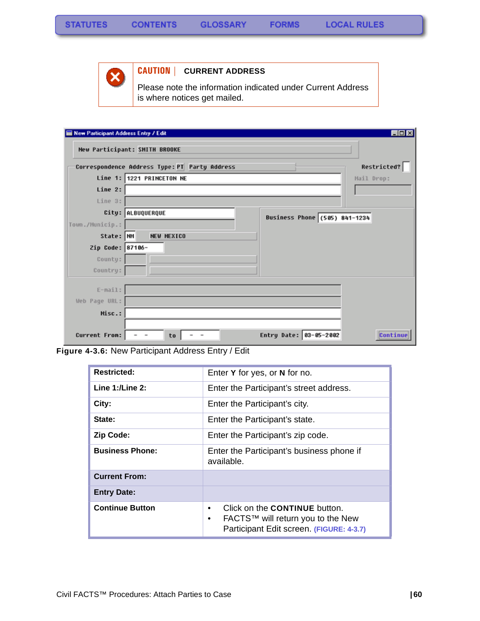

#### **CAUTION | CURRENT ADDRESS**

Please note the information indicated under Current Address is where notices get mailed.

| New Participant Address Entry / Edit |                                                          | <b>LDX</b>  |
|--------------------------------------|----------------------------------------------------------|-------------|
|                                      | New Participant: SMITH BROOKE                            |             |
|                                      | Correspondence Address Type: PT Party Address            | Restricted? |
|                                      | Line 1: 1221 PRINCETON NE                                | Mail Drop:  |
| Line 2:                              |                                                          |             |
| Line 3:                              |                                                          |             |
|                                      | City: ALBUQUERQUE                                        |             |
| Town./Municip.:                      | Business Phone (505) 841-1234                            |             |
| State: NM                            | <b>NEW MEXICO</b>                                        |             |
| Zip Code: 87106-                     |                                                          |             |
| County:                              |                                                          |             |
| Country:                             |                                                          |             |
|                                      |                                                          |             |
| $E-mail:$                            |                                                          |             |
| Web Page URL:                        |                                                          |             |
| Misc.:                               |                                                          |             |
|                                      |                                                          |             |
| <b>Current From:</b>                 | Entry Date: 03-05-2002<br>to<br>$\overline{\phantom{a}}$ | Continue    |

**Figure 4-3.6:** New Participant Address Entry / Edit

| <b>Restricted:</b>     | Enter Y for yes, or N for no.                                                                                                           |  |
|------------------------|-----------------------------------------------------------------------------------------------------------------------------------------|--|
| Line $1:$ /Line $2:$   | Enter the Participant's street address.                                                                                                 |  |
| City:                  | Enter the Participant's city.                                                                                                           |  |
| State:                 | Enter the Participant's state.                                                                                                          |  |
| <b>Zip Code:</b>       | Enter the Participant's zip code.                                                                                                       |  |
| <b>Business Phone:</b> | Enter the Participant's business phone if<br>available.                                                                                 |  |
| <b>Current From:</b>   |                                                                                                                                         |  |
| <b>Entry Date:</b>     |                                                                                                                                         |  |
| <b>Continue Button</b> | Click on the <b>CONTINUE</b> button.<br>٠<br>FACTS™ will return you to the New<br>$\bullet$<br>Participant Edit screen. (FIGURE: 4-3.7) |  |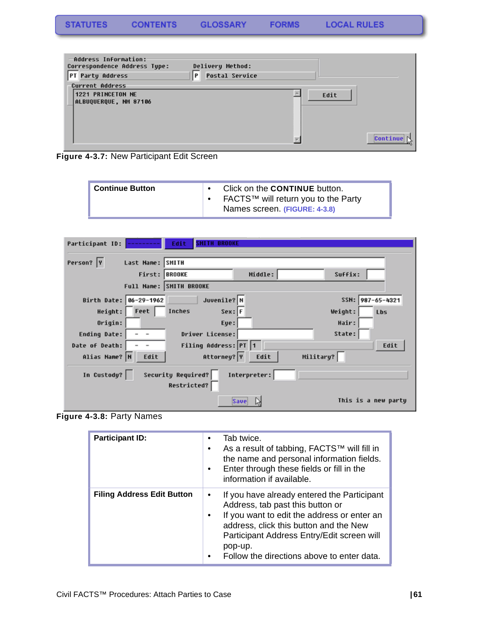| Address Information:<br>Correspondence Address Type:<br>PT Party Address | Delivery Method:<br><b>Postal Service</b><br>P |      |          |
|--------------------------------------------------------------------------|------------------------------------------------|------|----------|
| <b>Current Address</b><br>1221 PRINCETON NE<br>ALBUQUERQUE, NM 87106     |                                                | Edit |          |
|                                                                          |                                                |      | Continue |

<span id="page-62-0"></span>**Figure 4-3.7:** New Participant Edit Screen

| Continue Button | Click on the <b>CONTINUE</b> button.<br>FACTS™ will return you to the Party<br>Names screen (FIGURE: 4-3.8) |
|-----------------|-------------------------------------------------------------------------------------------------------------|
|-----------------|-------------------------------------------------------------------------------------------------------------|

| Edit<br>Participant ID:<br><b>SHITH BROOKE</b>          |                             |
|---------------------------------------------------------|-----------------------------|
| Person?  Y<br>Last Name: SMITH                          |                             |
| First: BROOKE                                           | Middle:<br>Suffix:          |
| Full Name: SMITH BROOKE                                 |                             |
| Juvenile? N<br>Birth Date: 06-29-1962                   | 987-65-4321<br>SSN:         |
| Feet<br>Height:<br>Inches<br>$Sex:$ F                   | Weight:<br>Lbs              |
| Origin:<br>Eye:                                         | Hair:                       |
| Driver License:<br>Ending Date:                         | State:                      |
| Filing Address: PT 1<br>Date of Death:                  | Edit                        |
| Attorney? Y<br>Alias Name? N<br>Edit                    | Military?<br>Edit           |
| Security Required?<br>In Custody?<br><b>Restricted?</b> | Interpreter:                |
|                                                         | This is a new partu<br>Save |

**Figure 4-3.8:** Party Names

| <b>Participant ID:</b>            | Tab twice.<br>٠<br>As a result of tabbing, FACTS™ will fill in<br>the name and personal information fields.<br>Enter through these fields or fill in the<br>information if available.                                                                                                |
|-----------------------------------|--------------------------------------------------------------------------------------------------------------------------------------------------------------------------------------------------------------------------------------------------------------------------------------|
| <b>Filing Address Edit Button</b> | If you have already entered the Participant<br>٠<br>Address, tab past this button or<br>If you want to edit the address or enter an<br>address, click this button and the New<br>Participant Address Entry/Edit screen will<br>pop-up.<br>Follow the directions above to enter data. |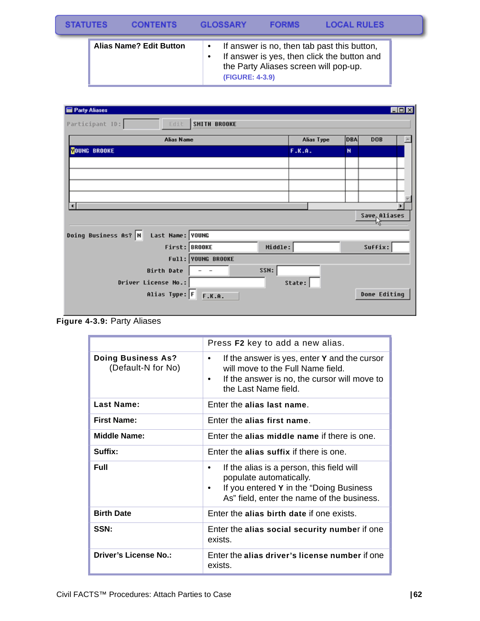| <b>STATUTES</b> | <b>CONTENTS</b>                | GI OSSARY              | <b>FORMS</b>                          | <b>LOCAL RULES</b>                                                                         |  |
|-----------------|--------------------------------|------------------------|---------------------------------------|--------------------------------------------------------------------------------------------|--|
|                 | <b>Alias Name? Edit Button</b> | <b>(FIGURE: 4-3.9)</b> | the Party Aliases screen will pop-up. | If answer is no, then tab past this button,<br>If answer is yes, then click the button and |  |

| Party Aliases                            |                                  |            |            | <b>EDX</b>   |
|------------------------------------------|----------------------------------|------------|------------|--------------|
| Participant ID:<br>Edit                  | <b>SMITH BROOKE</b>              |            |            |              |
| <b>Alias Name</b>                        |                                  | Alias Type | <b>DBA</b> | <b>DOB</b>   |
| <b>FOUNG BROOKE</b>                      |                                  | F.K.A.     | N          |              |
|                                          |                                  |            |            |              |
|                                          |                                  |            |            |              |
|                                          |                                  |            |            |              |
|                                          |                                  |            |            |              |
| п                                        |                                  |            |            |              |
|                                          |                                  |            |            | Save Aliases |
| Doing Business As? N<br>Last Name: YOUNG |                                  |            |            |              |
|                                          | Middle:<br>First: BROOKE         |            |            | Suffix:      |
|                                          | Full: YOUNG BROOKE               |            |            |              |
| <b>Birth Date</b>                        | SSN:<br>$\overline{\phantom{a}}$ |            |            |              |
| Driver License No.:                      |                                  | State:     |            |              |
| Alias Type: F                            | F.K.A.                           |            |            | Done Editing |
|                                          |                                  |            |            |              |

**Figure 4-3.9:** Party Aliases

|                                                 | Press F2 key to add a new alias.                                                                                                                                                   |
|-------------------------------------------------|------------------------------------------------------------------------------------------------------------------------------------------------------------------------------------|
| <b>Doing Business As?</b><br>(Default-N for No) | If the answer is yes, enter <b>Y</b> and the cursor<br>$\bullet$<br>will move to the Full Name field.<br>If the answer is no, the cursor will move to<br>٠<br>the Last Name field. |
| <b>Last Name:</b>                               | Enter the alias last name.                                                                                                                                                         |
| <b>First Name:</b>                              | Enter the alias first name.                                                                                                                                                        |
| <b>Middle Name:</b>                             | Enter the alias middle name if there is one.                                                                                                                                       |
| Suffix:                                         | Enter the alias suffix if there is one.                                                                                                                                            |
| Full                                            | If the alias is a person, this field will<br>٠<br>populate automatically.<br>If you entered Y in the "Doing Business"<br>As" field, enter the name of the business.                |
| <b>Birth Date</b>                               | Enter the alias birth date if one exists.                                                                                                                                          |
| SSN:                                            | Enter the alias social security number if one<br>exists.                                                                                                                           |
| <b>Driver's License No.:</b>                    | Enter the alias driver's license number if one<br>exists.                                                                                                                          |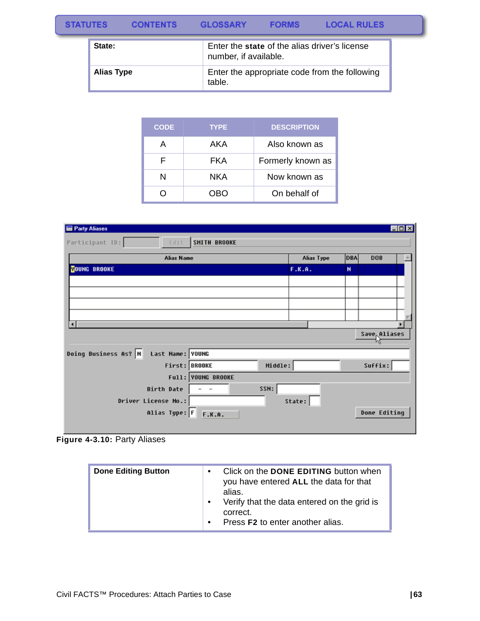#### **STATUTES CONTENTS GLOSSARY FORMS LOCAL RULES**

| State:     | Enter the state of the alias driver's license<br>number, if available. |
|------------|------------------------------------------------------------------------|
| Alias Type | Enter the appropriate code from the following<br>table.                |

| <b>CODE</b> | <b>TYPE</b> | <b>DESCRIPTION</b> |
|-------------|-------------|--------------------|
| А           | AKA         | Also known as      |
| F           | FKA         | Formerly known as  |
|             | NKA         | Now known as       |
|             | NRN         | On behalf of       |

| Party Aliases                            |                     |            |     |                           | EDX |
|------------------------------------------|---------------------|------------|-----|---------------------------|-----|
| Participant ID:<br>Edit.                 | <b>SMITH BROOKE</b> |            |     |                           |     |
| <b>Alias Name</b>                        |                     | Alias Type | DBA | <b>DOB</b>                |     |
| <b>NOUNG BROOKE</b>                      |                     | F.K.A.     | N   |                           |     |
|                                          |                     |            |     |                           |     |
|                                          |                     |            |     |                           |     |
|                                          |                     |            |     |                           |     |
|                                          |                     |            |     |                           |     |
| $\blacksquare$                           |                     |            |     |                           |     |
|                                          |                     |            |     | Save <sub>r</sub> Aliases |     |
| Doing Business As? N<br>Last Name: YOUNG |                     |            |     |                           |     |
| First: BROOKE                            | Middle:             |            |     | Suffix:                   |     |
|                                          | Full: YOUNG BROOKE  |            |     |                           |     |
| <b>Birth Date</b>                        | :SSN:               |            |     |                           |     |
| Driver License No.:                      |                     | State:     |     |                           |     |
| Alias Type: F                            | F.K.A.              |            |     | Done Editing              |     |

**Figure 4-3.10:** Party Aliases

| Click on the <b>DONE EDITING</b> button when<br><b>Done Editing Button</b><br>you have entered ALL the data for that<br>alias.<br>Verify that the data entered on the grid is<br>correct.<br>Press F2 to enter another alias.<br>$\bullet$ |
|--------------------------------------------------------------------------------------------------------------------------------------------------------------------------------------------------------------------------------------------|
|--------------------------------------------------------------------------------------------------------------------------------------------------------------------------------------------------------------------------------------------|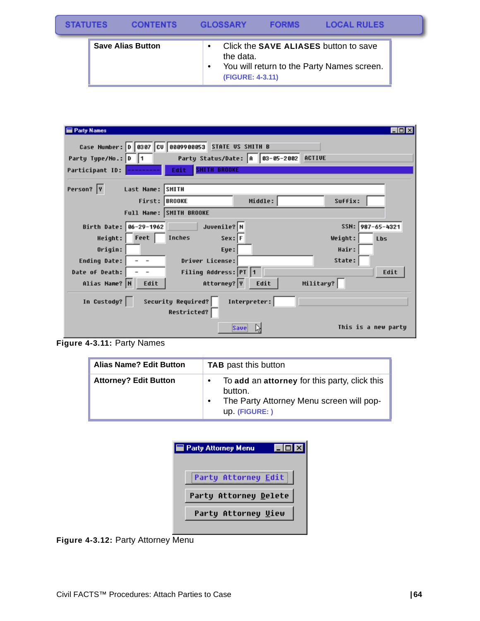| <b>STATUTES</b> | <b>CONTENTS</b>          | <b>GLOSSARY</b>               | <b>FORMS</b> | <b>LOCAL RULES</b>                                                                         |  |
|-----------------|--------------------------|-------------------------------|--------------|--------------------------------------------------------------------------------------------|--|
|                 | <b>Save Alias Button</b> | the data.<br>(FIGURE: 4-3.11) |              | Click the <b>SAVE ALIASES</b> button to save<br>You will return to the Party Names screen. |  |

| <b>Party Names</b>                       |                                          |                                        |           | - 10 B              |
|------------------------------------------|------------------------------------------|----------------------------------------|-----------|---------------------|
| Case Number: 0 0307 CV 0809900053        |                                          | <b>STATE US SMITH B</b>                |           |                     |
| Party Type/No.: D 1                      |                                          | Party Status/Date: A 83-05-2002 ACTIVE |           |                     |
| Participant ID:                          | <b>SHITH BROOKE</b><br>Edit              |                                        |           |                     |
| Person?  Y<br>Last Name: SMITH           |                                          |                                        |           |                     |
|                                          | First: BROOKE                            | Middle:                                | Suffix:   |                     |
|                                          | Full Name: SMITH BROOKE                  |                                        |           |                     |
| Birth Date: 06-29-1962                   | Juvenile? N                              |                                        |           | SSN: 987-65-4321    |
| Height: Feet                             | Inches<br>$Sex:$ F                       |                                        | Weight:   | Lbs                 |
| Origin:                                  | Eye:                                     |                                        | Hair:     |                     |
| Ending Date:<br>$\overline{\phantom{a}}$ | Driver License:                          |                                        | State:    |                     |
| Date of Death:                           | Filing Address: PT 1                     |                                        |           | Edit                |
| Alias Name? N<br>Edit                    | Attorney? Y                              | Edit                                   | Military? |                     |
| In Custody?                              | Security Required?<br><b>Restricted?</b> | Interpreter:                           |           |                     |
|                                          |                                          | Save                                   |           | This is a new party |

**Figure 4-3.11:** Party Names

| <b>Alias Name? Edit Button</b> | <b>TAB</b> past this button                                                                                            |
|--------------------------------|------------------------------------------------------------------------------------------------------------------------|
| <b>Attorney? Edit Button</b>   | To add an attorney for this party, click this<br>button.<br>The Party Attorney Menu screen will pop-<br>up. (FIGURE: ) |

| <b>Party Attorney Menu</b> |
|----------------------------|
|                            |
| Party Attorney Edit        |
| Party Attorney Delete      |
| Party Attorney Uiew        |
|                            |

**Figure 4-3.12:** Party Attorney Menu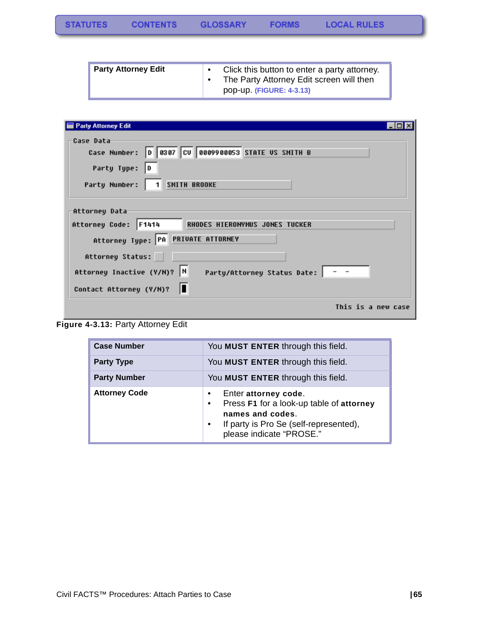| <b>Party Attorney Edit</b> | Click this button to enter a party attorney. |
|----------------------------|----------------------------------------------|
|                            | The Party Attorney Edit screen will then     |
|                            | pop-up. (FIGURE: 4-3.13)                     |

| Party Attorney Edit                                                                                                                                                                                                             |
|---------------------------------------------------------------------------------------------------------------------------------------------------------------------------------------------------------------------------------|
| Case Data<br>Case Number: 0 0307 CV 0009900053 STATE US SMITH B<br>Party Type:<br>D                                                                                                                                             |
| <b>SMITH BROOKE</b><br>Party Number:<br>$1 \vert$                                                                                                                                                                               |
| Attorney Data<br>Attorney Code: F1414<br>RHODES HIERONYMUS JONES TUCKER<br>Attorney Type: PA PRIVATE ATTORNEY<br>Attorney Status:<br>Attorney Inactive (Y/N)? N<br>Party/Attorney Status Date:   - -<br>Contact Attorney (Y/N)? |
| This is a new case                                                                                                                                                                                                              |

**Figure 4-3.13:** Party Attorney Edit

| <b>Case Number</b>   | You MUST ENTER through this field.                                                                                                                                      |
|----------------------|-------------------------------------------------------------------------------------------------------------------------------------------------------------------------|
| <b>Party Type</b>    | You MUST ENTER through this field.                                                                                                                                      |
| <b>Party Number</b>  | You MUST ENTER through this field.                                                                                                                                      |
| <b>Attorney Code</b> | Enter attorney code.<br>Press F1 for a look-up table of attorney<br>$\bullet$<br>names and codes.<br>If party is Pro Se (self-represented),<br>please indicate "PROSE." |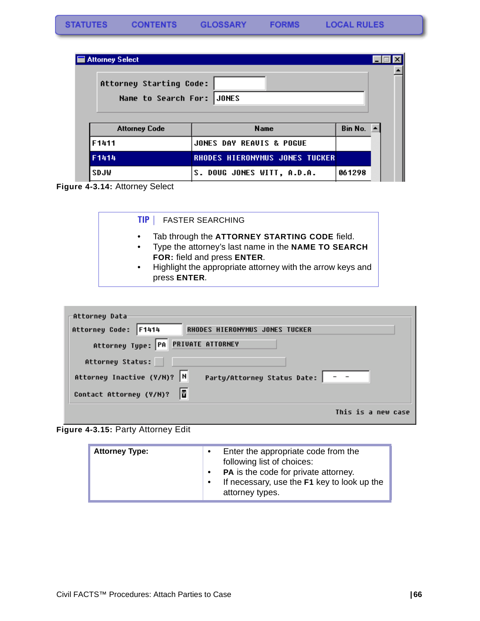| Attorney Select           |                                       |                       |  |
|---------------------------|---------------------------------------|-----------------------|--|
| Attorney Starting Code:   |                                       |                       |  |
| Name to Search For: JONES |                                       |                       |  |
|                           |                                       |                       |  |
| <b>Attorney Code</b>      |                                       |                       |  |
|                           | <b>Name</b>                           | Bin No. $\rightarrow$ |  |
| F1411                     | JONES DAY REAUIS & POGUE              |                       |  |
| F1414                     | <b>RHODES HIERONYMUS JONES TUCKER</b> |                       |  |
| SDJW                      | <b>S. DOUG JONES WITT, A.D.A.</b>     | 061298                |  |

**Figure 4-3.14:** Attorney Select

| Tab through the ATTORNEY STARTING CODE field.<br>٠<br>Type the attorney's last name in the NAME TO SEARCH<br>$\bullet$<br>FOR: field and press ENTER.<br>Highlight the appropriate attorney with the arrow keys and<br>$\bullet$<br>press ENTER. |
|--------------------------------------------------------------------------------------------------------------------------------------------------------------------------------------------------------------------------------------------------|
|                                                                                                                                                                                                                                                  |

| -Attorney Data                                                   |                    |
|------------------------------------------------------------------|--------------------|
| Attorney Code: F1414<br>RHODES HIERONYMUS JONES TUCKER           |                    |
| Attorney Type: PA PRIVATE ATTORNEY                               |                    |
| Attorney Status:                                                 |                    |
| Attorney Inactive (Y/N)?  N<br>Party/Attorney Status Date:   - - |                    |
| Contact Attorney (Y/N)?                                          |                    |
|                                                                  | This is a new case |

**Figure 4-3.15:** Party Attorney Edit

| <b>Attorney Type:</b> | $\bullet$<br>$\bullet$<br>$\bullet$ | Enter the appropriate code from the<br>following list of choices:<br>PA is the code for private attorney.<br>If necessary, use the F1 key to look up the<br>attorney types. |
|-----------------------|-------------------------------------|-----------------------------------------------------------------------------------------------------------------------------------------------------------------------------|
|-----------------------|-------------------------------------|-----------------------------------------------------------------------------------------------------------------------------------------------------------------------------|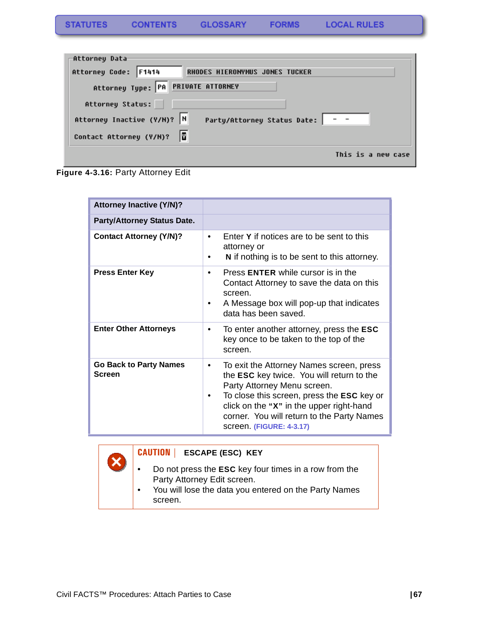| -Attorney Data                                                   |
|------------------------------------------------------------------|
| Attorney Code: F1414<br>RHODES HIERONYMUS JONES TUCKER           |
| Attorney Type: PA PRIVATE ATTORNEY                               |
| Attorney Status:                                                 |
| Attorney Inactive (Y/N)?  N<br>Party/Attorney Status Date:   - - |
| Contact Attorney (Y/N)?                                          |
| This is a new case                                               |



| <b>Attorney Inactive (Y/N)?</b>                |                                                                                                                                                                                                                                                                                                                         |
|------------------------------------------------|-------------------------------------------------------------------------------------------------------------------------------------------------------------------------------------------------------------------------------------------------------------------------------------------------------------------------|
| <b>Party/Attorney Status Date.</b>             |                                                                                                                                                                                                                                                                                                                         |
| <b>Contact Attorney (Y/N)?</b>                 | Enter Y if notices are to be sent to this<br>$\bullet$<br>attorney or<br>N if nothing is to be sent to this attorney.                                                                                                                                                                                                   |
| <b>Press Enter Key</b>                         | Press <b>ENTER</b> while cursor is in the<br>٠<br>Contact Attorney to save the data on this<br>screen.<br>A Message box will pop-up that indicates<br>٠<br>data has been saved.                                                                                                                                         |
| <b>Enter Other Attorneys</b>                   | To enter another attorney, press the <b>ESC</b><br>$\bullet$<br>key once to be taken to the top of the<br>screen.                                                                                                                                                                                                       |
| <b>Go Back to Party Names</b><br><b>Screen</b> | To exit the Attorney Names screen, press<br>٠<br>the <b>ESC</b> key twice. You will return to the<br>Party Attorney Menu screen.<br>To close this screen, press the <b>ESC</b> key or<br>٠<br>click on the "X" in the upper right-hand<br>corner. You will return to the Party Names<br><b>screen. (FIGURE: 4-3.17)</b> |

#### **CAUTION | ESCAPE (ESC) KEY**

- Do not press the **ESC** key four times in a row from the Party Attorney Edit screen.
- You will lose the data you entered on the Party Names screen.

x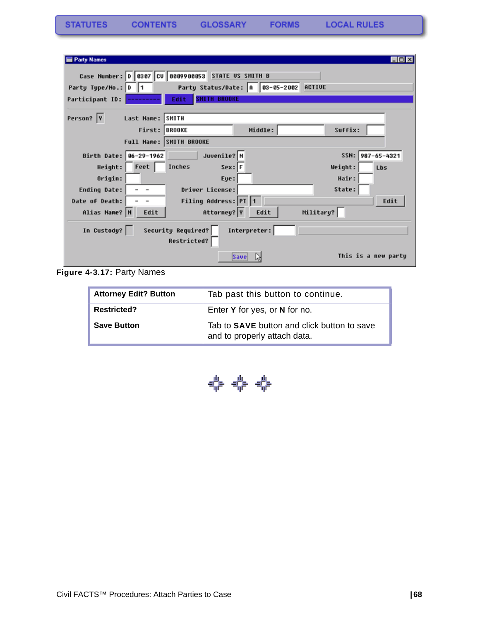| <b>Party Names</b>     |                                             |                                   |           | <b>LOK</b>          |
|------------------------|---------------------------------------------|-----------------------------------|-----------|---------------------|
|                        | Case Number: 0 0307 CV 0009900053           | <b>STATE US SMITH B</b>           |           |                     |
| Party Type/No.: D 1    |                                             | Party Status/Date: A   03-05-2002 | ACTIVE    |                     |
| Participant ID:        | <b>SMITH BROOKE</b><br>Edit.                |                                   |           |                     |
|                        |                                             |                                   |           |                     |
| Person?  Y             | Last Name: SMITH                            |                                   |           |                     |
|                        | First: BROOKE                               | Middle:                           | Suffix:   |                     |
|                        | Full Name: SMITH BROOKE                     |                                   |           |                     |
| Birth Date: 06-29-1962 | Juvenile? N                                 |                                   |           | SSN: 987-65-4321    |
| Height: Feet           | $Sex:$ F<br>Inches                          |                                   | Weight:   | Lbs                 |
| Origin:                | Eye:                                        |                                   | Hair:     |                     |
| Ending Date:           | Driver License:<br>$\overline{\phantom{a}}$ |                                   | State:    |                     |
| Date of Death:         | Filing Address: PT 1                        |                                   |           | Edit                |
| Alias Name? N          | Attorney? Y<br>Edit                         | Edit                              | Military? |                     |
| In Custody?            | Security Required?                          | Interpreter:                      |           |                     |
|                        | <b>Restricted?</b>                          |                                   |           |                     |
|                        |                                             | Save                              |           | This is a new party |

**Figure 4-3.17:** Party Names

| <b>Attorney Edit? Button</b> | Tab past this button to continue.                                           |
|------------------------------|-----------------------------------------------------------------------------|
| <b>Restricted?</b>           | Enter Y for yes, or N for no.                                               |
| <b>Save Button</b>           | Tab to SAVE button and click button to save<br>and to properly attach data. |

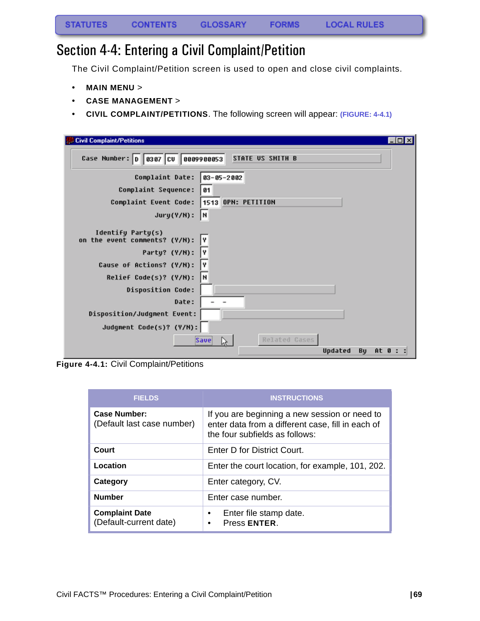## Section 4-4: Entering a Civil Complaint/Petition

The Civil Complaint/Petition screen is used to open and close civil complaints.

- **MAIN MENU** >
- **CASE MANAGEMENT** >
- **CIVIL COMPLAINT/PETITIONS**. The following screen will appear: **(FIGURE: 4-4.1)**

| $\Box$ o $\times$<br><b>Civil Complaint/Petitions</b>                                                           |  |
|-----------------------------------------------------------------------------------------------------------------|--|
| Case Number: 0 0307 CV 0009900053<br><b>STATE US SMITH B</b>                                                    |  |
| Complaint Date:<br>$03 - 05 - 2002$<br>Complaint Sequence:<br>01<br>1513 OPN: PETITION<br>Complaint Event Code: |  |
| N<br>Jury(Y/N):                                                                                                 |  |
| Identify Party(s)<br>on the event comments? (Y/N):<br>I۷                                                        |  |
| Party? (Y/N):<br>I۷                                                                                             |  |
| I٧<br>Cause of Actions? (Y/N):<br> H<br>Relief Code(s)? (Y/N):                                                  |  |
| <b>Disposition Code:</b>                                                                                        |  |
| Date:                                                                                                           |  |
| Disposition/Judgment Event:                                                                                     |  |
| Judgment Code(s)? (Y/N):                                                                                        |  |
| Related Cases<br>Save<br>À.<br>Updated<br>Bu<br>At 0 :                                                          |  |

**Figure 4-4.1:** Civil Complaint/Petitions

| <b>FIELDS</b>                                     | <b>INSTRUCTIONS</b>                                                                                                                  |
|---------------------------------------------------|--------------------------------------------------------------------------------------------------------------------------------------|
| <b>Case Number:</b><br>(Default last case number) | If you are beginning a new session or need to<br>enter data from a different case, fill in each of<br>the four subfields as follows: |
| Court                                             | Enter D for District Court.                                                                                                          |
| Location                                          | Enter the court location, for example, 101, 202.                                                                                     |
| Category                                          | Enter category, CV.                                                                                                                  |
| <b>Number</b>                                     | Enter case number.                                                                                                                   |
| <b>Complaint Date</b><br>(Default-current date)   | Enter file stamp date.<br>٠<br>Press ENTER.<br>٠                                                                                     |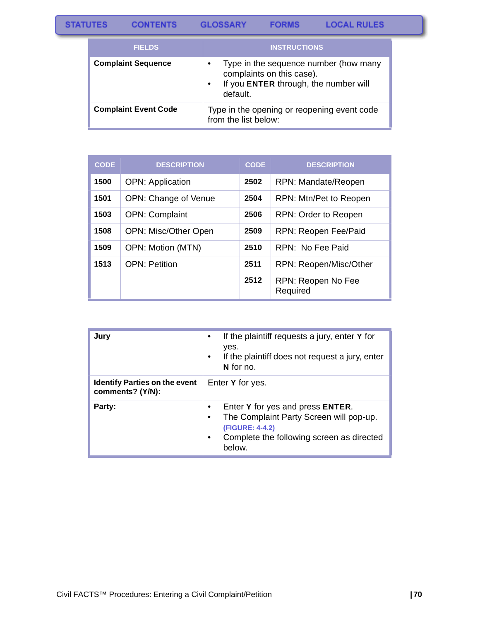CONTENTS GLOSSARY

**FORMS** 

| <b>FIELDS</b>               | <b>INSTRUCTIONS</b>                                                                                                                               |
|-----------------------------|---------------------------------------------------------------------------------------------------------------------------------------------------|
| <b>Complaint Sequence</b>   | Type in the sequence number (how many<br>$\bullet$<br>complaints on this case).<br>If you ENTER through, the number will<br>$\bullet$<br>default. |
| <b>Complaint Event Code</b> | Type in the opening or reopening event code<br>from the list below:                                                                               |

| <b>CODE</b> | <b>DESCRIPTION</b>      | <b>CODE</b> | <b>DESCRIPTION</b>             |
|-------------|-------------------------|-------------|--------------------------------|
| 1500        | <b>OPN: Application</b> | 2502        | RPN: Mandate/Reopen            |
| 1501        | OPN: Change of Venue    | 2504        | RPN: Mtn/Pet to Reopen         |
| 1503        | <b>OPN: Complaint</b>   | 2506        | RPN: Order to Reopen           |
| 1508        | OPN: Misc/Other Open    | 2509        | RPN: Reopen Fee/Paid           |
| 1509        | OPN: Motion (MTN)       | 2510        | RPN: No Fee Paid               |
| 1513        | <b>OPN: Petition</b>    | 2511        | RPN: Reopen/Misc/Other         |
|             |                         | 2512        | RPN: Reopen No Fee<br>Required |

| Jury                                                     | If the plaintiff requests a jury, enter Y for<br>yes.<br>If the plaintiff does not request a jury, enter<br>٠<br>N for no.                                 |
|----------------------------------------------------------|------------------------------------------------------------------------------------------------------------------------------------------------------------|
| <b>Identify Parties on the event</b><br>comments? (Y/N): | Enter Y for yes.                                                                                                                                           |
| Party:                                                   | Enter Y for yes and press ENTER.<br>The Complaint Party Screen will pop-up.<br>(FIGURE: 4-4.2)<br>Complete the following screen as directed<br>٠<br>below. |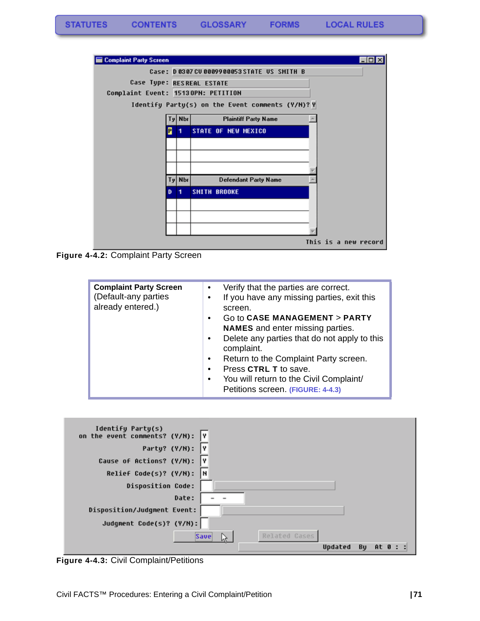

**Figure 4-4.2:** Complaint Party Screen

| <b>Complaint Party Screen</b><br>(Default-any parties<br>already entered.) | Verify that the parties are correct.<br>$\bullet$<br>If you have any missing parties, exit this<br>$\bullet$<br>screen.<br>Go to CASE MANAGEMENT > PARTY<br>$\bullet$<br><b>NAMES</b> and enter missing parties.<br>Delete any parties that do not apply to this<br>$\bullet$<br>complaint.<br>Return to the Complaint Party screen.<br>$\bullet$<br>Press CTRL T to save.<br>$\bullet$<br>You will return to the Civil Complaint/<br>$\bullet$<br>Petitions screen. (FIGURE: 4-4.3) |
|----------------------------------------------------------------------------|--------------------------------------------------------------------------------------------------------------------------------------------------------------------------------------------------------------------------------------------------------------------------------------------------------------------------------------------------------------------------------------------------------------------------------------------------------------------------------------|
|----------------------------------------------------------------------------|--------------------------------------------------------------------------------------------------------------------------------------------------------------------------------------------------------------------------------------------------------------------------------------------------------------------------------------------------------------------------------------------------------------------------------------------------------------------------------------|



**Figure 4-4.3:** Civil Complaint/Petitions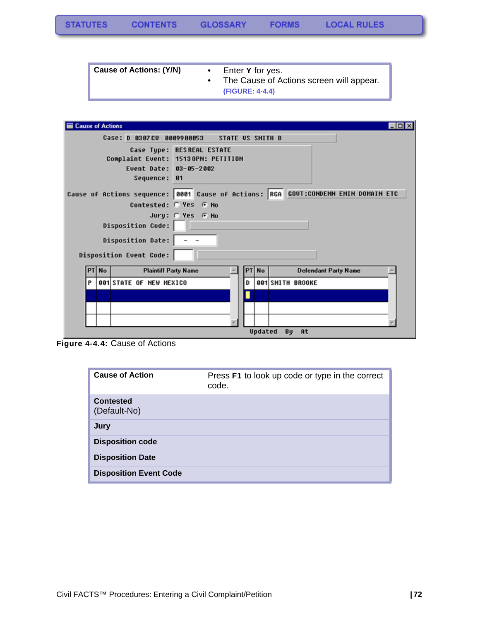| Cause of Actions: (Y/N) | Enter Y for yes.<br>The Cause of Actions screen will appear. |
|-------------------------|--------------------------------------------------------------|
|                         | (FIGURE: 4-4.4)                                              |

| <b>Cause of Actions</b>                               |                                           |                                                                 |    |         |                             |                              | <b>EDX</b> |
|-------------------------------------------------------|-------------------------------------------|-----------------------------------------------------------------|----|---------|-----------------------------|------------------------------|------------|
|                                                       | Case: D 0307CV                            | <b>STATE US SMITH B</b><br>0009900053                           |    |         |                             |                              |            |
|                                                       | Event Date: 03-05-2002<br>Sequence:<br>61 | Case Type: RESREAL ESTATE<br>Complaint Event: 15130PN: PETITION |    |         |                             |                              |            |
| Cause of Actions sequence: 0001 Cause of Actions: RGA |                                           |                                                                 |    |         |                             | GOUT:CONDEMN EMIN DOMAIN ETC |            |
|                                                       | Contested: C Yes G No                     |                                                                 |    |         |                             |                              |            |
|                                                       |                                           | Jury: @ Yes @ No                                                |    |         |                             |                              |            |
|                                                       | <b>Disposition Code:</b>                  |                                                                 |    |         |                             |                              |            |
|                                                       | <b>Disposition Date:</b>                  |                                                                 |    |         |                             |                              |            |
| <b>Disposition Event Code:</b>                        |                                           |                                                                 |    |         |                             |                              |            |
| PT No                                                 | <b>Plaintiff Party Name</b>               |                                                                 | PT | No      | <b>Defendant Party Name</b> |                              |            |
| P                                                     | <b>001 STATE OF NEW MEXICO</b>            |                                                                 | D  |         | 001 SMITH BROOKE            |                              |            |
|                                                       |                                           |                                                                 |    |         |                             |                              |            |
|                                                       |                                           |                                                                 |    |         |                             |                              |            |
|                                                       |                                           |                                                                 |    |         |                             |                              |            |
|                                                       |                                           |                                                                 |    | Updated | By At                       |                              |            |

**Figure 4-4.4:** Cause of Actions

| <b>Cause of Action</b>           | Press F1 to look up code or type in the correct<br>code. |
|----------------------------------|----------------------------------------------------------|
| <b>Contested</b><br>(Default-No) |                                                          |
| Jury                             |                                                          |
| <b>Disposition code</b>          |                                                          |
| <b>Disposition Date</b>          |                                                          |
| <b>Disposition Event Code</b>    |                                                          |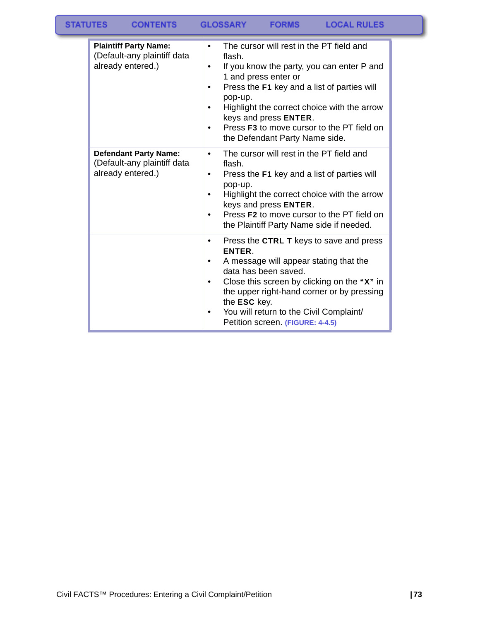| <b>Plaintiff Party Name:</b><br>(Default-any plaintiff data<br>already entered.) | The cursor will rest in the PT field and<br>$\bullet$<br>flash.<br>If you know the party, you can enter P and<br>1 and press enter or<br>Press the F1 key and a list of parties will<br>pop-up.<br>Highlight the correct choice with the arrow<br>keys and press ENTER.<br>Press F3 to move cursor to the PT field on<br>the Defendant Party Name side. |
|----------------------------------------------------------------------------------|---------------------------------------------------------------------------------------------------------------------------------------------------------------------------------------------------------------------------------------------------------------------------------------------------------------------------------------------------------|
| <b>Defendant Party Name:</b><br>(Default-any plaintiff data<br>already entered.) | The cursor will rest in the PT field and<br>$\bullet$<br>flash.<br>Press the F1 key and a list of parties will<br>pop-up.<br>Highlight the correct choice with the arrow<br>keys and press ENTER.<br>Press F2 to move cursor to the PT field on<br>٠<br>the Plaintiff Party Name side if needed.                                                        |
|                                                                                  | Press the CTRL T keys to save and press<br>٠<br>ENTER.<br>A message will appear stating that the<br>data has been saved.<br>Close this screen by clicking on the "X" in<br>the upper right-hand corner or by pressing<br>the ESC key.<br>You will return to the Civil Complaint/<br>Petition screen. (FIGURE: 4-4.5)                                    |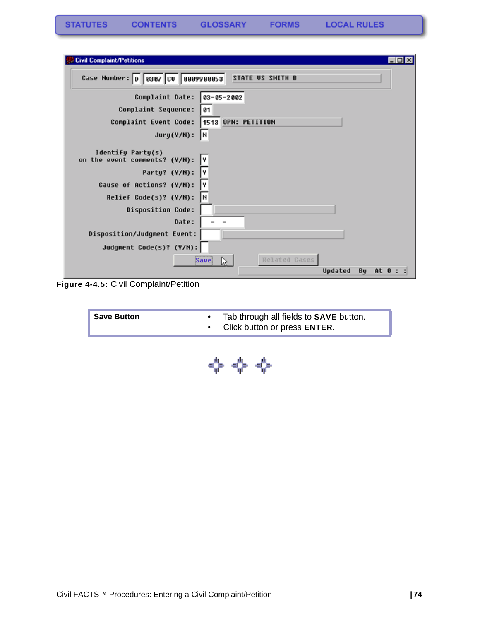| <b>Civil Complaint/Petitions</b><br>-101                     |
|--------------------------------------------------------------|
| Case Number: 0 0307 CV 0009900053<br><b>STATE US SMITH B</b> |
| Complaint Date:<br>83-05-2002                                |
| Complaint Sequence:<br>01                                    |
| 1513 OPN: PETITION<br>Complaint Event Code:                  |
| $Jury(Y/N)$ :<br>I۲                                          |
| Identify Party(s)<br>on the event comments? (Y/N):<br>I۷     |
| I٧<br>Party? (Y/N):                                          |
| Cause of Actions? (Y/N):<br>I۷                               |
| H<br>Relief Code(s)? (Y/N):                                  |
| <b>Disposition Code:</b>                                     |
| Date:                                                        |
| Disposition/Judgment Event:                                  |
| Judgment Code(s)? (Y/N):                                     |
| Related Cases<br><b>Save</b><br>M.                           |
| Updated<br>Bu<br>At 0                                        |

**Figure 4-4.5:** Civil Complaint/Petition

|  | Tab through all fields to <b>SAVE</b> button.<br><b>Save Button</b><br>Click button or press ENTER. |
|--|-----------------------------------------------------------------------------------------------------|
|--|-----------------------------------------------------------------------------------------------------|

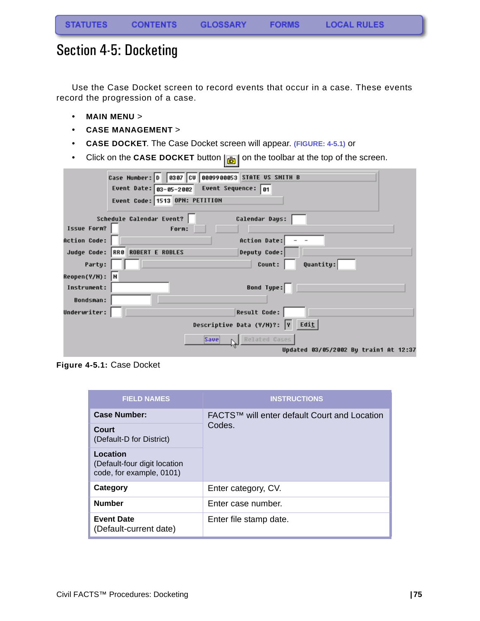## Section 4-5: Docketing

Use the Case Docket screen to record events that occur in a case. These events record the progression of a case.

- **MAIN MENU** >
- **CASE MANAGEMENT** >
- **CASE DOCKET**. The Case Docket screen will appear. **(FIGURE: 4-5.1)** or
- Click on the **CASE DOCKET** button  $\left| \frac{1}{\mathbf{b}} \right|$  on the toolbar at the top of the screen.

|                     | Case Number: 0 0307 CV 0009900053 STATE US SMITH B            |
|---------------------|---------------------------------------------------------------|
|                     | Event Date: $\boxed{03-05-2002}$ Event Sequence: $\boxed{01}$ |
|                     | Event Code: 1513 OPN: PETITION                                |
|                     | Schedule Calendar Event?<br>Calendar Days:                    |
| Issue Form?         | Form:                                                         |
| <b>Action Code:</b> | Action Date:                                                  |
|                     | Judge Code: RR8 ROBERT E ROBLES<br>Deputy Code:               |
| Party:              | Quantity:<br>Count:                                           |
| Reopen(Y/N): N      |                                                               |
| Instrument:         | Bond Type:                                                    |
| <b>Bondsman:</b>    |                                                               |
| Underwriter:        | <b>Result Code:</b>                                           |
|                     | Descriptive Data (Y/M)?: V Edit                               |
|                     | Related Cases<br>Save                                         |
|                     | Updated 03/05/2002 By train1 At 12:37                         |

**Figure 4-5.1:** Case Docket

| <b>FIELD NAMES</b>                                                   | <b>INSTRUCTIONS</b>                          |
|----------------------------------------------------------------------|----------------------------------------------|
| Case Number:                                                         | FACTS™ will enter default Court and Location |
| Court<br>(Default-D for District)                                    | Codes.                                       |
| Location<br>(Default-four digit location<br>code, for example, 0101) |                                              |
| Category                                                             | Enter category, CV.                          |
| <b>Number</b>                                                        | Enter case number.                           |
| <b>Event Date</b><br>(Default-current date)                          | Enter file stamp date.                       |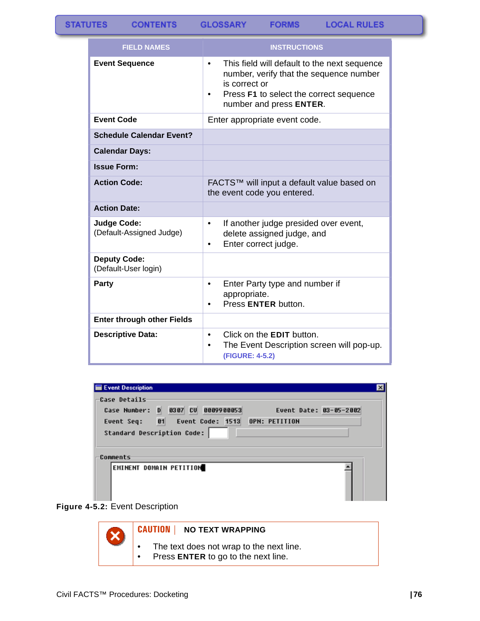**CONTENTS** 

**GLOSSARY FORMS** 

| <b>FIELD NAMES</b>                             | <b>INSTRUCTIONS</b>                                                                                                                                                                                      |
|------------------------------------------------|----------------------------------------------------------------------------------------------------------------------------------------------------------------------------------------------------------|
| <b>Event Sequence</b>                          | This field will default to the next sequence<br>$\bullet$<br>number, verify that the sequence number<br>is correct or<br>Press F1 to select the correct sequence<br>$\bullet$<br>number and press ENTER. |
| <b>Event Code</b>                              | Enter appropriate event code.                                                                                                                                                                            |
| <b>Schedule Calendar Event?</b>                |                                                                                                                                                                                                          |
| <b>Calendar Days:</b>                          |                                                                                                                                                                                                          |
| <b>Issue Form:</b>                             |                                                                                                                                                                                                          |
| <b>Action Code:</b>                            | FACTS™ will input a default value based on<br>the event code you entered.                                                                                                                                |
| <b>Action Date:</b>                            |                                                                                                                                                                                                          |
| <b>Judge Code:</b><br>(Default-Assigned Judge) | If another judge presided over event,<br>$\bullet$<br>delete assigned judge, and<br>Enter correct judge.<br>$\bullet$                                                                                    |
| <b>Deputy Code:</b><br>(Default-User login)    |                                                                                                                                                                                                          |
| <b>Party</b>                                   | Enter Party type and number if<br>$\bullet$<br>appropriate.<br>Press ENTER button.                                                                                                                       |
| <b>Enter through other Fields</b>              |                                                                                                                                                                                                          |
| <b>Descriptive Data:</b>                       | Click on the <b>EDIT</b> button.<br>$\bullet$<br>The Event Description screen will pop-up.<br>$\bullet$<br>(FIGURE: 4-5.2)                                                                               |

| Event Description                                  |                        |
|----------------------------------------------------|------------------------|
| Case Details                                       |                        |
| 0307 CU 0009900053<br>D<br>Case Number:            | Event Date: 03-05-2002 |
| 81<br>Event Code: 1513 OPN: PETITION<br>Event Seq: |                        |
| Standard Description Code:                         |                        |
| Comments                                           |                        |
| EMINENT DOMAIN PETITION                            |                        |



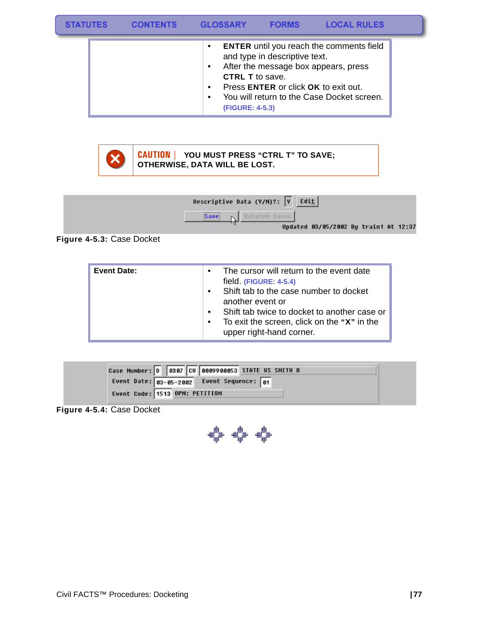|  | $\bullet$<br>$\bullet$<br><b>CTRL T</b> to save.<br>$\bullet$<br>$\bullet$<br>(FIGURE: 4-5.3) | and type in descriptive text.<br>Press <b>ENTER</b> or click <b>OK</b> to exit out. | <b>ENTER</b> until you reach the comments field<br>After the message box appears, press<br>You will return to the Case Docket screen. |  |
|--|-----------------------------------------------------------------------------------------------|-------------------------------------------------------------------------------------|---------------------------------------------------------------------------------------------------------------------------------------|--|



S1

**CAUTION | YOU MUST PRESS "CTRL T" TO SAVE; OTHERWISE, DATA WILL BE LOST.**



**Figure 4-5.3:** Case Docket

| <b>Event Date:</b> | $\bullet$<br>$\bullet$<br>$\bullet$<br>$\bullet$ | The cursor will return to the event date<br>field (FIGURE: 4-5.4)<br>Shift tab to the case number to docket<br>another event or<br>Shift tab twice to docket to another case or<br>To exit the screen, click on the "X" in the<br>upper right-hand corner. |
|--------------------|--------------------------------------------------|------------------------------------------------------------------------------------------------------------------------------------------------------------------------------------------------------------------------------------------------------------|
|--------------------|--------------------------------------------------|------------------------------------------------------------------------------------------------------------------------------------------------------------------------------------------------------------------------------------------------------------|

| Case Number: 0 0307 CV 0009900053 STATE US SMITH B     |  |
|--------------------------------------------------------|--|
| Event Date: $\frac{03-85-2002}{10}$ Event Sequence: 01 |  |
| Event Code: 1513 OPN: PETITION                         |  |

<span id="page-78-0"></span>**Figure 4-5.4:** Case Docket

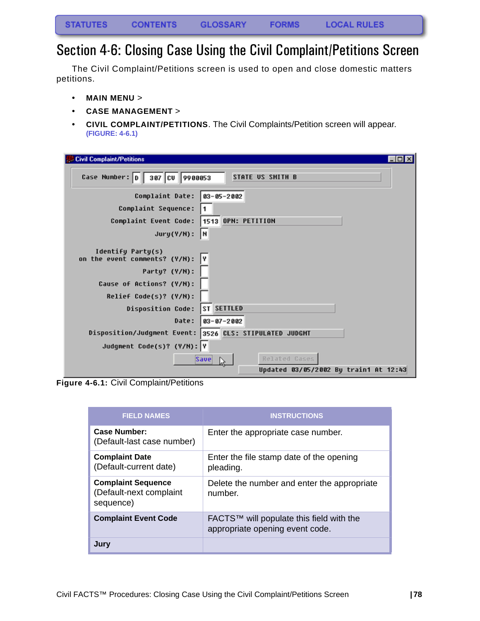# Section 4-6: Closing Case Using the Civil Complaint/Petitions Screen

The Civil Complaint/Petitions screen is used to open and close domestic matters petitions.

- **MAIN MENU** >
- **CASE MANAGEMENT** >
- **CIVIL COMPLAINT/PETITIONS**. The Civil Complaints/Petition screen will appear. **(FIGURE: 4-6.1)**

| $ \Box$ $\times$<br><b>Civil Complaint/Petitions</b>                                                |
|-----------------------------------------------------------------------------------------------------|
| Case Number: D 387 CV 9988853<br><b>STATE US SMITH B</b>                                            |
| Complaint Date:<br>$ 03 - 05 - 2002$<br>Complaint Sequence:                                         |
| Complaint Event Code:  1513 OPN: PETITION<br>Jury(Y/N):<br>∥Ν                                       |
| Identify Party(s)<br>on the event comments? (Y/N):<br>I۷<br>Party? (Y/N):                           |
| Cause of Actions? (Y/N):<br>Relief Code(s)? (Y/N):                                                  |
| <b>ST SETTLED</b><br><b>Disposition Code:</b><br>Date:<br>$ 03 - 07 - 2002$                         |
| Disposition/Judgment Event: 3526 CLS: STIPULATED JUDGMT                                             |
| Judgment Code(s)? (Y/N): Y<br>Related Cases<br><b>Save</b><br>Updated 03/05/2002 By train1 At 12:43 |

**Figure 4-6.1:** Civil Complaint/Petitions

| <b>FIELD NAMES</b>                                                | <b>INSTRUCTIONS</b>                                                         |
|-------------------------------------------------------------------|-----------------------------------------------------------------------------|
| <b>Case Number:</b><br>(Default-last case number)                 | Enter the appropriate case number.                                          |
| <b>Complaint Date</b><br>(Default-current date)                   | Enter the file stamp date of the opening<br>pleading.                       |
| <b>Complaint Sequence</b><br>(Default-next complaint<br>sequence) | Delete the number and enter the appropriate<br>number.                      |
| <b>Complaint Event Code</b>                                       | FACTS™ will populate this field with the<br>appropriate opening event code. |
| Jury                                                              |                                                                             |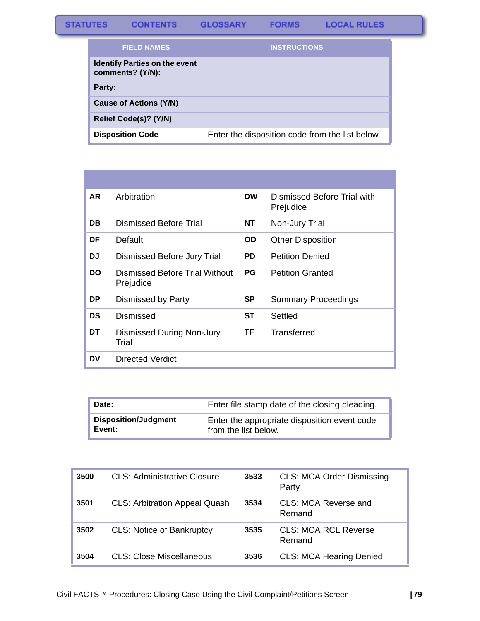#### **STATUTES** CONTENTS GLOSSARY **FORMS**

| <b>FIELD NAMES</b>                                       | <b>INSTRUCTIONS</b>                             |
|----------------------------------------------------------|-------------------------------------------------|
| <b>Identify Parties on the event</b><br>comments? (Y/N): |                                                 |
| Party:                                                   |                                                 |
| Cause of Actions (Y/N)                                   |                                                 |
| Relief Code(s)? (Y/N)                                    |                                                 |
| <b>Disposition Code</b>                                  | Enter the disposition code from the list below. |

| AR.       | Arbitration                                 | <b>DW</b> | Dismissed Before Trial with<br>Prejudice |
|-----------|---------------------------------------------|-----------|------------------------------------------|
| DB        | Dismissed Before Trial                      | NT        | Non-Jury Trial                           |
| DF        | Default                                     | OD.       | <b>Other Disposition</b>                 |
| DJ.       | Dismissed Before Jury Trial                 | <b>PD</b> | <b>Petition Denied</b>                   |
| <b>DO</b> | Dismissed Before Trial Without<br>Prejudice | <b>PG</b> | <b>Petition Granted</b>                  |
| DP.       | Dismissed by Party                          | SP        | <b>Summary Proceedings</b>               |
| <b>DS</b> | Dismissed                                   | ST        | Settled                                  |
| DT        | <b>Dismissed During Non-Jury</b><br>Trial   | <b>TF</b> | Transferred                              |
| DV        | <b>Directed Verdict</b>                     |           |                                          |

| Date:                       | Enter file stamp date of the closing pleading. |
|-----------------------------|------------------------------------------------|
| <b>Disposition/Judgment</b> | Enter the appropriate disposition event code   |
| Event:                      | from the list below.                           |

| 3500 | <b>CLS: Administrative Closure</b>   | 3533 | <b>CLS: MCA Order Dismissing</b><br>Party |
|------|--------------------------------------|------|-------------------------------------------|
| 3501 | <b>CLS: Arbitration Appeal Quash</b> | 3534 | CLS: MCA Reverse and<br>Remand            |
| 3502 | <b>CLS: Notice of Bankruptcy</b>     | 3535 | <b>CLS: MCA RCL Reverse</b><br>Remand     |
| 3504 | CLS: Close Miscellaneous             | 3536 | <b>CLS: MCA Hearing Denied</b>            |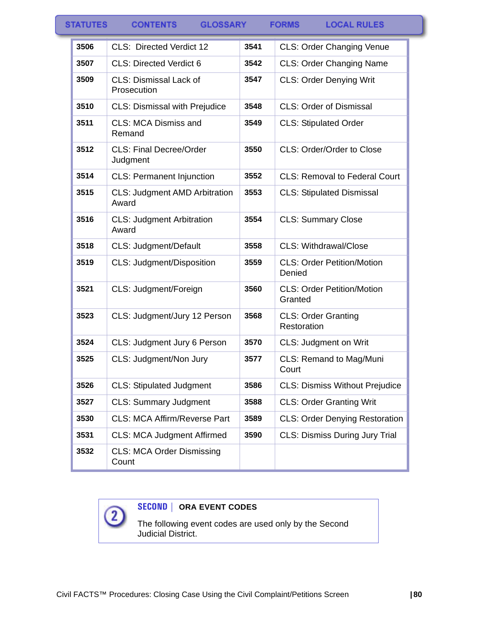| <b>TATUTES</b> | <b>GLOSSARY</b><br><b>CONTENTS</b>            |      | <b>LOCAL RULES</b><br><b>FORMS</b>           |
|----------------|-----------------------------------------------|------|----------------------------------------------|
| 3506           | CLS: Directed Verdict 12                      | 3541 | <b>CLS: Order Changing Venue</b>             |
| 3507           | <b>CLS: Directed Verdict 6</b>                | 3542 | <b>CLS: Order Changing Name</b>              |
| 3509           | <b>CLS: Dismissal Lack of</b><br>Prosecution  | 3547 | <b>CLS: Order Denying Writ</b>               |
| 3510           | <b>CLS: Dismissal with Prejudice</b>          | 3548 | <b>CLS: Order of Dismissal</b>               |
| 3511           | CLS: MCA Dismiss and<br>Remand                | 3549 | <b>CLS: Stipulated Order</b>                 |
| 3512           | <b>CLS: Final Decree/Order</b><br>Judgment    | 3550 | CLS: Order/Order to Close                    |
| 3514           | <b>CLS: Permanent Injunction</b>              | 3552 | <b>CLS: Removal to Federal Court</b>         |
| 3515           | <b>CLS: Judgment AMD Arbitration</b><br>Award | 3553 | <b>CLS: Stipulated Dismissal</b>             |
| 3516           | <b>CLS: Judgment Arbitration</b><br>Award     | 3554 | <b>CLS: Summary Close</b>                    |
| 3518           | CLS: Judgment/Default                         | 3558 | CLS: Withdrawal/Close                        |
| 3519           | CLS: Judgment/Disposition                     | 3559 | <b>CLS: Order Petition/Motion</b><br>Denied  |
| 3521           | CLS: Judgment/Foreign                         | 3560 | <b>CLS: Order Petition/Motion</b><br>Granted |
| 3523           | CLS: Judgment/Jury 12 Person                  | 3568 | <b>CLS: Order Granting</b><br>Restoration    |
| 3524           | CLS: Judgment Jury 6 Person                   | 3570 | <b>CLS: Judgment on Writ</b>                 |
| 3525           | CLS: Judgment/Non Jury                        | 3577 | CLS: Remand to Mag/Muni<br>Court             |
| 3526           | <b>CLS: Stipulated Judgment</b>               | 3586 | <b>CLS: Dismiss Without Prejudice</b>        |
| 3527           | <b>CLS: Summary Judgment</b>                  | 3588 | <b>CLS: Order Granting Writ</b>              |
| 3530           | <b>CLS: MCA Affirm/Reverse Part</b>           | 3589 | <b>CLS: Order Denying Restoration</b>        |
| 3531           | <b>CLS: MCA Judgment Affirmed</b>             | 3590 | <b>CLS: Dismiss During Jury Trial</b>        |
| 3532           | <b>CLS: MCA Order Dismissing</b><br>Count     |      |                                              |



### **SECOND | ORA EVENT CODES**

The following event codes are used only by the Second Judicial District.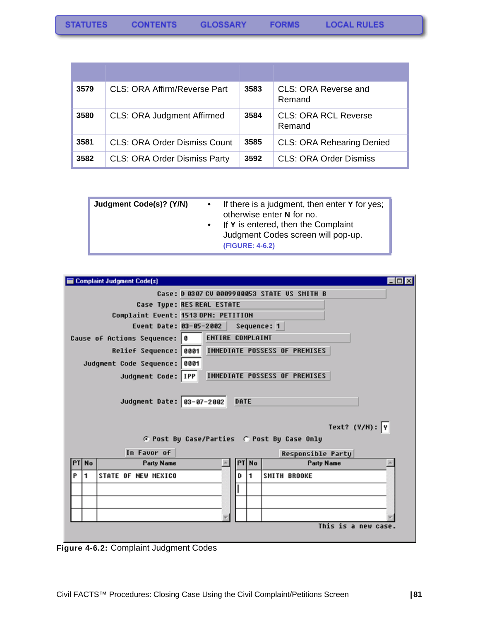| 3579 | CLS: ORA Affirm/Reverse Part        | 3583 | CLS: ORA Reverse and<br>Remand        |
|------|-------------------------------------|------|---------------------------------------|
| 3580 | <b>CLS: ORA Judgment Affirmed</b>   | 3584 | <b>CLS: ORA RCL Reverse</b><br>Remand |
| 3581 | <b>CLS: ORA Order Dismiss Count</b> | 3585 | <b>CLS: ORA Rehearing Denied</b>      |
| 3582 | <b>CLS: ORA Order Dismiss Party</b> | 3592 | <b>CLS: ORA Order Dismiss</b>         |

| Judgment Code(s)? (Y/N) | If there is a judgment, then enter Y for yes;<br>∣ ●<br>otherwise enter N for no.<br>If Y is entered, then the Complaint<br>Judgment Codes screen will pop-up.<br>(FIGURE: 4-6.2) |
|-------------------------|-----------------------------------------------------------------------------------------------------------------------------------------------------------------------------------|
|-------------------------|-----------------------------------------------------------------------------------------------------------------------------------------------------------------------------------|

| <b>Complaint Judgment Code(s)</b>                 | $ \Box$ $\times$                                    |  |  |  |
|---------------------------------------------------|-----------------------------------------------------|--|--|--|
| Case: D 0307 CU 0009900053 STATE US SMITH B       |                                                     |  |  |  |
|                                                   | Case Tupe: RES REAL ESTATE                          |  |  |  |
|                                                   | Complaint Event: 1513 OPN: PETITION                 |  |  |  |
|                                                   | Event Date: 03-05-2002 Sequence: 1                  |  |  |  |
| Cause of Actions Sequence: 0                      | ENTIRE COMPLAINT                                    |  |  |  |
|                                                   | Relief Sequence: 0001 IMMEDIATE POSSESS OF PREMISES |  |  |  |
| Judgment Code Sequence: 0001                      |                                                     |  |  |  |
| Judgment Code: IPP                                | IMMEDIATE POSSESS OF PREMISES                       |  |  |  |
|                                                   |                                                     |  |  |  |
| Judgment Date: 83-07-2002                         | DATE                                                |  |  |  |
|                                                   |                                                     |  |  |  |
|                                                   |                                                     |  |  |  |
|                                                   | Text? $(Y/N):$ Y                                    |  |  |  |
|                                                   | G Post By Case/Parties G Post By Case Only          |  |  |  |
| In Favor of                                       | <b>Responsible Party</b>                            |  |  |  |
| <b>No</b><br>Party Name<br>PT                     | Party Name<br>PT  No                                |  |  |  |
| P<br>$\blacksquare$<br><b>STATE OF NEW MEXICO</b> | 1<br><b>SMITH BROOKE</b><br>D                       |  |  |  |
|                                                   |                                                     |  |  |  |
|                                                   |                                                     |  |  |  |
|                                                   |                                                     |  |  |  |
|                                                   | This is a new case.                                 |  |  |  |
|                                                   |                                                     |  |  |  |

**Figure 4-6.2:** Complaint Judgment Codes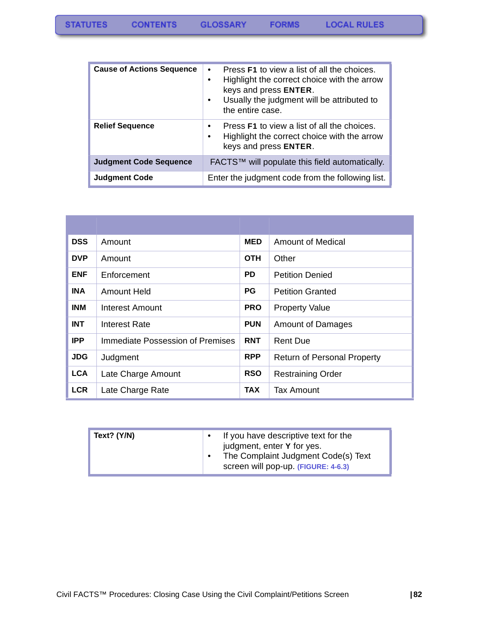**FORMS** 

| <b>Cause of Actions Sequence</b> | Press F1 to view a list of all the choices.<br>$\bullet$<br>Highlight the correct choice with the arrow<br>$\bullet$<br>keys and press ENTER.<br>Usually the judgment will be attributed to<br>$\bullet$<br>the entire case. |
|----------------------------------|------------------------------------------------------------------------------------------------------------------------------------------------------------------------------------------------------------------------------|
| <b>Relief Sequence</b>           | Press <b>F1</b> to view a list of all the choices.<br>$\bullet$<br>Highlight the correct choice with the arrow<br>$\bullet$<br>keys and press ENTER.                                                                         |
| <b>Judgment Code Sequence</b>    | FACTS™ will populate this field automatically.                                                                                                                                                                               |
| <b>Judgment Code</b>             | Enter the judgment code from the following list.                                                                                                                                                                             |

| <b>DSS</b> | Amount                           | <b>MED</b> | Amount of Medical                  |
|------------|----------------------------------|------------|------------------------------------|
| <b>DVP</b> | Amount                           | <b>OTH</b> | Other                              |
| <b>ENF</b> | Enforcement                      | PD.        | <b>Petition Denied</b>             |
| <b>INA</b> | Amount Held                      | <b>PG</b>  | <b>Petition Granted</b>            |
| <b>INM</b> | Interest Amount                  | <b>PRO</b> | <b>Property Value</b>              |
| <b>INT</b> | Interest Rate                    | <b>PUN</b> | <b>Amount of Damages</b>           |
| <b>IPP</b> | Immediate Possession of Premises | <b>RNT</b> | <b>Rent Due</b>                    |
| <b>JDG</b> | Judgment                         | <b>RPP</b> | <b>Return of Personal Property</b> |
| <b>LCA</b> | Late Charge Amount               | <b>RSO</b> | <b>Restraining Order</b>           |
| <b>LCR</b> | Late Charge Rate                 | <b>TAX</b> | Tax Amount                         |

| Text? $(Y/N)$ | If you have descriptive text for the<br>judgment, enter Y for yes.<br>The Complaint Judgment Code(s) Text<br>screen will pop-up. (FIGURE: 4-6.3) |
|---------------|--------------------------------------------------------------------------------------------------------------------------------------------------|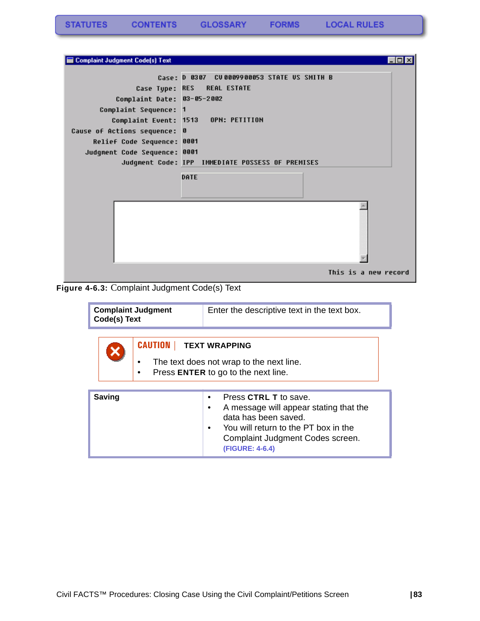| Complaint Judgment Code(s) Text                                                                                                                                     |                                                                                                         |  |
|---------------------------------------------------------------------------------------------------------------------------------------------------------------------|---------------------------------------------------------------------------------------------------------|--|
| Case Type: RES<br>Complaint Date: 03-05-2002<br>Complaint Sequence: 1<br>Cause of Actions sequence: 0<br>Relief Code Sequence: 0001<br>Judgment Code Sequence: 0001 | Case: D 0307 CU0009900053 STATE US SMITH B<br><b>REAL ESTATE</b><br>Complaint Event: 1513 OPN: PETITION |  |
|                                                                                                                                                                     | Judgment Code: IPP IMMEDIATE POSSESS OF PREMISES                                                        |  |
|                                                                                                                                                                     | DATE                                                                                                    |  |
|                                                                                                                                                                     |                                                                                                         |  |
|                                                                                                                                                                     | This is a new record                                                                                    |  |

**Figure 4-6.3:** Complaint Judgment Code(s) Text

| <b>Complaint Judgment</b><br>Code(s) Text |  |                                                                                 | Enter the descriptive text in the text box. |  |  |  |
|-------------------------------------------|--|---------------------------------------------------------------------------------|---------------------------------------------|--|--|--|
|                                           |  | <b>CAUTION   TEXT WRAPPING</b>                                                  |                                             |  |  |  |
|                                           |  | The text does not wrap to the next line.<br>Press ENTER to go to the next line. |                                             |  |  |  |

| <b>Saving</b> | Press CTRL T to save.<br>A message will appear stating that the<br>data has been saved.<br>You will return to the PT box in the<br>Complaint Judgment Codes screen.<br>(FIGURE: 4-6.4) |
|---------------|----------------------------------------------------------------------------------------------------------------------------------------------------------------------------------------|
|---------------|----------------------------------------------------------------------------------------------------------------------------------------------------------------------------------------|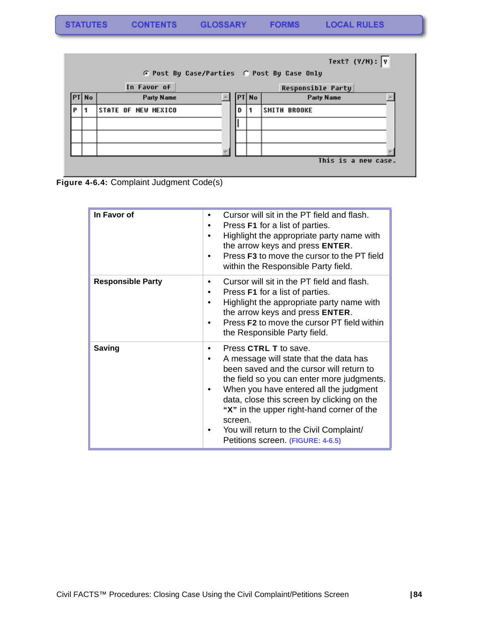|   |              |  |                            |   |       | Text? $(Y/N):$                             |
|---|--------------|--|----------------------------|---|-------|--------------------------------------------|
|   |              |  |                            |   |       | G Post By Case/Parties G Post By Case Only |
|   |              |  | In Favor of                |   |       | <b>Responsible Party</b>                   |
|   | <b>PT No</b> |  | <b>Party Name</b>          |   | PT No | Party Name                                 |
| P |              |  | <b>STATE OF NEW MEXICO</b> | D |       | <b>SMITH BROOKE</b>                        |
|   |              |  |                            |   |       |                                            |
|   |              |  |                            |   |       |                                            |
|   |              |  |                            |   |       |                                            |
|   |              |  |                            |   |       | This is a new case.                        |

**Figure 4-6.4:** Complaint Judgment Code(s)

| In Favor of              | Cursor will sit in the PT field and flash.<br>٠<br>Press <b>F1</b> for a list of parties.<br>Highlight the appropriate party name with<br>the arrow keys and press ENTER.<br>Press F3 to move the cursor to the PT field<br>within the Responsible Party field.                                                                                                                           |
|--------------------------|-------------------------------------------------------------------------------------------------------------------------------------------------------------------------------------------------------------------------------------------------------------------------------------------------------------------------------------------------------------------------------------------|
| <b>Responsible Party</b> | Cursor will sit in the PT field and flash.<br>Press <b>F1</b> for a list of parties.<br>٠<br>Highlight the appropriate party name with<br>the arrow keys and press ENTER.<br>Press F2 to move the cursor PT field within<br>the Responsible Party field.                                                                                                                                  |
| <b>Saving</b>            | Press CTRL T to save.<br>A message will state that the data has<br>been saved and the cursor will return to<br>the field so you can enter more judgments.<br>When you have entered all the judgment<br>data, close this screen by clicking on the<br>"X" in the upper right-hand corner of the<br>screen.<br>You will return to the Civil Complaint/<br>Petitions screen. (FIGURE: 4-6.5) |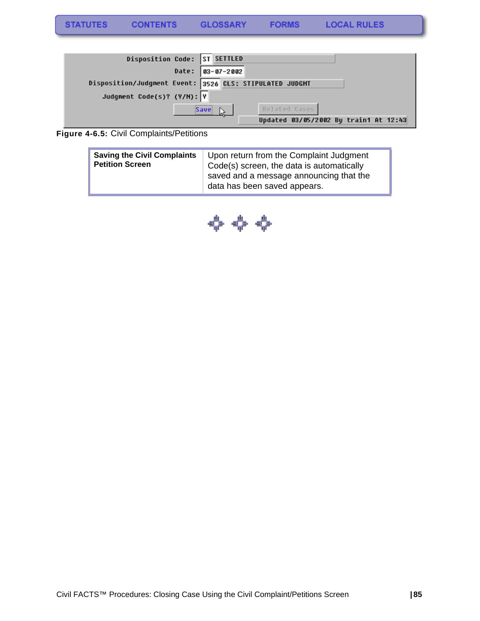| Disposition Code: ST SETTLED                            |                                       |
|---------------------------------------------------------|---------------------------------------|
| Date: 03-07-2002                                        |                                       |
| Disposition/Judgment Event: 3526 CLS: STIPULATED JUDGMT |                                       |
| Judgment Code(s)? (Y/N): Y                              |                                       |
| -------------<br> Save                                  | Related Cases                         |
|                                                         | Updated 03/05/2002 By train1 At 12:43 |

#### **Figure 4-6.5:** Civil Complaints/Petitions

| <b>Saving the Civil Complaints</b><br><b>Petition Screen</b> | Upon return from the Complaint Judgment<br>Code(s) screen, the data is automatically<br>saved and a message announcing that the |
|--------------------------------------------------------------|---------------------------------------------------------------------------------------------------------------------------------|
|                                                              | data has been saved appears.                                                                                                    |